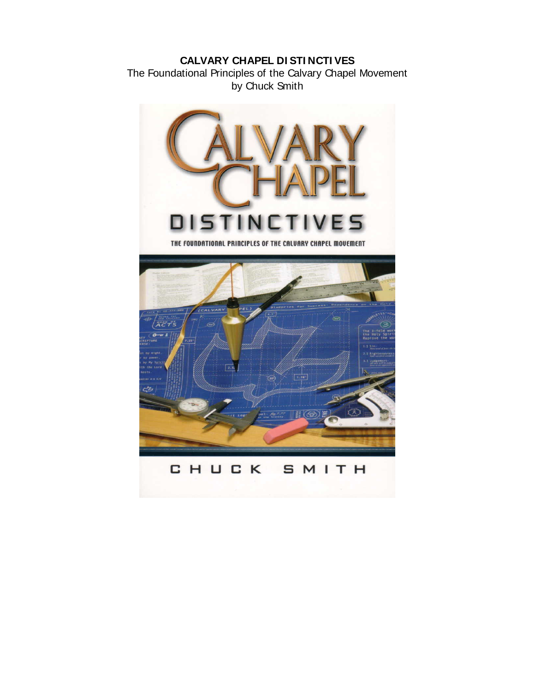# **CALVARY CHAPEL DI STI NCTI VES**

The Foundational Principles of the Calvary Chapel Movement by Chuck Smith

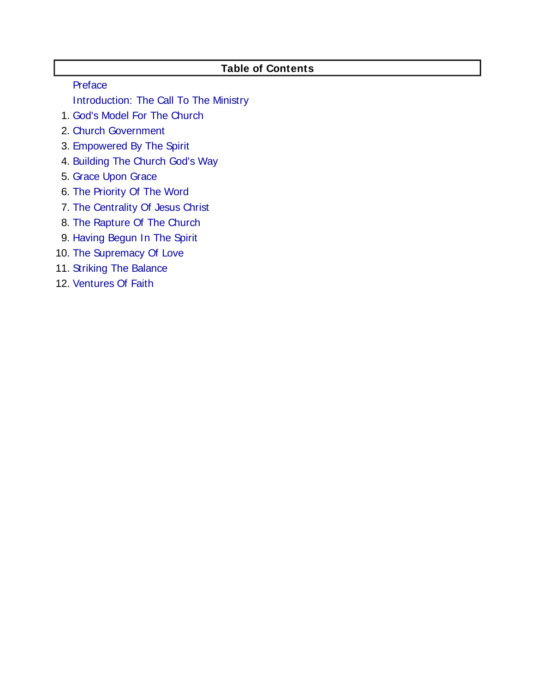## **Table of Contents**

# **Preface**

- Introduction: The Call To The Ministry
- 1. God's Model For The Church
- 2. Church Government
- 3. Empowered By The Spirit
- 4. Building The Church God's Way
- 5. Grace Upon Grace
- 6. The Priority Of The Word
- 7. The Centrality Of Jesus Christ
- 8. The Rapture Of The Church
- 9. Having Begun In The Spirit
- 10. The Supremacy Of Love
- 11. Striking The Balance
- 12. Ventures Of Faith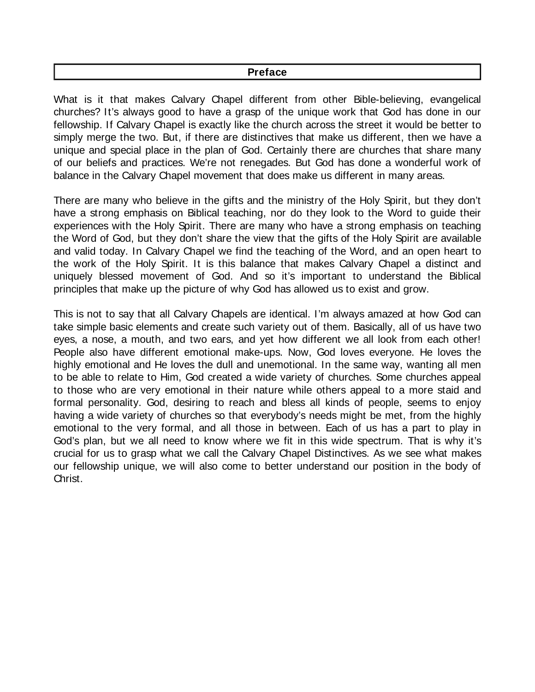#### **Preface**

What is it that makes Calvary Chapel different from other Bible-believing, evangelical churches? It's always good to have a grasp of the unique work that God has done in our fellowship. If Calvary Chapel is exactly like the church across the street it would be better to simply merge the two. But, if there are distinctives that make us different, then we have a unique and special place in the plan of God. Certainly there are churches that share many of our beliefs and practices. We're not renegades. But God has done a wonderful work of balance in the Calvary Chapel movement that does make us different in many areas.

There are many who believe in the gifts and the ministry of the Holy Spirit, but they don't have a strong emphasis on Biblical teaching, nor do they look to the Word to guide their experiences with the Holy Spirit. There are many who have a strong emphasis on teaching the Word of God, but they don't share the view that the gifts of the Holy Spirit are available and valid today. In Calvary Chapel we find the teaching of the Word, and an open heart to the work of the Holy Spirit. It is this balance that makes Calvary Chapel a distinct and uniquely blessed movement of God. And so it's important to understand the Biblical principles that make up the picture of why God has allowed us to exist and grow.

This is not to say that all Calvary Chapels are identical. I'm always amazed at how God can take simple basic elements and create such variety out of them. Basically, all of us have two eyes, a nose, a mouth, and two ears, and yet how different we all look from each other! People also have different emotional make-ups. Now, God loves everyone. He loves the highly emotional and He loves the dull and unemotional. In the same way, wanting all men to be able to relate to Him, God created a wide variety of churches. Some churches appeal to those who are very emotional in their nature while others appeal to a more staid and formal personality. God, desiring to reach and bless all kinds of people, seems to enjoy having a wide variety of churches so that everybody's needs might be met, from the highly emotional to the very formal, and all those in between. Each of us has a part to play in God's plan, but we all need to know where we fit in this wide spectrum. That is why it's crucial for us to grasp what we call the Calvary Chapel Distinctives. As we see what makes our fellowship unique, we will also come to better understand our position in the body of Christ.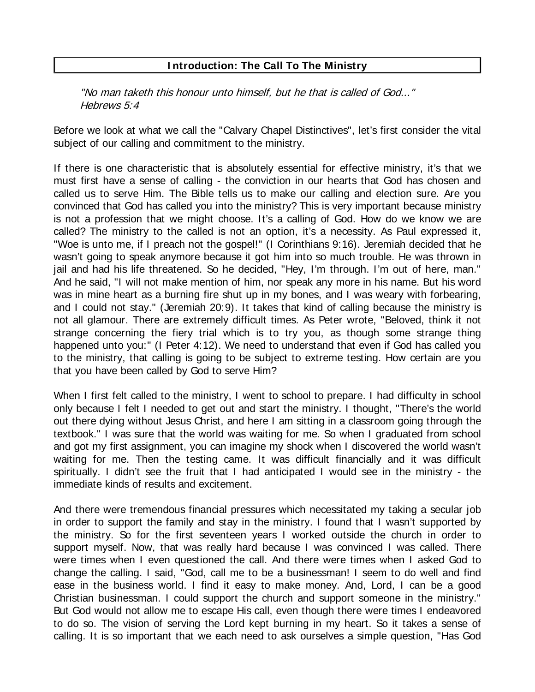#### **I ntroduction: The Call To The Ministry**

"No man taketh this honour unto himself, but he that is called of God..." Hebrews 5:4

Before we look at what we call the "Calvary Chapel Distinctives", let's first consider the vital subject of our calling and commitment to the ministry.

If there is one characteristic that is absolutely essential for effective ministry, it's that we must first have a sense of calling - the conviction in our hearts that God has chosen and called us to serve Him. The Bible tells us to make our calling and election sure. Are you convinced that God has called you into the ministry? This is very important because ministry is not a profession that we might choose. It's a calling of God. How do we know we are called? The ministry to the called is not an option, it's a necessity. As Paul expressed it, "Woe is unto me, if I preach not the gospel!" (I Corinthians 9:16). Jeremiah decided that he wasn't going to speak anymore because it got him into so much trouble. He was thrown in jail and had his life threatened. So he decided, "Hey, I'm through. I'm out of here, man." And he said, "I will not make mention of him, nor speak any more in his name. But his word was in mine heart as a burning fire shut up in my bones, and I was weary with forbearing, and I could not stay." (Jeremiah 20:9). It takes that kind of calling because the ministry is not all glamour. There are extremely difficult times. As Peter wrote, "Beloved, think it not strange concerning the fiery trial which is to try you, as though some strange thing happened unto you:" (I Peter 4:12). We need to understand that even if God has called you to the ministry, that calling is going to be subject to extreme testing. How certain are you that you have been called by God to serve Him?

When I first felt called to the ministry, I went to school to prepare. I had difficulty in school only because I felt I needed to get out and start the ministry. I thought, "There's the world out there dying without Jesus Christ, and here I am sitting in a classroom going through the textbook." I was sure that the world was waiting for me. So when I graduated from school and got my first assignment, you can imagine my shock when I discovered the world wasn't waiting for me. Then the testing came. It was difficult financially and it was difficult spiritually. I didn't see the fruit that I had anticipated I would see in the ministry - the immediate kinds of results and excitement.

And there were tremendous financial pressures which necessitated my taking a secular job in order to support the family and stay in the ministry. I found that I wasn't supported by the ministry. So for the first seventeen years I worked outside the church in order to support myself. Now, that was really hard because I was convinced I was called. There were times when I even questioned the call. And there were times when I asked God to change the calling. I said, "God, call me to be a businessman! I seem to do well and find ease in the business world. I find it easy to make money. And, Lord, I can be a good Christian businessman. I could support the church and support someone in the ministry." But God would not allow me to escape His call, even though there were times I endeavored to do so. The vision of serving the Lord kept burning in my heart. So it takes a sense of calling. It is so important that we each need to ask ourselves a simple question, "Has God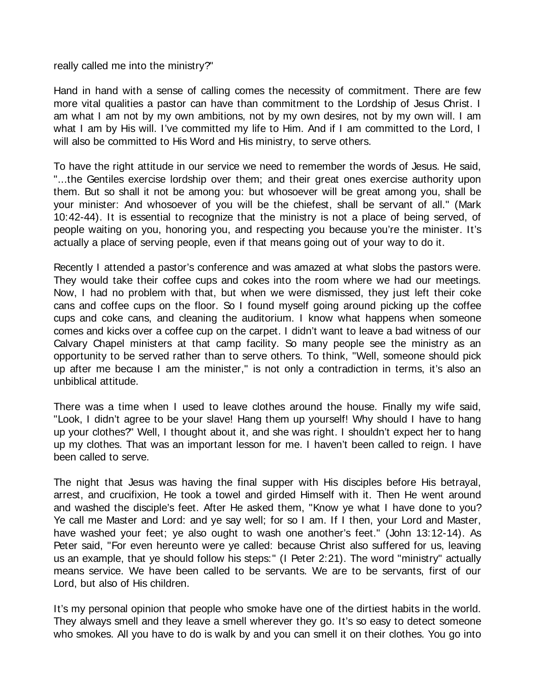really called me into the ministry?"

Hand in hand with a sense of calling comes the necessity of commitment. There are few more vital qualities a pastor can have than commitment to the Lordship of Jesus Christ. I am what I am not by my own ambitions, not by my own desires, not by my own will. I am what I am by His will. I've committed my life to Him. And if I am committed to the Lord, I will also be committed to His Word and His ministry, to serve others.

To have the right attitude in our service we need to remember the words of Jesus. He said, "...the Gentiles exercise lordship over them; and their great ones exercise authority upon them. But so shall it not be among you: but whosoever will be great among you, shall be your minister: And whosoever of you will be the chiefest, shall be servant of all." (Mark 10:42-44). It is essential to recognize that the ministry is not a place of being served, of people waiting on you, honoring you, and respecting you because you're the minister. It's actually a place of serving people, even if that means going out of your way to do it.

Recently I attended a pastor's conference and was amazed at what slobs the pastors were. They would take their coffee cups and cokes into the room where we had our meetings. Now, I had no problem with that, but when we were dismissed, they just left their coke cans and coffee cups on the floor. So I found myself going around picking up the coffee cups and coke cans, and cleaning the auditorium. I know what happens when someone comes and kicks over a coffee cup on the carpet. I didn't want to leave a bad witness of our Calvary Chapel ministers at that camp facility. So many people see the ministry as an opportunity to be served rather than to serve others. To think, "Well, someone should pick up after me because I am the minister," is not only a contradiction in terms, it's also an unbiblical attitude.

There was a time when I used to leave clothes around the house. Finally my wife said, "Look, I didn't agree to be your slave! Hang them up yourself! Why should I have to hang up your clothes?" Well, I thought about it, and she was right. I shouldn't expect her to hang up my clothes. That was an important lesson for me. I haven't been called to reign. I have been called to serve.

The night that Jesus was having the final supper with His disciples before His betrayal, arrest, and crucifixion, He took a towel and girded Himself with it. Then He went around and washed the disciple's feet. After He asked them, "Know ye what I have done to you? Ye call me Master and Lord: and ye say well; for so I am. If I then, your Lord and Master, have washed your feet; ye also ought to wash one another's feet." (John 13:12-14). As Peter said, "For even hereunto were ye called: because Christ also suffered for us, leaving us an example, that ye should follow his steps:" (I Peter 2:21). The word "ministry" actually means service. We have been called to be servants. We are to be servants, first of our Lord, but also of His children.

It's my personal opinion that people who smoke have one of the dirtiest habits in the world. They always smell and they leave a smell wherever they go. It's so easy to detect someone who smokes. All you have to do is walk by and you can smell it on their clothes. You go into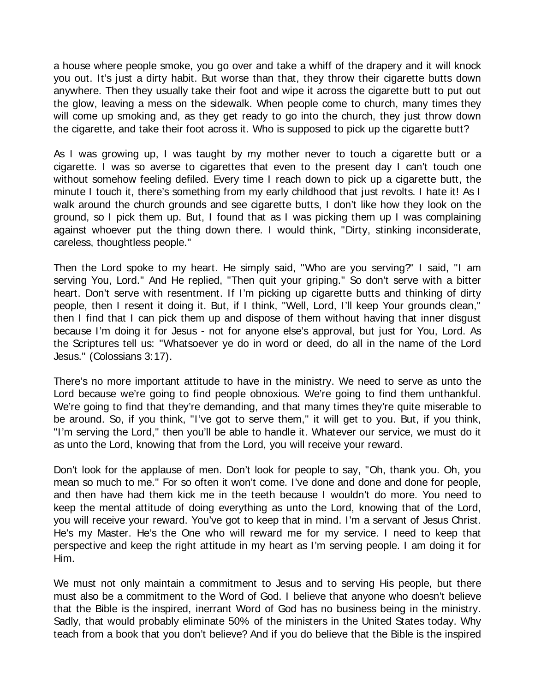a house where people smoke, you go over and take a whiff of the drapery and it will knock you out. It's just a dirty habit. But worse than that, they throw their cigarette butts down anywhere. Then they usually take their foot and wipe it across the cigarette butt to put out the glow, leaving a mess on the sidewalk. When people come to church, many times they will come up smoking and, as they get ready to go into the church, they just throw down the cigarette, and take their foot across it. Who is supposed to pick up the cigarette butt?

As I was growing up, I was taught by my mother never to touch a cigarette butt or a cigarette. I was so averse to cigarettes that even to the present day I can't touch one without somehow feeling defiled. Every time I reach down to pick up a cigarette butt, the minute I touch it, there's something from my early childhood that just revolts. I hate it! As I walk around the church grounds and see cigarette butts, I don't like how they look on the ground, so I pick them up. But, I found that as I was picking them up I was complaining against whoever put the thing down there. I would think, "Dirty, stinking inconsiderate, careless, thoughtless people."

Then the Lord spoke to my heart. He simply said, "Who are you serving?" I said, "I am serving You, Lord." And He replied, "Then quit your griping." So don't serve with a bitter heart. Don't serve with resentment. If I'm picking up cigarette butts and thinking of dirty people, then I resent it doing it. But, if I think, "Well, Lord, I'll keep Your grounds clean," then I find that I can pick them up and dispose of them without having that inner disgust because I'm doing it for Jesus - not for anyone else's approval, but just for You, Lord. As the Scriptures tell us: "Whatsoever ye do in word or deed, do all in the name of the Lord Jesus." (Colossians 3:17).

There's no more important attitude to have in the ministry. We need to serve as unto the Lord because we're going to find people obnoxious. We're going to find them unthankful. We're going to find that they're demanding, and that many times they're quite miserable to be around. So, if you think, "I've got to serve them," it will get to you. But, if you think, "I'm serving the Lord," then you'll be able to handle it. Whatever our service, we must do it as unto the Lord, knowing that from the Lord, you will receive your reward.

Don't look for the applause of men. Don't look for people to say, "Oh, thank you. Oh, you mean so much to me." For so often it won't come. I've done and done and done for people, and then have had them kick me in the teeth because I wouldn't do more. You need to keep the mental attitude of doing everything as unto the Lord, knowing that of the Lord, you will receive your reward. You've got to keep that in mind. I'm a servant of Jesus Christ. He's my Master. He's the One who will reward me for my service. I need to keep that perspective and keep the right attitude in my heart as I'm serving people. I am doing it for Him.

We must not only maintain a commitment to Jesus and to serving His people, but there must also be a commitment to the Word of God. I believe that anyone who doesn't believe that the Bible is the inspired, inerrant Word of God has no business being in the ministry. Sadly, that would probably eliminate 50% of the ministers in the United States today. Why teach from a book that you don't believe? And if you do believe that the Bible is the inspired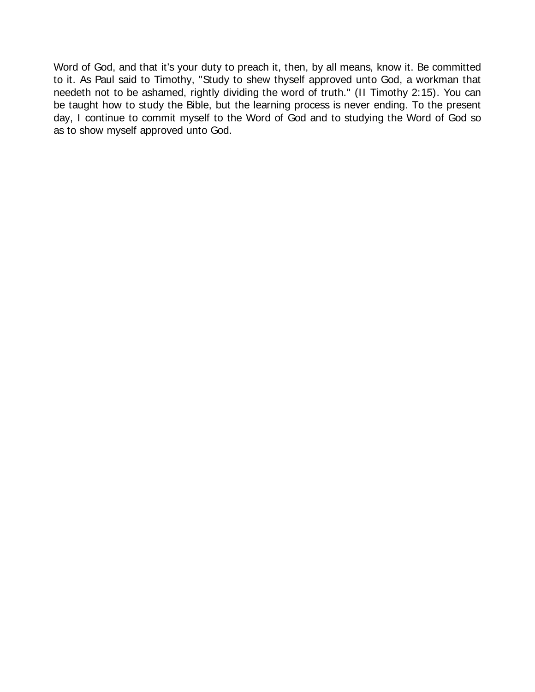Word of God, and that it's your duty to preach it, then, by all means, know it. Be committed to it. As Paul said to Timothy, "Study to shew thyself approved unto God, a workman that needeth not to be ashamed, rightly dividing the word of truth." (II Timothy 2:15). You can be taught how to study the Bible, but the learning process is never ending. To the present day, I continue to commit myself to the Word of God and to studying the Word of God so as to show myself approved unto God.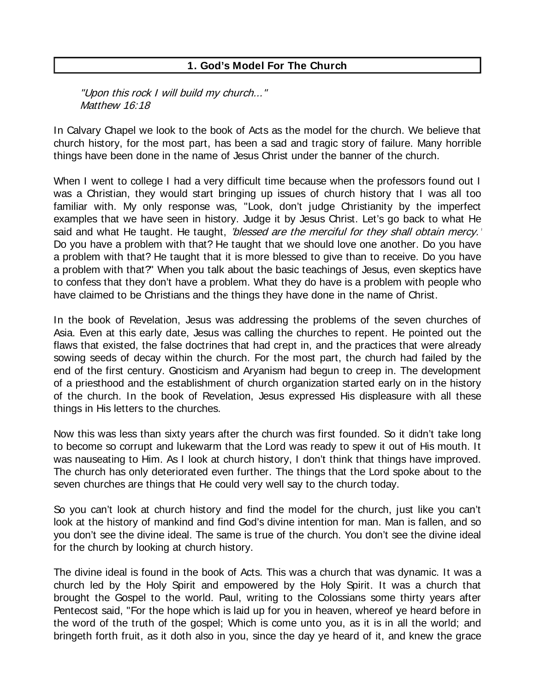#### **1. God's Model For The Church**

"Upon this rock I will build my church..." Matthew 16:18

In Calvary Chapel we look to the book of Acts as the model for the church. We believe that church history, for the most part, has been a sad and tragic story of failure. Many horrible things have been done in the name of Jesus Christ under the banner of the church.

When I went to college I had a very difficult time because when the professors found out I was a Christian, they would start bringing up issues of church history that I was all too familiar with. My only response was, "Look, don't judge Christianity by the imperfect examples that we have seen in history. Judge it by Jesus Christ. Let's go back to what He said and what He taught. He taught, 'blessed are the merciful for they shall obtain mercy.' Do you have a problem with that? He taught that we should love one another. Do you have a problem with that? He taught that it is more blessed to give than to receive. Do you have a problem with that?" When you talk about the basic teachings of Jesus, even skeptics have to confess that they don't have a problem. What they do have is a problem with people who have claimed to be Christians and the things they have done in the name of Christ.

In the book of Revelation, Jesus was addressing the problems of the seven churches of Asia. Even at this early date, Jesus was calling the churches to repent. He pointed out the flaws that existed, the false doctrines that had crept in, and the practices that were already sowing seeds of decay within the church. For the most part, the church had failed by the end of the first century. Gnosticism and Aryanism had begun to creep in. The development of a priesthood and the establishment of church organization started early on in the history of the church. In the book of Revelation, Jesus expressed His displeasure with all these things in His letters to the churches.

Now this was less than sixty years after the church was first founded. So it didn't take long to become so corrupt and lukewarm that the Lord was ready to spew it out of His mouth. It was nauseating to Him. As I look at church history, I don't think that things have improved. The church has only deteriorated even further. The things that the Lord spoke about to the seven churches are things that He could very well say to the church today.

So you can't look at church history and find the model for the church, just like you can't look at the history of mankind and find God's divine intention for man. Man is fallen, and so you don't see the divine ideal. The same is true of the church. You don't see the divine ideal for the church by looking at church history.

The divine ideal is found in the book of Acts. This was a church that was dynamic. It was a church led by the Holy Spirit and empowered by the Holy Spirit. It was a church that brought the Gospel to the world. Paul, writing to the Colossians some thirty years after Pentecost said, "For the hope which is laid up for you in heaven, whereof ye heard before in the word of the truth of the gospel; Which is come unto you, as it is in all the world; and bringeth forth fruit, as it doth also in you, since the day ye heard of it, and knew the grace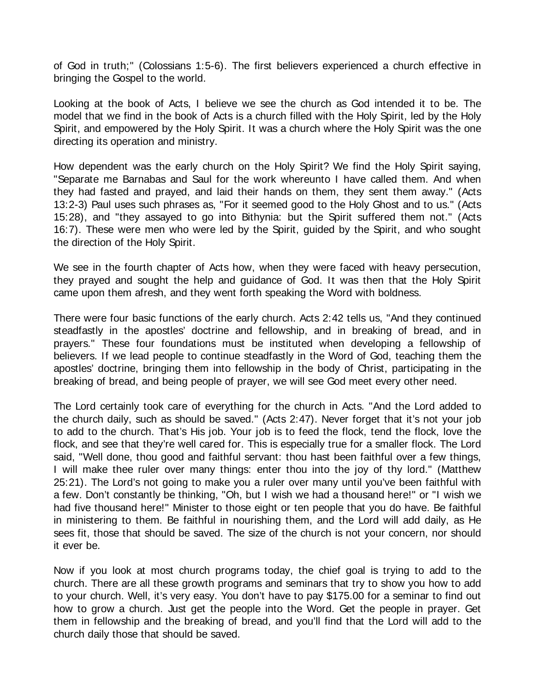of God in truth;" (Colossians 1:5-6). The first believers experienced a church effective in bringing the Gospel to the world.

Looking at the book of Acts, I believe we see the church as God intended it to be. The model that we find in the book of Acts is a church filled with the Holy Spirit, led by the Holy Spirit, and empowered by the Holy Spirit. It was a church where the Holy Spirit was the one directing its operation and ministry.

How dependent was the early church on the Holy Spirit? We find the Holy Spirit saying, "Separate me Barnabas and Saul for the work whereunto I have called them. And when they had fasted and prayed, and laid their hands on them, they sent them away." (Acts 13:2-3) Paul uses such phrases as, "For it seemed good to the Holy Ghost and to us." (Acts 15:28), and "they assayed to go into Bithynia: but the Spirit suffered them not." (Acts 16:7). These were men who were led by the Spirit, guided by the Spirit, and who sought the direction of the Holy Spirit.

We see in the fourth chapter of Acts how, when they were faced with heavy persecution, they prayed and sought the help and guidance of God. It was then that the Holy Spirit came upon them afresh, and they went forth speaking the Word with boldness.

There were four basic functions of the early church. Acts 2:42 tells us, "And they continued steadfastly in the apostles' doctrine and fellowship, and in breaking of bread, and in prayers." These four foundations must be instituted when developing a fellowship of believers. If we lead people to continue steadfastly in the Word of God, teaching them the apostles' doctrine, bringing them into fellowship in the body of Christ, participating in the breaking of bread, and being people of prayer, we will see God meet every other need.

The Lord certainly took care of everything for the church in Acts. "And the Lord added to the church daily, such as should be saved." (Acts 2:47). Never forget that it's not your job to add to the church. That's His job. Your job is to feed the flock, tend the flock, love the flock, and see that they're well cared for. This is especially true for a smaller flock. The Lord said, "Well done, thou good and faithful servant: thou hast been faithful over a few things, I will make thee ruler over many things: enter thou into the joy of thy lord." (Matthew 25:21). The Lord's not going to make you a ruler over many until you've been faithful with a few. Don't constantly be thinking, "Oh, but I wish we had a thousand here!" or "I wish we had five thousand here!" Minister to those eight or ten people that you do have. Be faithful in ministering to them. Be faithful in nourishing them, and the Lord will add daily, as He sees fit, those that should be saved. The size of the church is not your concern, nor should it ever be.

Now if you look at most church programs today, the chief goal is trying to add to the church. There are all these growth programs and seminars that try to show you how to add to your church. Well, it's very easy. You don't have to pay \$175.00 for a seminar to find out how to grow a church. Just get the people into the Word. Get the people in prayer. Get them in fellowship and the breaking of bread, and you'll find that the Lord will add to the church daily those that should be saved.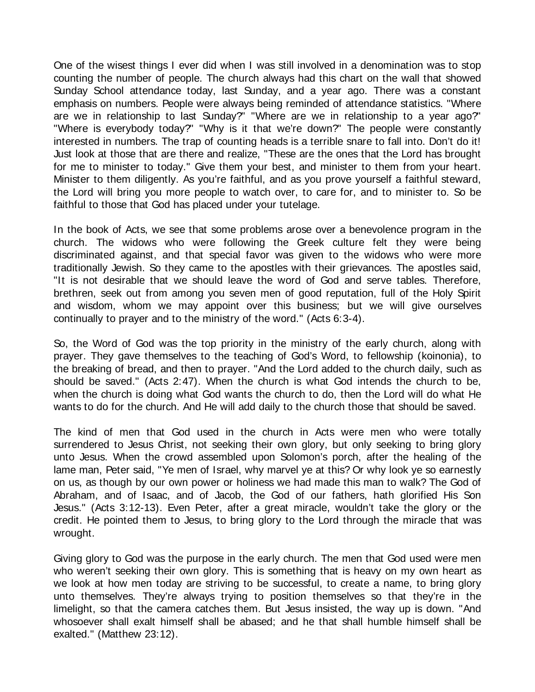One of the wisest things I ever did when I was still involved in a denomination was to stop counting the number of people. The church always had this chart on the wall that showed Sunday School attendance today, last Sunday, and a year ago. There was a constant emphasis on numbers. People were always being reminded of attendance statistics. "Where are we in relationship to last Sunday?" "Where are we in relationship to a year ago?" "Where is everybody today?" "Why is it that we're down?" The people were constantly interested in numbers. The trap of counting heads is a terrible snare to fall into. Don't do it! Just look at those that are there and realize, "These are the ones that the Lord has brought for me to minister to today." Give them your best, and minister to them from your heart. Minister to them diligently. As you're faithful, and as you prove yourself a faithful steward, the Lord will bring you more people to watch over, to care for, and to minister to. So be faithful to those that God has placed under your tutelage.

In the book of Acts, we see that some problems arose over a benevolence program in the church. The widows who were following the Greek culture felt they were being discriminated against, and that special favor was given to the widows who were more traditionally Jewish. So they came to the apostles with their grievances. The apostles said, "It is not desirable that we should leave the word of God and serve tables. Therefore, brethren, seek out from among you seven men of good reputation, full of the Holy Spirit and wisdom, whom we may appoint over this business; but we will give ourselves continually to prayer and to the ministry of the word." (Acts 6:3-4).

So, the Word of God was the top priority in the ministry of the early church, along with prayer. They gave themselves to the teaching of God's Word, to fellowship (koinonia), to the breaking of bread, and then to prayer. "And the Lord added to the church daily, such as should be saved." (Acts 2:47). When the church is what God intends the church to be, when the church is doing what God wants the church to do, then the Lord will do what He wants to do for the church. And He will add daily to the church those that should be saved.

The kind of men that God used in the church in Acts were men who were totally surrendered to Jesus Christ, not seeking their own glory, but only seeking to bring glory unto Jesus. When the crowd assembled upon Solomon's porch, after the healing of the lame man, Peter said, "Ye men of Israel, why marvel ye at this? Or why look ye so earnestly on us, as though by our own power or holiness we had made this man to walk? The God of Abraham, and of Isaac, and of Jacob, the God of our fathers, hath glorified His Son Jesus." (Acts 3:12-13). Even Peter, after a great miracle, wouldn't take the glory or the credit. He pointed them to Jesus, to bring glory to the Lord through the miracle that was wrought.

Giving glory to God was the purpose in the early church. The men that God used were men who weren't seeking their own glory. This is something that is heavy on my own heart as we look at how men today are striving to be successful, to create a name, to bring glory unto themselves. They're always trying to position themselves so that they're in the limelight, so that the camera catches them. But Jesus insisted, the way up is down. "And whosoever shall exalt himself shall be abased; and he that shall humble himself shall be exalted." (Matthew 23:12).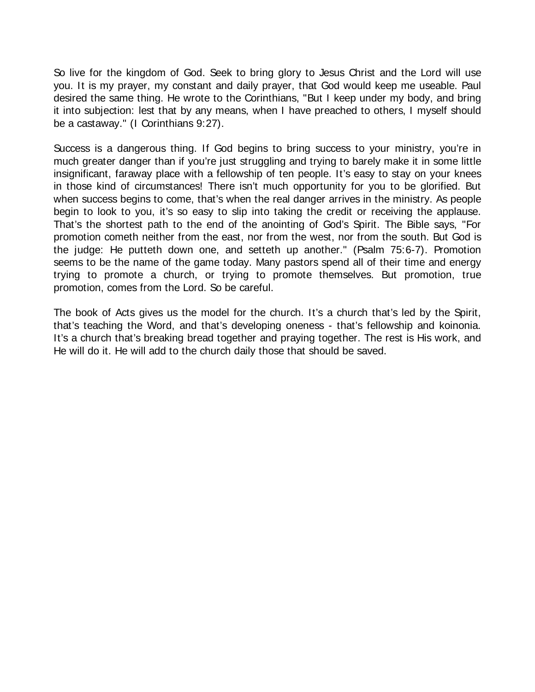So live for the kingdom of God. Seek to bring glory to Jesus Christ and the Lord will use you. It is my prayer, my constant and daily prayer, that God would keep me useable. Paul desired the same thing. He wrote to the Corinthians, "But I keep under my body, and bring it into subjection: lest that by any means, when I have preached to others, I myself should be a castaway." (I Corinthians 9:27).

Success is a dangerous thing. If God begins to bring success to your ministry, you're in much greater danger than if you're just struggling and trying to barely make it in some little insignificant, faraway place with a fellowship of ten people. It's easy to stay on your knees in those kind of circumstances! There isn't much opportunity for you to be glorified. But when success begins to come, that's when the real danger arrives in the ministry. As people begin to look to you, it's so easy to slip into taking the credit or receiving the applause. That's the shortest path to the end of the anointing of God's Spirit. The Bible says, "For promotion cometh neither from the east, nor from the west, nor from the south. But God is the judge: He putteth down one, and setteth up another." (Psalm 75:6-7). Promotion seems to be the name of the game today. Many pastors spend all of their time and energy trying to promote a church, or trying to promote themselves. But promotion, true promotion, comes from the Lord. So be careful.

The book of Acts gives us the model for the church. It's a church that's led by the Spirit, that's teaching the Word, and that's developing oneness - that's fellowship and koinonia. It's a church that's breaking bread together and praying together. The rest is His work, and He will do it. He will add to the church daily those that should be saved.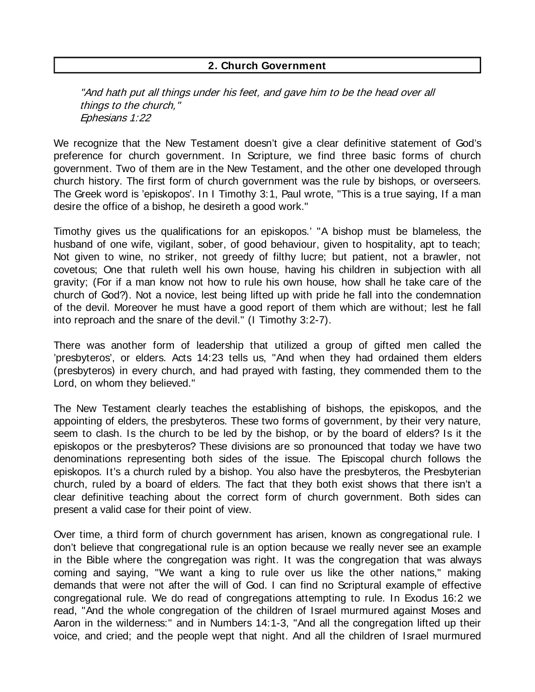#### **2. Church Government**

"And hath put all things under his feet, and gave him to be the head over all things to the church," Ephesians 1:22

We recognize that the New Testament doesn't give a clear definitive statement of God's preference for church government. In Scripture, we find three basic forms of church government. Two of them are in the New Testament, and the other one developed through church history. The first form of church government was the rule by bishops, or overseers. The Greek word is 'episkopos'. In I Timothy 3:1, Paul wrote, "This is a true saying, If a man desire the office of a bishop, he desireth a good work."

Timothy gives us the qualifications for an episkopos.' "A bishop must be blameless, the husband of one wife, vigilant, sober, of good behaviour, given to hospitality, apt to teach; Not given to wine, no striker, not greedy of filthy lucre; but patient, not a brawler, not covetous; One that ruleth well his own house, having his children in subjection with all gravity; (For if a man know not how to rule his own house, how shall he take care of the church of God?). Not a novice, lest being lifted up with pride he fall into the condemnation of the devil. Moreover he must have a good report of them which are without; lest he fall into reproach and the snare of the devil." (I Timothy 3:2-7).

There was another form of leadership that utilized a group of gifted men called the 'presbyteros', or elders. Acts 14:23 tells us, "And when they had ordained them elders (presbyteros) in every church, and had prayed with fasting, they commended them to the Lord, on whom they believed."

The New Testament clearly teaches the establishing of bishops, the episkopos, and the appointing of elders, the presbyteros. These two forms of government, by their very nature, seem to clash. Is the church to be led by the bishop, or by the board of elders? Is it the episkopos or the presbyteros? These divisions are so pronounced that today we have two denominations representing both sides of the issue. The Episcopal church follows the episkopos. It's a church ruled by a bishop. You also have the presbyteros, the Presbyterian church, ruled by a board of elders. The fact that they both exist shows that there isn't a clear definitive teaching about the correct form of church government. Both sides can present a valid case for their point of view.

Over time, a third form of church government has arisen, known as congregational rule. I don't believe that congregational rule is an option because we really never see an example in the Bible where the congregation was right. It was the congregation that was always coming and saying, "We want a king to rule over us like the other nations," making demands that were not after the will of God. I can find no Scriptural example of effective congregational rule. We do read of congregations attempting to rule. In Exodus 16:2 we read, "And the whole congregation of the children of Israel murmured against Moses and Aaron in the wilderness:" and in Numbers 14:1-3, "And all the congregation lifted up their voice, and cried; and the people wept that night. And all the children of Israel murmured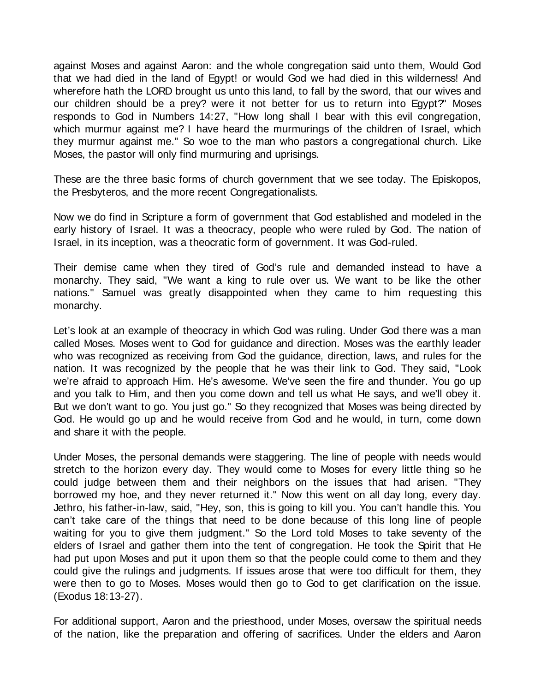against Moses and against Aaron: and the whole congregation said unto them, Would God that we had died in the land of Egypt! or would God we had died in this wilderness! And wherefore hath the LORD brought us unto this land, to fall by the sword, that our wives and our children should be a prey? were it not better for us to return into Egypt?" Moses responds to God in Numbers 14:27, "How long shall I bear with this evil congregation, which murmur against me? I have heard the murmurings of the children of Israel, which they murmur against me." So woe to the man who pastors a congregational church. Like Moses, the pastor will only find murmuring and uprisings.

These are the three basic forms of church government that we see today. The Episkopos, the Presbyteros, and the more recent Congregationalists.

Now we do find in Scripture a form of government that God established and modeled in the early history of Israel. It was a theocracy, people who were ruled by God. The nation of Israel, in its inception, was a theocratic form of government. It was God-ruled.

Their demise came when they tired of God's rule and demanded instead to have a monarchy. They said, "We want a king to rule over us. We want to be like the other nations." Samuel was greatly disappointed when they came to him requesting this monarchy.

Let's look at an example of theocracy in which God was ruling. Under God there was a man called Moses. Moses went to God for guidance and direction. Moses was the earthly leader who was recognized as receiving from God the guidance, direction, laws, and rules for the nation. It was recognized by the people that he was their link to God. They said, "Look we're afraid to approach Him. He's awesome. We've seen the fire and thunder. You go up and you talk to Him, and then you come down and tell us what He says, and we'll obey it. But we don't want to go. You just go." So they recognized that Moses was being directed by God. He would go up and he would receive from God and he would, in turn, come down and share it with the people.

Under Moses, the personal demands were staggering. The line of people with needs would stretch to the horizon every day. They would come to Moses for every little thing so he could judge between them and their neighbors on the issues that had arisen. "They borrowed my hoe, and they never returned it." Now this went on all day long, every day. Jethro, his father-in-law, said, "Hey, son, this is going to kill you. You can't handle this. You can't take care of the things that need to be done because of this long line of people waiting for you to give them judgment." So the Lord told Moses to take seventy of the elders of Israel and gather them into the tent of congregation. He took the Spirit that He had put upon Moses and put it upon them so that the people could come to them and they could give the rulings and judgments. If issues arose that were too difficult for them, they were then to go to Moses. Moses would then go to God to get clarification on the issue. (Exodus 18:13-27).

For additional support, Aaron and the priesthood, under Moses, oversaw the spiritual needs of the nation, like the preparation and offering of sacrifices. Under the elders and Aaron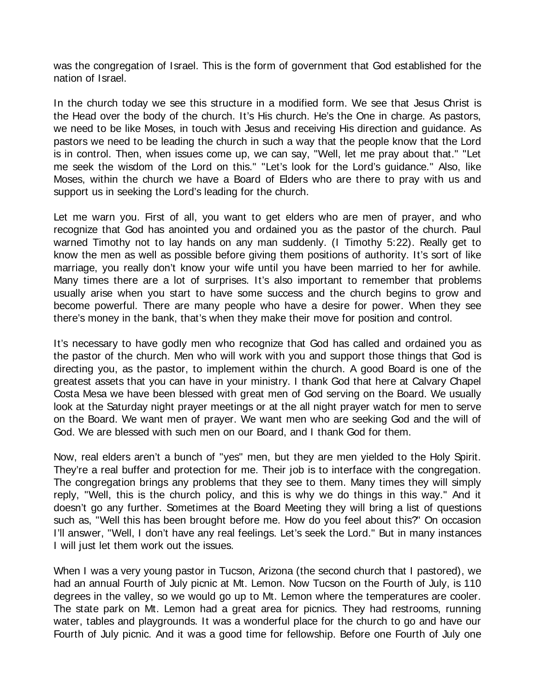was the congregation of Israel. This is the form of government that God established for the nation of Israel.

In the church today we see this structure in a modified form. We see that Jesus Christ is the Head over the body of the church. It's His church. He's the One in charge. As pastors, we need to be like Moses, in touch with Jesus and receiving His direction and guidance. As pastors we need to be leading the church in such a way that the people know that the Lord is in control. Then, when issues come up, we can say, "Well, let me pray about that." "Let me seek the wisdom of the Lord on this." "Let's look for the Lord's guidance." Also, like Moses, within the church we have a Board of Elders who are there to pray with us and support us in seeking the Lord's leading for the church.

Let me warn you. First of all, you want to get elders who are men of prayer, and who recognize that God has anointed you and ordained you as the pastor of the church. Paul warned Timothy not to lay hands on any man suddenly. (I Timothy 5:22). Really get to know the men as well as possible before giving them positions of authority. It's sort of like marriage, you really don't know your wife until you have been married to her for awhile. Many times there are a lot of surprises. It's also important to remember that problems usually arise when you start to have some success and the church begins to grow and become powerful. There are many people who have a desire for power. When they see there's money in the bank, that's when they make their move for position and control.

It's necessary to have godly men who recognize that God has called and ordained you as the pastor of the church. Men who will work with you and support those things that God is directing you, as the pastor, to implement within the church. A good Board is one of the greatest assets that you can have in your ministry. I thank God that here at Calvary Chapel Costa Mesa we have been blessed with great men of God serving on the Board. We usually look at the Saturday night prayer meetings or at the all night prayer watch for men to serve on the Board. We want men of prayer. We want men who are seeking God and the will of God. We are blessed with such men on our Board, and I thank God for them.

Now, real elders aren't a bunch of "yes" men, but they are men yielded to the Holy Spirit. They're a real buffer and protection for me. Their job is to interface with the congregation. The congregation brings any problems that they see to them. Many times they will simply reply, "Well, this is the church policy, and this is why we do things in this way." And it doesn't go any further. Sometimes at the Board Meeting they will bring a list of questions such as, "Well this has been brought before me. How do you feel about this?" On occasion I'll answer, "Well, I don't have any real feelings. Let's seek the Lord." But in many instances I will just let them work out the issues.

When I was a very young pastor in Tucson, Arizona (the second church that I pastored), we had an annual Fourth of July picnic at Mt. Lemon. Now Tucson on the Fourth of July, is 110 degrees in the valley, so we would go up to Mt. Lemon where the temperatures are cooler. The state park on Mt. Lemon had a great area for picnics. They had restrooms, running water, tables and playgrounds. It was a wonderful place for the church to go and have our Fourth of July picnic. And it was a good time for fellowship. Before one Fourth of July one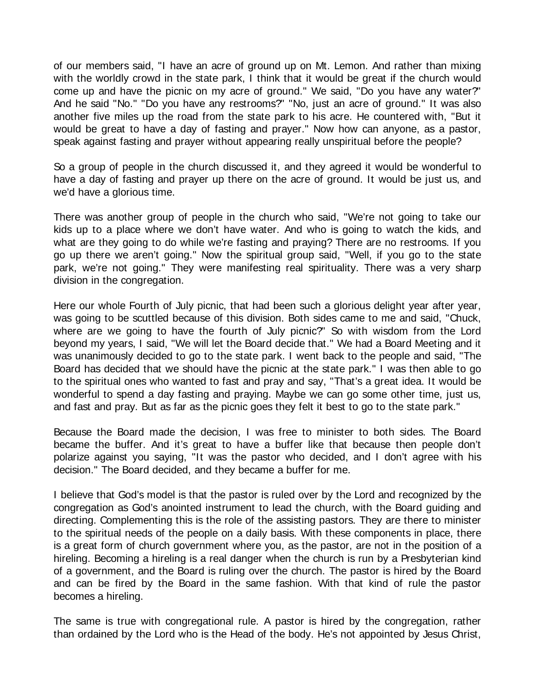of our members said, "I have an acre of ground up on Mt. Lemon. And rather than mixing with the worldly crowd in the state park, I think that it would be great if the church would come up and have the picnic on my acre of ground." We said, "Do you have any water?" And he said "No." "Do you have any restrooms?" "No, just an acre of ground." It was also another five miles up the road from the state park to his acre. He countered with, "But it would be great to have a day of fasting and prayer." Now how can anyone, as a pastor, speak against fasting and prayer without appearing really unspiritual before the people?

So a group of people in the church discussed it, and they agreed it would be wonderful to have a day of fasting and prayer up there on the acre of ground. It would be just us, and we'd have a glorious time.

There was another group of people in the church who said, "We're not going to take our kids up to a place where we don't have water. And who is going to watch the kids, and what are they going to do while we're fasting and praying? There are no restrooms. If you go up there we aren't going." Now the spiritual group said, "Well, if you go to the state park, we're not going." They were manifesting real spirituality. There was a very sharp division in the congregation.

Here our whole Fourth of July picnic, that had been such a glorious delight year after year, was going to be scuttled because of this division. Both sides came to me and said, "Chuck, where are we going to have the fourth of July picnic?" So with wisdom from the Lord beyond my years, I said, "We will let the Board decide that." We had a Board Meeting and it was unanimously decided to go to the state park. I went back to the people and said, "The Board has decided that we should have the picnic at the state park." I was then able to go to the spiritual ones who wanted to fast and pray and say, "That's a great idea. It would be wonderful to spend a day fasting and praying. Maybe we can go some other time, just us, and fast and pray. But as far as the picnic goes they felt it best to go to the state park."

Because the Board made the decision, I was free to minister to both sides. The Board became the buffer. And it's great to have a buffer like that because then people don't polarize against you saying, "It was the pastor who decided, and I don't agree with his decision." The Board decided, and they became a buffer for me.

I believe that God's model is that the pastor is ruled over by the Lord and recognized by the congregation as God's anointed instrument to lead the church, with the Board guiding and directing. Complementing this is the role of the assisting pastors. They are there to minister to the spiritual needs of the people on a daily basis. With these components in place, there is a great form of church government where you, as the pastor, are not in the position of a hireling. Becoming a hireling is a real danger when the church is run by a Presbyterian kind of a government, and the Board is ruling over the church. The pastor is hired by the Board and can be fired by the Board in the same fashion. With that kind of rule the pastor becomes a hireling.

The same is true with congregational rule. A pastor is hired by the congregation, rather than ordained by the Lord who is the Head of the body. He's not appointed by Jesus Christ,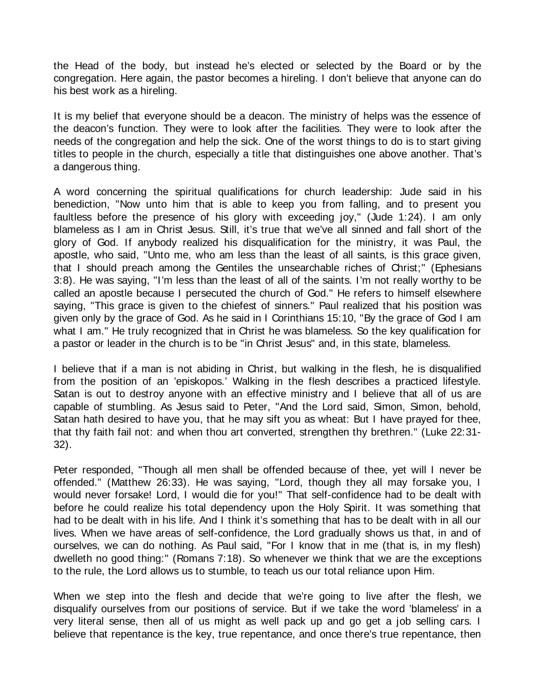the Head of the body, but instead he's elected or selected by the Board or by the congregation. Here again, the pastor becomes a hireling. I don't believe that anyone can do his best work as a hireling.

It is my belief that everyone should be a deacon. The ministry of helps was the essence of the deacon's function. They were to look after the facilities. They were to look after the needs of the congregation and help the sick. One of the worst things to do is to start giving titles to people in the church, especially a title that distinguishes one above another. That's a dangerous thing.

A word concerning the spiritual qualifications for church leadership: Jude said in his benediction, "Now unto him that is able to keep you from falling, and to present you faultless before the presence of his glory with exceeding joy," (Jude 1:24). I am only blameless as I am in Christ Jesus. Still, it's true that we've all sinned and fall short of the glory of God. If anybody realized his disqualification for the ministry, it was Paul, the apostle, who said, "Unto me, who am less than the least of all saints, is this grace given, that I should preach among the Gentiles the unsearchable riches of Christ;" (Ephesians 3:8). He was saying, "I'm less than the least of all of the saints. I'm not really worthy to be called an apostle because I persecuted the church of God." He refers to himself elsewhere saying, "This grace is given to the chiefest of sinners." Paul realized that his position was given only by the grace of God. As he said in I Corinthians 15:10, "By the grace of God I am what I am." He truly recognized that in Christ he was blameless. So the key qualification for a pastor or leader in the church is to be "in Christ Jesus" and, in this state, blameless.

I believe that if a man is not abiding in Christ, but walking in the flesh, he is disqualified from the position of an 'episkopos.' Walking in the flesh describes a practiced lifestyle. Satan is out to destroy anyone with an effective ministry and I believe that all of us are capable of stumbling. As Jesus said to Peter, "And the Lord said, Simon, Simon, behold, Satan hath desired to have you, that he may sift you as wheat: But I have prayed for thee, that thy faith fail not: and when thou art converted, strengthen thy brethren." (Luke 22:31- 32).

Peter responded, "Though all men shall be offended because of thee, yet will I never be offended." (Matthew 26:33). He was saying, "Lord, though they all may forsake you, I would never forsake! Lord, I would die for you!" That self-confidence had to be dealt with before he could realize his total dependency upon the Holy Spirit. It was something that had to be dealt with in his life. And I think it's something that has to be dealt with in all our lives. When we have areas of self-confidence, the Lord gradually shows us that, in and of ourselves, we can do nothing. As Paul said, "For I know that in me (that is, in my flesh) dwelleth no good thing:" (Romans 7:18). So whenever we think that we are the exceptions to the rule, the Lord allows us to stumble, to teach us our total reliance upon Him.

When we step into the flesh and decide that we're going to live after the flesh, we disqualify ourselves from our positions of service. But if we take the word 'blameless' in a very literal sense, then all of us might as well pack up and go get a job selling cars. I believe that repentance is the key, true repentance, and once there's true repentance, then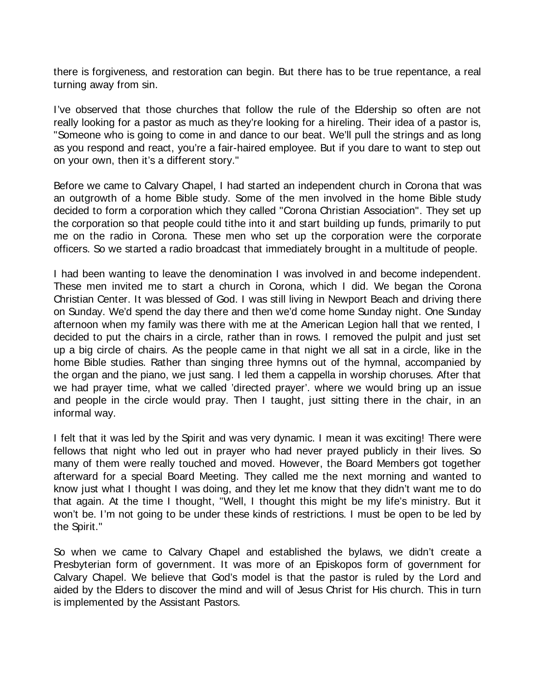there is forgiveness, and restoration can begin. But there has to be true repentance, a real turning away from sin.

I've observed that those churches that follow the rule of the Eldership so often are not really looking for a pastor as much as they're looking for a hireling. Their idea of a pastor is, "Someone who is going to come in and dance to our beat. We'll pull the strings and as long as you respond and react, you're a fair-haired employee. But if you dare to want to step out on your own, then it's a different story."

Before we came to Calvary Chapel, I had started an independent church in Corona that was an outgrowth of a home Bible study. Some of the men involved in the home Bible study decided to form a corporation which they called "Corona Christian Association". They set up the corporation so that people could tithe into it and start building up funds, primarily to put me on the radio in Corona. These men who set up the corporation were the corporate officers. So we started a radio broadcast that immediately brought in a multitude of people.

I had been wanting to leave the denomination I was involved in and become independent. These men invited me to start a church in Corona, which I did. We began the Corona Christian Center. It was blessed of God. I was still living in Newport Beach and driving there on Sunday. We'd spend the day there and then we'd come home Sunday night. One Sunday afternoon when my family was there with me at the American Legion hall that we rented, I decided to put the chairs in a circle, rather than in rows. I removed the pulpit and just set up a big circle of chairs. As the people came in that night we all sat in a circle, like in the home Bible studies. Rather than singing three hymns out of the hymnal, accompanied by the organ and the piano, we just sang. I led them a cappella in worship choruses. After that we had prayer time, what we called 'directed prayer'. where we would bring up an issue and people in the circle would pray. Then I taught, just sitting there in the chair, in an informal way.

I felt that it was led by the Spirit and was very dynamic. I mean it was exciting! There were fellows that night who led out in prayer who had never prayed publicly in their lives. So many of them were really touched and moved. However, the Board Members got together afterward for a special Board Meeting. They called me the next morning and wanted to know just what I thought I was doing, and they let me know that they didn't want me to do that again. At the time I thought, "Well, I thought this might be my life's ministry. But it won't be. I'm not going to be under these kinds of restrictions. I must be open to be led by the Spirit."

So when we came to Calvary Chapel and established the bylaws, we didn't create a Presbyterian form of government. It was more of an Episkopos form of government for Calvary Chapel. We believe that God's model is that the pastor is ruled by the Lord and aided by the Elders to discover the mind and will of Jesus Christ for His church. This in turn is implemented by the Assistant Pastors.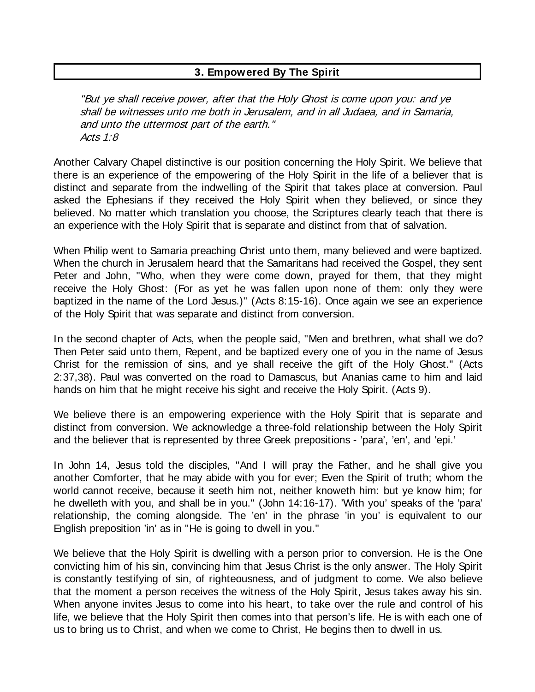## **3. Empowered By The Spirit**

"But ye shall receive power, after that the Holy Ghost is come upon you: and ye shall be witnesses unto me both in Jerusalem, and in all Judaea, and in Samaria, and unto the uttermost part of the earth." Acts 1:8

Another Calvary Chapel distinctive is our position concerning the Holy Spirit. We believe that there is an experience of the empowering of the Holy Spirit in the life of a believer that is distinct and separate from the indwelling of the Spirit that takes place at conversion. Paul asked the Ephesians if they received the Holy Spirit when they believed, or since they believed. No matter which translation you choose, the Scriptures clearly teach that there is an experience with the Holy Spirit that is separate and distinct from that of salvation.

When Philip went to Samaria preaching Christ unto them, many believed and were baptized. When the church in Jerusalem heard that the Samaritans had received the Gospel, they sent Peter and John, "Who, when they were come down, prayed for them, that they might receive the Holy Ghost: (For as yet he was fallen upon none of them: only they were baptized in the name of the Lord Jesus.)" (Acts 8:15-16). Once again we see an experience of the Holy Spirit that was separate and distinct from conversion.

In the second chapter of Acts, when the people said, "Men and brethren, what shall we do? Then Peter said unto them, Repent, and be baptized every one of you in the name of Jesus Christ for the remission of sins, and ye shall receive the gift of the Holy Ghost." (Acts 2:37,38). Paul was converted on the road to Damascus, but Ananias came to him and laid hands on him that he might receive his sight and receive the Holy Spirit. (Acts 9).

We believe there is an empowering experience with the Holy Spirit that is separate and distinct from conversion. We acknowledge a three-fold relationship between the Holy Spirit and the believer that is represented by three Greek prepositions - 'para', 'en', and 'epi.'

In John 14, Jesus told the disciples, "And I will pray the Father, and he shall give you another Comforter, that he may abide with you for ever; Even the Spirit of truth; whom the world cannot receive, because it seeth him not, neither knoweth him: but ye know him; for he dwelleth with you, and shall be in you." (John 14:16-17). 'With you' speaks of the 'para' relationship, the coming alongside. The 'en' in the phrase 'in you' is equivalent to our English preposition 'in' as in "He is going to dwell in you."

We believe that the Holy Spirit is dwelling with a person prior to conversion. He is the One convicting him of his sin, convincing him that Jesus Christ is the only answer. The Holy Spirit is constantly testifying of sin, of righteousness, and of judgment to come. We also believe that the moment a person receives the witness of the Holy Spirit, Jesus takes away his sin. When anyone invites Jesus to come into his heart, to take over the rule and control of his life, we believe that the Holy Spirit then comes into that person's life. He is with each one of us to bring us to Christ, and when we come to Christ, He begins then to dwell in us.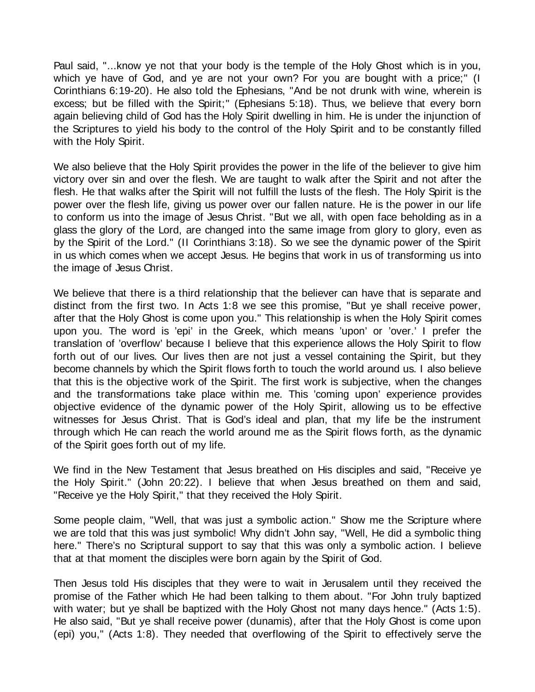Paul said, "...know ye not that your body is the temple of the Holy Ghost which is in you, which ye have of God, and ye are not your own? For you are bought with a price;" (I Corinthians 6:19-20). He also told the Ephesians, "And be not drunk with wine, wherein is excess; but be filled with the Spirit;" (Ephesians 5:18). Thus, we believe that every born again believing child of God has the Holy Spirit dwelling in him. He is under the injunction of the Scriptures to yield his body to the control of the Holy Spirit and to be constantly filled with the Holy Spirit.

We also believe that the Holy Spirit provides the power in the life of the believer to give him victory over sin and over the flesh. We are taught to walk after the Spirit and not after the flesh. He that walks after the Spirit will not fulfill the lusts of the flesh. The Holy Spirit is the power over the flesh life, giving us power over our fallen nature. He is the power in our life to conform us into the image of Jesus Christ. "But we all, with open face beholding as in a glass the glory of the Lord, are changed into the same image from glory to glory, even as by the Spirit of the Lord." (II Corinthians 3:18). So we see the dynamic power of the Spirit in us which comes when we accept Jesus. He begins that work in us of transforming us into the image of Jesus Christ.

We believe that there is a third relationship that the believer can have that is separate and distinct from the first two. In Acts 1:8 we see this promise, "But ye shall receive power, after that the Holy Ghost is come upon you." This relationship is when the Holy Spirit comes upon you. The word is 'epi' in the Greek, which means 'upon' or 'over.' I prefer the translation of 'overflow' because I believe that this experience allows the Holy Spirit to flow forth out of our lives. Our lives then are not just a vessel containing the Spirit, but they become channels by which the Spirit flows forth to touch the world around us. I also believe that this is the objective work of the Spirit. The first work is subjective, when the changes and the transformations take place within me. This 'coming upon' experience provides objective evidence of the dynamic power of the Holy Spirit, allowing us to be effective witnesses for Jesus Christ. That is God's ideal and plan, that my life be the instrument through which He can reach the world around me as the Spirit flows forth, as the dynamic of the Spirit goes forth out of my life.

We find in the New Testament that Jesus breathed on His disciples and said, "Receive ye the Holy Spirit." (John 20:22). I believe that when Jesus breathed on them and said, "Receive ye the Holy Spirit," that they received the Holy Spirit.

Some people claim, "Well, that was just a symbolic action." Show me the Scripture where we are told that this was just symbolic! Why didn't John say, "Well, He did a symbolic thing here." There's no Scriptural support to say that this was only a symbolic action. I believe that at that moment the disciples were born again by the Spirit of God.

Then Jesus told His disciples that they were to wait in Jerusalem until they received the promise of the Father which He had been talking to them about. "For John truly baptized with water; but ye shall be baptized with the Holy Ghost not many days hence." (Acts 1:5). He also said, "But ye shall receive power (dunamis), after that the Holy Ghost is come upon (epi) you," (Acts 1:8). They needed that overflowing of the Spirit to effectively serve the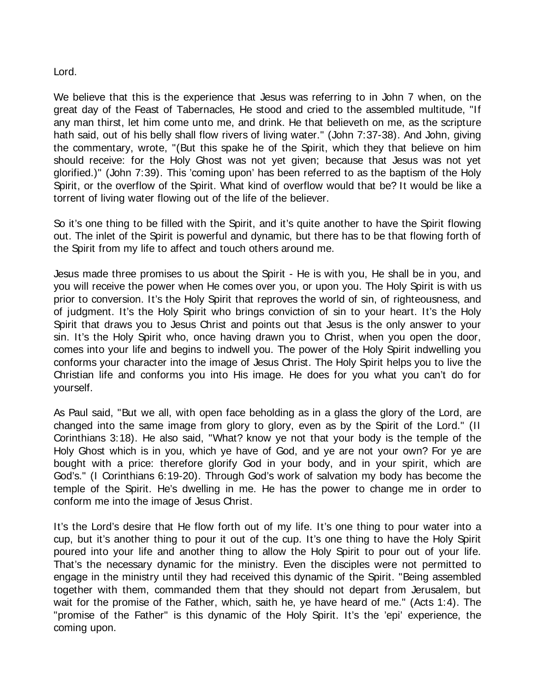#### Lord.

We believe that this is the experience that Jesus was referring to in John 7 when, on the great day of the Feast of Tabernacles, He stood and cried to the assembled multitude, "If any man thirst, let him come unto me, and drink. He that believeth on me, as the scripture hath said, out of his belly shall flow rivers of living water." (John 7:37-38). And John, giving the commentary, wrote, "(But this spake he of the Spirit, which they that believe on him should receive: for the Holy Ghost was not yet given; because that Jesus was not yet glorified.)" (John 7:39). This 'coming upon' has been referred to as the baptism of the Holy Spirit, or the overflow of the Spirit. What kind of overflow would that be? It would be like a torrent of living water flowing out of the life of the believer.

So it's one thing to be filled with the Spirit, and it's quite another to have the Spirit flowing out. The inlet of the Spirit is powerful and dynamic, but there has to be that flowing forth of the Spirit from my life to affect and touch others around me.

Jesus made three promises to us about the Spirit - He is with you, He shall be in you, and you will receive the power when He comes over you, or upon you. The Holy Spirit is with us prior to conversion. It's the Holy Spirit that reproves the world of sin, of righteousness, and of judgment. It's the Holy Spirit who brings conviction of sin to your heart. It's the Holy Spirit that draws you to Jesus Christ and points out that Jesus is the only answer to your sin. It's the Holy Spirit who, once having drawn you to Christ, when you open the door, comes into your life and begins to indwell you. The power of the Holy Spirit indwelling you conforms your character into the image of Jesus Christ. The Holy Spirit helps you to live the Christian life and conforms you into His image. He does for you what you can't do for yourself.

As Paul said, "But we all, with open face beholding as in a glass the glory of the Lord, are changed into the same image from glory to glory, even as by the Spirit of the Lord." (II Corinthians 3:18). He also said, "What? know ye not that your body is the temple of the Holy Ghost which is in you, which ye have of God, and ye are not your own? For ye are bought with a price: therefore glorify God in your body, and in your spirit, which are God's." (I Corinthians 6:19-20). Through God's work of salvation my body has become the temple of the Spirit. He's dwelling in me. He has the power to change me in order to conform me into the image of Jesus Christ.

It's the Lord's desire that He flow forth out of my life. It's one thing to pour water into a cup, but it's another thing to pour it out of the cup. It's one thing to have the Holy Spirit poured into your life and another thing to allow the Holy Spirit to pour out of your life. That's the necessary dynamic for the ministry. Even the disciples were not permitted to engage in the ministry until they had received this dynamic of the Spirit. "Being assembled together with them, commanded them that they should not depart from Jerusalem, but wait for the promise of the Father, which, saith he, ye have heard of me." (Acts 1:4). The "promise of the Father" is this dynamic of the Holy Spirit. It's the 'epi' experience, the coming upon.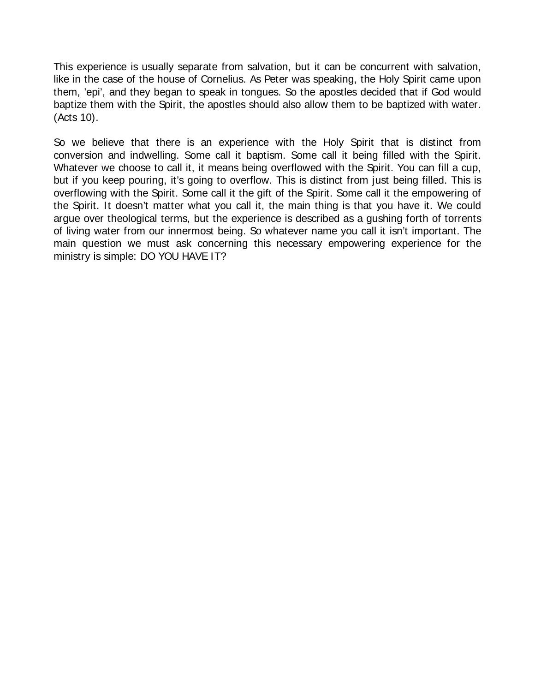This experience is usually separate from salvation, but it can be concurrent with salvation, like in the case of the house of Cornelius. As Peter was speaking, the Holy Spirit came upon them, 'epi', and they began to speak in tongues. So the apostles decided that if God would baptize them with the Spirit, the apostles should also allow them to be baptized with water. (Acts 10).

So we believe that there is an experience with the Holy Spirit that is distinct from conversion and indwelling. Some call it baptism. Some call it being filled with the Spirit. Whatever we choose to call it, it means being overflowed with the Spirit. You can fill a cup, but if you keep pouring, it's going to overflow. This is distinct from just being filled. This is overflowing with the Spirit. Some call it the gift of the Spirit. Some call it the empowering of the Spirit. It doesn't matter what you call it, the main thing is that you have it. We could argue over theological terms, but the experience is described as a gushing forth of torrents of living water from our innermost being. So whatever name you call it isn't important. The main question we must ask concerning this necessary empowering experience for the ministry is simple: DO YOU HAVE IT?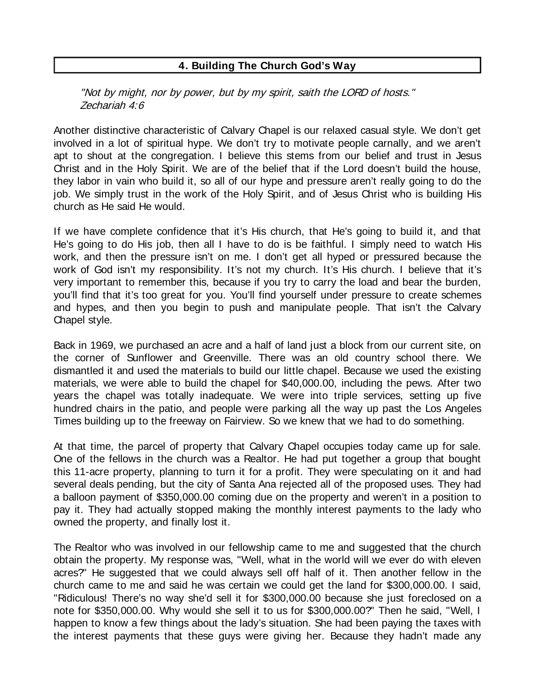## **4. Building The Church God's Way**

"Not by might, nor by power, but by my spirit, saith the LORD of hosts." Zechariah 4:6

Another distinctive characteristic of Calvary Chapel is our relaxed casual style. We don't get involved in a lot of spiritual hype. We don't try to motivate people carnally, and we aren't apt to shout at the congregation. I believe this stems from our belief and trust in Jesus Christ and in the Holy Spirit. We are of the belief that if the Lord doesn't build the house, they labor in vain who build it, so all of our hype and pressure aren't really going to do the job. We simply trust in the work of the Holy Spirit, and of Jesus Christ who is building His church as He said He would.

If we have complete confidence that it's His church, that He's going to build it, and that He's going to do His job, then all I have to do is be faithful. I simply need to watch His work, and then the pressure isn't on me. I don't get all hyped or pressured because the work of God isn't my responsibility. It's not my church. It's His church. I believe that it's very important to remember this, because if you try to carry the load and bear the burden, you'll find that it's too great for you. You'll find yourself under pressure to create schemes and hypes, and then you begin to push and manipulate people. That isn't the Calvary Chapel style.

Back in 1969, we purchased an acre and a half of land just a block from our current site, on the corner of Sunflower and Greenville. There was an old country school there. We dismantled it and used the materials to build our little chapel. Because we used the existing materials, we were able to build the chapel for \$40,000.00, including the pews. After two years the chapel was totally inadequate. We were into triple services, setting up five hundred chairs in the patio, and people were parking all the way up past the Los Angeles Times building up to the freeway on Fairview. So we knew that we had to do something.

At that time, the parcel of property that Calvary Chapel occupies today came up for sale. One of the fellows in the church was a Realtor. He had put together a group that bought this 11-acre property, planning to turn it for a profit. They were speculating on it and had several deals pending, but the city of Santa Ana rejected all of the proposed uses. They had a balloon payment of \$350,000.00 coming due on the property and weren't in a position to pay it. They had actually stopped making the monthly interest payments to the lady who owned the property, and finally lost it.

The Realtor who was involved in our fellowship came to me and suggested that the church obtain the property. My response was, "Well, what in the world will we ever do with eleven acres?" He suggested that we could always sell off half of it. Then another fellow in the church came to me and said he was certain we could get the land for \$300,000.00. I said, "Ridiculous! There's no way she'd sell it for \$300,000.00 because she just foreclosed on a note for \$350,000.00. Why would she sell it to us for \$300,000.00?" Then he said, "Well, I happen to know a few things about the lady's situation. She had been paying the taxes with the interest payments that these guys were giving her. Because they hadn't made any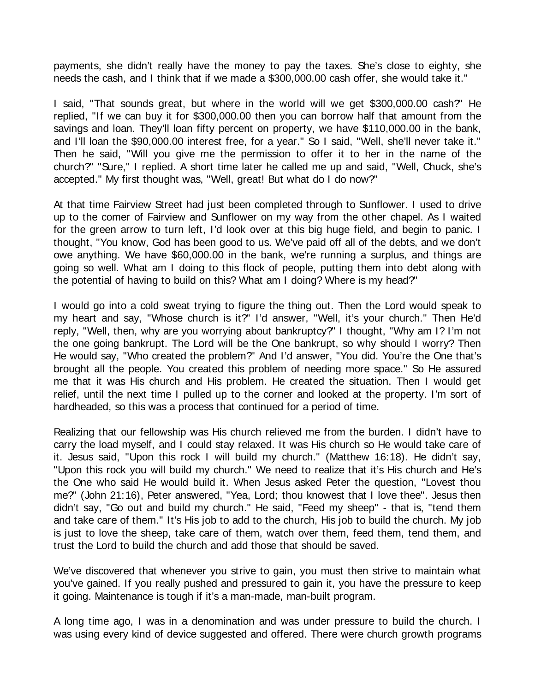payments, she didn't really have the money to pay the taxes. She's close to eighty, she needs the cash, and I think that if we made a \$300,000.00 cash offer, she would take it."

I said, "That sounds great, but where in the world will we get \$300,000.00 cash?" He replied, "If we can buy it for \$300,000.00 then you can borrow half that amount from the savings and loan. They'll loan fifty percent on property, we have \$110,000.00 in the bank, and I'll loan the \$90,000.00 interest free, for a year." So I said, "Well, she'll never take it." Then he said, "Will you give me the permission to offer it to her in the name of the church?" "Sure," I replied. A short time later he called me up and said, "Well, Chuck, she's accepted." My first thought was, "Well, great! But what do I do now?"

At that time Fairview Street had just been completed through to Sunflower. I used to drive up to the comer of Fairview and Sunflower on my way from the other chapel. As I waited for the green arrow to turn left, I'd look over at this big huge field, and begin to panic. I thought, "You know, God has been good to us. We've paid off all of the debts, and we don't owe anything. We have \$60,000.00 in the bank, we're running a surplus, and things are going so well. What am I doing to this flock of people, putting them into debt along with the potential of having to build on this? What am I doing? Where is my head?"

I would go into a cold sweat trying to figure the thing out. Then the Lord would speak to my heart and say, "Whose church is it?" I'd answer, "Well, it's your church." Then He'd reply, "Well, then, why are you worrying about bankruptcy?" I thought, "Why am I? I'm not the one going bankrupt. The Lord will be the One bankrupt, so why should I worry? Then He would say, "Who created the problem?" And I'd answer, "You did. You're the One that's brought all the people. You created this problem of needing more space." So He assured me that it was His church and His problem. He created the situation. Then I would get relief, until the next time I pulled up to the corner and looked at the property. I'm sort of hardheaded, so this was a process that continued for a period of time.

Realizing that our fellowship was His church relieved me from the burden. I didn't have to carry the load myself, and I could stay relaxed. It was His church so He would take care of it. Jesus said, "Upon this rock I will build my church." (Matthew 16:18). He didn't say, "Upon this rock you will build my church." We need to realize that it's His church and He's the One who said He would build it. When Jesus asked Peter the question, "Lovest thou me?" (John 21:16), Peter answered, "Yea, Lord; thou knowest that I love thee". Jesus then didn't say, "Go out and build my church." He said, "Feed my sheep" - that is, "tend them and take care of them." It's His job to add to the church, His job to build the church. My job is just to love the sheep, take care of them, watch over them, feed them, tend them, and trust the Lord to build the church and add those that should be saved.

We've discovered that whenever you strive to gain, you must then strive to maintain what you've gained. If you really pushed and pressured to gain it, you have the pressure to keep it going. Maintenance is tough if it's a man-made, man-built program.

A long time ago, I was in a denomination and was under pressure to build the church. I was using every kind of device suggested and offered. There were church growth programs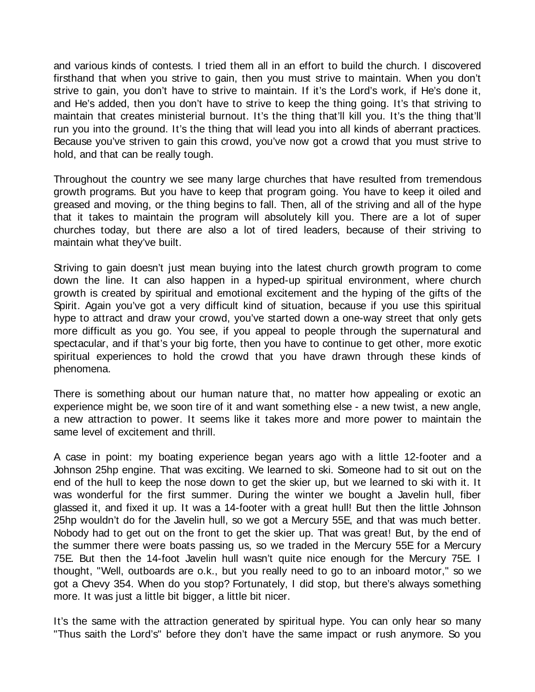and various kinds of contests. I tried them all in an effort to build the church. I discovered firsthand that when you strive to gain, then you must strive to maintain. When you don't strive to gain, you don't have to strive to maintain. If it's the Lord's work, if He's done it, and He's added, then you don't have to strive to keep the thing going. It's that striving to maintain that creates ministerial burnout. It's the thing that'll kill you. It's the thing that'll run you into the ground. It's the thing that will lead you into all kinds of aberrant practices. Because you've striven to gain this crowd, you've now got a crowd that you must strive to hold, and that can be really tough.

Throughout the country we see many large churches that have resulted from tremendous growth programs. But you have to keep that program going. You have to keep it oiled and greased and moving, or the thing begins to fall. Then, all of the striving and all of the hype that it takes to maintain the program will absolutely kill you. There are a lot of super churches today, but there are also a lot of tired leaders, because of their striving to maintain what they've built.

Striving to gain doesn't just mean buying into the latest church growth program to come down the line. It can also happen in a hyped-up spiritual environment, where church growth is created by spiritual and emotional excitement and the hyping of the gifts of the Spirit. Again you've got a very difficult kind of situation, because if you use this spiritual hype to attract and draw your crowd, you've started down a one-way street that only gets more difficult as you go. You see, if you appeal to people through the supernatural and spectacular, and if that's your big forte, then you have to continue to get other, more exotic spiritual experiences to hold the crowd that you have drawn through these kinds of phenomena.

There is something about our human nature that, no matter how appealing or exotic an experience might be, we soon tire of it and want something else - a new twist, a new angle, a new attraction to power. It seems like it takes more and more power to maintain the same level of excitement and thrill.

A case in point: my boating experience began years ago with a little 12-footer and a Johnson 25hp engine. That was exciting. We learned to ski. Someone had to sit out on the end of the hull to keep the nose down to get the skier up, but we learned to ski with it. It was wonderful for the first summer. During the winter we bought a Javelin hull, fiber glassed it, and fixed it up. It was a 14-footer with a great hull! But then the little Johnson 25hp wouldn't do for the Javelin hull, so we got a Mercury 55E, and that was much better. Nobody had to get out on the front to get the skier up. That was great! But, by the end of the summer there were boats passing us, so we traded in the Mercury 55E for a Mercury 75E. But then the 14-foot Javelin hull wasn't quite nice enough for the Mercury 75E. I thought, "Well, outboards are o.k., but you really need to go to an inboard motor," so we got a Chevy 354. When do you stop? Fortunately, I did stop, but there's always something more. It was just a little bit bigger, a little bit nicer.

It's the same with the attraction generated by spiritual hype. You can only hear so many "Thus saith the Lord's" before they don't have the same impact or rush anymore. So you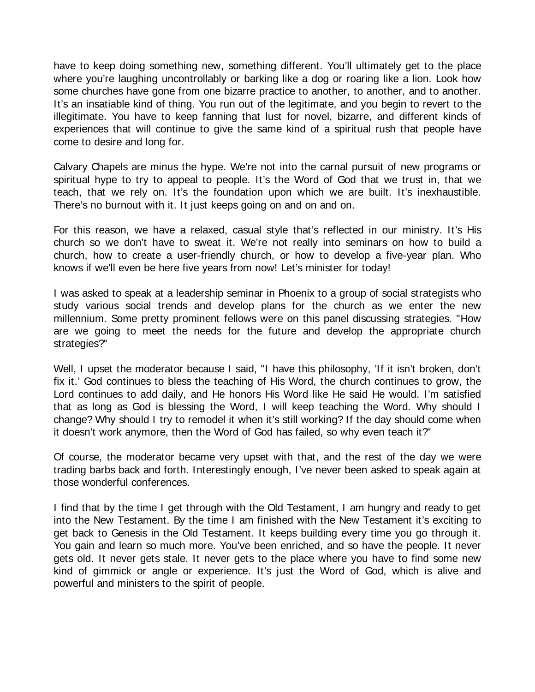have to keep doing something new, something different. You'll ultimately get to the place where you're laughing uncontrollably or barking like a dog or roaring like a lion. Look how some churches have gone from one bizarre practice to another, to another, and to another. It's an insatiable kind of thing. You run out of the legitimate, and you begin to revert to the illegitimate. You have to keep fanning that lust for novel, bizarre, and different kinds of experiences that will continue to give the same kind of a spiritual rush that people have come to desire and long for.

Calvary Chapels are minus the hype. We're not into the carnal pursuit of new programs or spiritual hype to try to appeal to people. It's the Word of God that we trust in, that we teach, that we rely on. It's the foundation upon which we are built. It's inexhaustible. There's no burnout with it. It just keeps going on and on and on.

For this reason, we have a relaxed, casual style that's reflected in our ministry. It's His church so we don't have to sweat it. We're not really into seminars on how to build a church, how to create a user-friendly church, or how to develop a five-year plan. Who knows if we'll even be here five years from now! Let's minister for today!

I was asked to speak at a leadership seminar in Phoenix to a group of social strategists who study various social trends and develop plans for the church as we enter the new millennium. Some pretty prominent fellows were on this panel discussing strategies. "How are we going to meet the needs for the future and develop the appropriate church strategies?"

Well, I upset the moderator because I said, "I have this philosophy, 'If it isn't broken, don't fix it.' God continues to bless the teaching of His Word, the church continues to grow, the Lord continues to add daily, and He honors His Word like He said He would. I'm satisfied that as long as God is blessing the Word, I will keep teaching the Word. Why should I change? Why should I try to remodel it when it's still working? If the day should come when it doesn't work anymore, then the Word of God has failed, so why even teach it?"

Of course, the moderator became very upset with that, and the rest of the day we were trading barbs back and forth. Interestingly enough, I've never been asked to speak again at those wonderful conferences.

I find that by the time I get through with the Old Testament, I am hungry and ready to get into the New Testament. By the time I am finished with the New Testament it's exciting to get back to Genesis in the Old Testament. It keeps building every time you go through it. You gain and learn so much more. You've been enriched, and so have the people. It never gets old. It never gets stale. It never gets to the place where you have to find some new kind of gimmick or angle or experience. It's just the Word of God, which is alive and powerful and ministers to the spirit of people.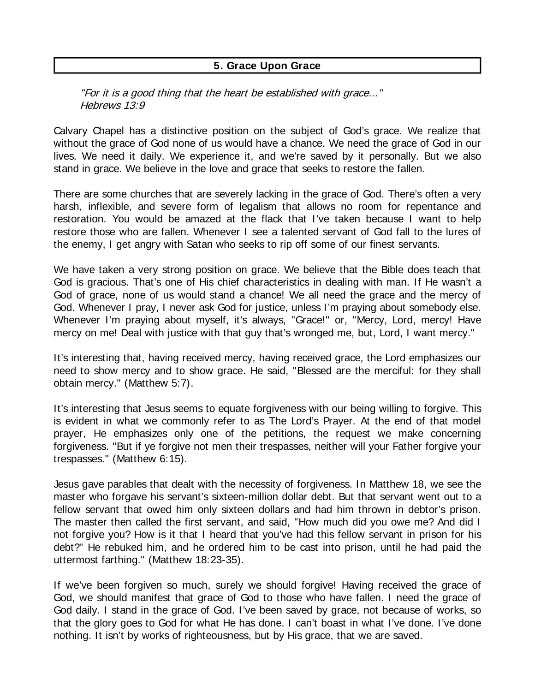#### **5. Grace Upon Grace**

"For it is <sup>a</sup> good thing that the heart be established with grace..." Hebrews 13:9

Calvary Chapel has a distinctive position on the subject of God's grace. We realize that without the grace of God none of us would have a chance. We need the grace of God in our lives. We need it daily. We experience it, and we're saved by it personally. But we also stand in grace. We believe in the love and grace that seeks to restore the fallen.

There are some churches that are severely lacking in the grace of God. There's often a very harsh, inflexible, and severe form of legalism that allows no room for repentance and restoration. You would be amazed at the flack that I've taken because I want to help restore those who are fallen. Whenever I see a talented servant of God fall to the lures of the enemy, I get angry with Satan who seeks to rip off some of our finest servants.

We have taken a very strong position on grace. We believe that the Bible does teach that God is gracious. That's one of His chief characteristics in dealing with man. If He wasn't a God of grace, none of us would stand a chance! We all need the grace and the mercy of God. Whenever I pray, I never ask God for justice, unless I'm praying about somebody else. Whenever I'm praying about myself, it's always, "Grace!" or, "Mercy, Lord, mercy! Have mercy on me! Deal with justice with that guy that's wronged me, but, Lord, I want mercy."

It's interesting that, having received mercy, having received grace, the Lord emphasizes our need to show mercy and to show grace. He said, "Blessed are the merciful: for they shall obtain mercy." (Matthew 5:7).

It's interesting that Jesus seems to equate forgiveness with our being willing to forgive. This is evident in what we commonly refer to as The Lord's Prayer. At the end of that model prayer, He emphasizes only one of the petitions, the request we make concerning forgiveness. "But if ye forgive not men their trespasses, neither will your Father forgive your trespasses." (Matthew 6:15).

Jesus gave parables that dealt with the necessity of forgiveness. In Matthew 18, we see the master who forgave his servant's sixteen-million dollar debt. But that servant went out to a fellow servant that owed him only sixteen dollars and had him thrown in debtor's prison. The master then called the first servant, and said, "How much did you owe me? And did I not forgive you? How is it that I heard that you've had this fellow servant in prison for his debt?" He rebuked him, and he ordered him to be cast into prison, until he had paid the uttermost farthing." (Matthew 18:23-35).

If we've been forgiven so much, surely we should forgive! Having received the grace of God, we should manifest that grace of God to those who have fallen. I need the grace of God daily. I stand in the grace of God. I've been saved by grace, not because of works, so that the glory goes to God for what He has done. I can't boast in what I've done. I've done nothing. It isn't by works of righteousness, but by His grace, that we are saved.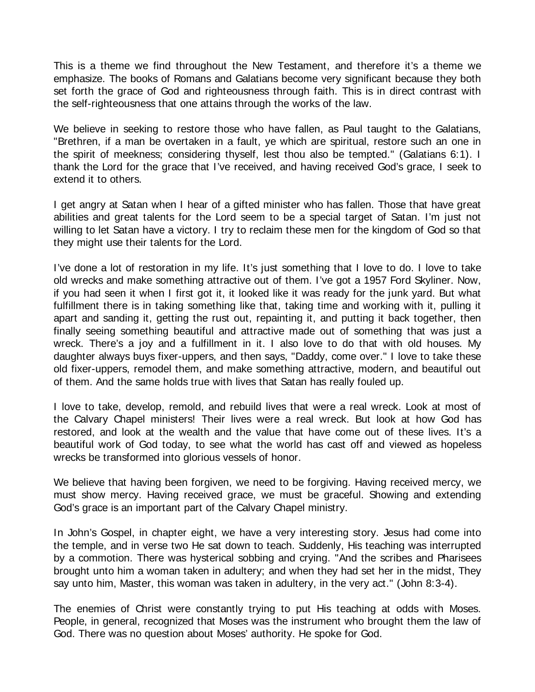This is a theme we find throughout the New Testament, and therefore it's a theme we emphasize. The books of Romans and Galatians become very significant because they both set forth the grace of God and righteousness through faith. This is in direct contrast with the self-righteousness that one attains through the works of the law.

We believe in seeking to restore those who have fallen, as Paul taught to the Galatians, "Brethren, if a man be overtaken in a fault, ye which are spiritual, restore such an one in the spirit of meekness; considering thyself, lest thou also be tempted." (Galatians 6:1). I thank the Lord for the grace that I've received, and having received God's grace, I seek to extend it to others.

I get angry at Satan when I hear of a gifted minister who has fallen. Those that have great abilities and great talents for the Lord seem to be a special target of Satan. I'm just not willing to let Satan have a victory. I try to reclaim these men for the kingdom of God so that they might use their talents for the Lord.

I've done a lot of restoration in my life. It's just something that I love to do. I love to take old wrecks and make something attractive out of them. I've got a 1957 Ford Skyliner. Now, if you had seen it when I first got it, it looked like it was ready for the junk yard. But what fulfillment there is in taking something like that, taking time and working with it, pulling it apart and sanding it, getting the rust out, repainting it, and putting it back together, then finally seeing something beautiful and attractive made out of something that was just a wreck. There's a joy and a fulfillment in it. I also love to do that with old houses. My daughter always buys fixer-uppers, and then says, "Daddy, come over." I love to take these old fixer-uppers, remodel them, and make something attractive, modern, and beautiful out of them. And the same holds true with lives that Satan has really fouled up.

I love to take, develop, remold, and rebuild lives that were a real wreck. Look at most of the Calvary Chapel ministers! Their lives were a real wreck. But look at how God has restored, and look at the wealth and the value that have come out of these lives. It's a beautiful work of God today, to see what the world has cast off and viewed as hopeless wrecks be transformed into glorious vessels of honor.

We believe that having been forgiven, we need to be forgiving. Having received mercy, we must show mercy. Having received grace, we must be graceful. Showing and extending God's grace is an important part of the Calvary Chapel ministry.

In John's Gospel, in chapter eight, we have a very interesting story. Jesus had come into the temple, and in verse two He sat down to teach. Suddenly, His teaching was interrupted by a commotion. There was hysterical sobbing and crying. "And the scribes and Pharisees brought unto him a woman taken in adultery; and when they had set her in the midst, They say unto him, Master, this woman was taken in adultery, in the very act." (John 8:3-4).

The enemies of Christ were constantly trying to put His teaching at odds with Moses. People, in general, recognized that Moses was the instrument who brought them the law of God. There was no question about Moses' authority. He spoke for God.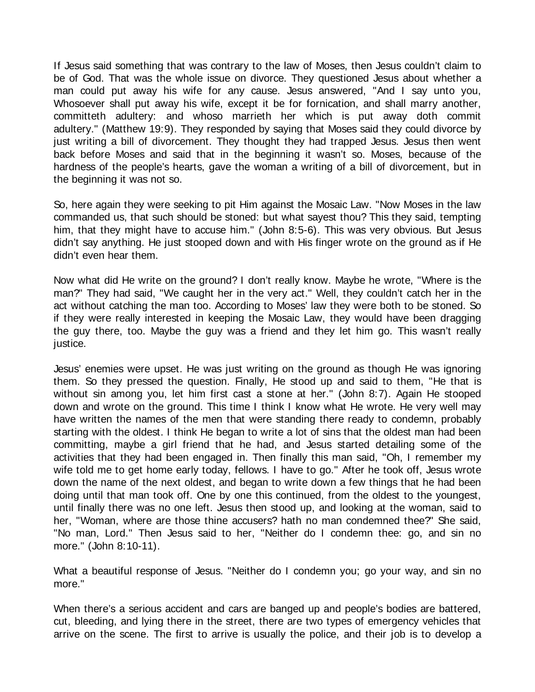If Jesus said something that was contrary to the law of Moses, then Jesus couldn't claim to be of God. That was the whole issue on divorce. They questioned Jesus about whether a man could put away his wife for any cause. Jesus answered, "And I say unto you, Whosoever shall put away his wife, except it be for fornication, and shall marry another, committeth adultery: and whoso marrieth her which is put away doth commit adultery." (Matthew 19:9). They responded by saying that Moses said they could divorce by just writing a bill of divorcement. They thought they had trapped Jesus. Jesus then went back before Moses and said that in the beginning it wasn't so. Moses, because of the hardness of the people's hearts, gave the woman a writing of a bill of divorcement, but in the beginning it was not so.

So, here again they were seeking to pit Him against the Mosaic Law. "Now Moses in the law commanded us, that such should be stoned: but what sayest thou? This they said, tempting him, that they might have to accuse him." (John 8:5-6). This was very obvious. But Jesus didn't say anything. He just stooped down and with His finger wrote on the ground as if He didn't even hear them.

Now what did He write on the ground? I don't really know. Maybe he wrote, "Where is the man?" They had said, "We caught her in the very act." Well, they couldn't catch her in the act without catching the man too. According to Moses' law they were both to be stoned. So if they were really interested in keeping the Mosaic Law, they would have been dragging the guy there, too. Maybe the guy was a friend and they let him go. This wasn't really justice.

Jesus' enemies were upset. He was just writing on the ground as though He was ignoring them. So they pressed the question. Finally, He stood up and said to them, "He that is without sin among you, let him first cast a stone at her." (John 8:7). Again He stooped down and wrote on the ground. This time I think I know what He wrote. He very well may have written the names of the men that were standing there ready to condemn, probably starting with the oldest. I think He began to write a lot of sins that the oldest man had been committing, maybe a girl friend that he had, and Jesus started detailing some of the activities that they had been engaged in. Then finally this man said, "Oh, I remember my wife told me to get home early today, fellows. I have to go." After he took off, Jesus wrote down the name of the next oldest, and began to write down a few things that he had been doing until that man took off. One by one this continued, from the oldest to the youngest, until finally there was no one left. Jesus then stood up, and looking at the woman, said to her, "Woman, where are those thine accusers? hath no man condemned thee?" She said, "No man, Lord." Then Jesus said to her, "Neither do I condemn thee: go, and sin no more." (John 8:10-11).

What a beautiful response of Jesus. "Neither do I condemn you; go your way, and sin no more."

When there's a serious accident and cars are banged up and people's bodies are battered, cut, bleeding, and lying there in the street, there are two types of emergency vehicles that arrive on the scene. The first to arrive is usually the police, and their job is to develop a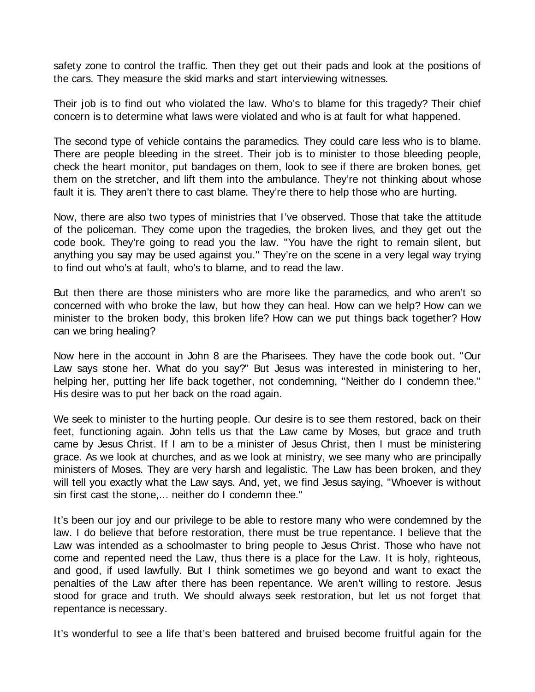safety zone to control the traffic. Then they get out their pads and look at the positions of the cars. They measure the skid marks and start interviewing witnesses.

Their job is to find out who violated the law. Who's to blame for this tragedy? Their chief concern is to determine what laws were violated and who is at fault for what happened.

The second type of vehicle contains the paramedics. They could care less who is to blame. There are people bleeding in the street. Their job is to minister to those bleeding people, check the heart monitor, put bandages on them, look to see if there are broken bones, get them on the stretcher, and lift them into the ambulance. They're not thinking about whose fault it is. They aren't there to cast blame. They're there to help those who are hurting.

Now, there are also two types of ministries that I've observed. Those that take the attitude of the policeman. They come upon the tragedies, the broken lives, and they get out the code book. They're going to read you the law. "You have the right to remain silent, but anything you say may be used against you." They're on the scene in a very legal way trying to find out who's at fault, who's to blame, and to read the law.

But then there are those ministers who are more like the paramedics, and who aren't so concerned with who broke the law, but how they can heal. How can we help? How can we minister to the broken body, this broken life? How can we put things back together? How can we bring healing?

Now here in the account in John 8 are the Pharisees. They have the code book out. "Our Law says stone her. What do you say?" But Jesus was interested in ministering to her, helping her, putting her life back together, not condemning, "Neither do I condemn thee." His desire was to put her back on the road again.

We seek to minister to the hurting people. Our desire is to see them restored, back on their feet, functioning again. John tells us that the Law came by Moses, but grace and truth came by Jesus Christ. If I am to be a minister of Jesus Christ, then I must be ministering grace. As we look at churches, and as we look at ministry, we see many who are principally ministers of Moses. They are very harsh and legalistic. The Law has been broken, and they will tell you exactly what the Law says. And, yet, we find Jesus saying, "Whoever is without sin first cast the stone,... neither do I condemn thee."

It's been our joy and our privilege to be able to restore many who were condemned by the law. I do believe that before restoration, there must be true repentance. I believe that the Law was intended as a schoolmaster to bring people to Jesus Christ. Those who have not come and repented need the Law, thus there is a place for the Law. It is holy, righteous, and good, if used lawfully. But I think sometimes we go beyond and want to exact the penalties of the Law after there has been repentance. We aren't willing to restore. Jesus stood for grace and truth. We should always seek restoration, but let us not forget that repentance is necessary.

It's wonderful to see a life that's been battered and bruised become fruitful again for the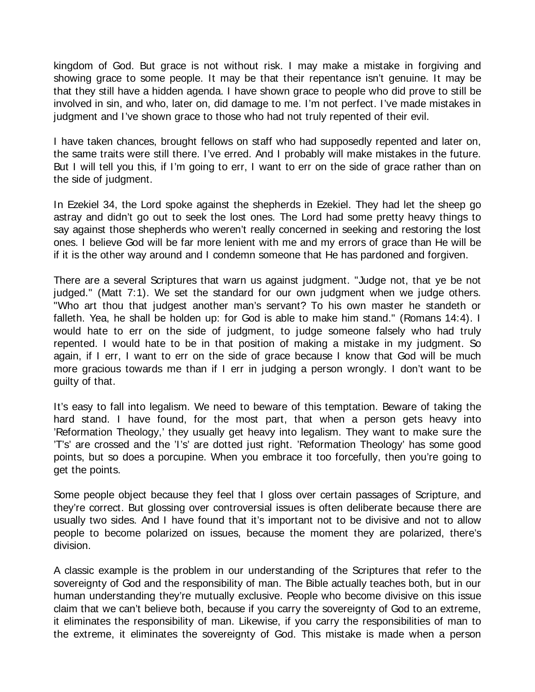kingdom of God. But grace is not without risk. I may make a mistake in forgiving and showing grace to some people. It may be that their repentance isn't genuine. It may be that they still have a hidden agenda. I have shown grace to people who did prove to still be involved in sin, and who, later on, did damage to me. I'm not perfect. I've made mistakes in judgment and I've shown grace to those who had not truly repented of their evil.

I have taken chances, brought fellows on staff who had supposedly repented and later on, the same traits were still there. I've erred. And I probably will make mistakes in the future. But I will tell you this, if I'm going to err, I want to err on the side of grace rather than on the side of judgment.

In Ezekiel 34, the Lord spoke against the shepherds in Ezekiel. They had let the sheep go astray and didn't go out to seek the lost ones. The Lord had some pretty heavy things to say against those shepherds who weren't really concerned in seeking and restoring the lost ones. I believe God will be far more lenient with me and my errors of grace than He will be if it is the other way around and I condemn someone that He has pardoned and forgiven.

There are a several Scriptures that warn us against judgment. "Judge not, that ye be not judged." (Matt 7:1). We set the standard for our own judgment when we judge others. "Who art thou that judgest another man's servant? To his own master he standeth or falleth. Yea, he shall be holden up: for God is able to make him stand." (Romans 14:4). I would hate to err on the side of judgment, to judge someone falsely who had truly repented. I would hate to be in that position of making a mistake in my judgment. So again, if I err, I want to err on the side of grace because I know that God will be much more gracious towards me than if I err in judging a person wrongly. I don't want to be guilty of that.

It's easy to fall into legalism. We need to beware of this temptation. Beware of taking the hard stand. I have found, for the most part, that when a person gets heavy into 'Reformation Theology,' they usually get heavy into legalism. They want to make sure the 'T's' are crossed and the 'I's' are dotted just right. 'Reformation Theology' has some good points, but so does a porcupine. When you embrace it too forcefully, then you're going to get the points.

Some people object because they feel that I gloss over certain passages of Scripture, and they're correct. But glossing over controversial issues is often deliberate because there are usually two sides. And I have found that it's important not to be divisive and not to allow people to become polarized on issues, because the moment they are polarized, there's division.

A classic example is the problem in our understanding of the Scriptures that refer to the sovereignty of God and the responsibility of man. The Bible actually teaches both, but in our human understanding they're mutually exclusive. People who become divisive on this issue claim that we can't believe both, because if you carry the sovereignty of God to an extreme, it eliminates the responsibility of man. Likewise, if you carry the responsibilities of man to the extreme, it eliminates the sovereignty of God. This mistake is made when a person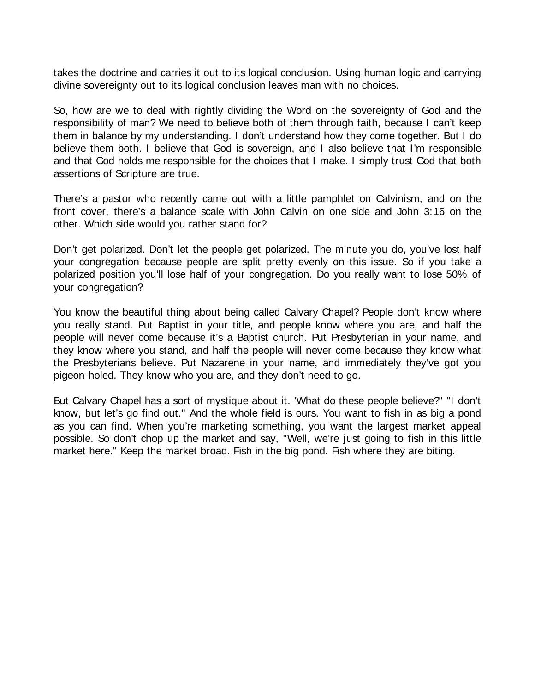takes the doctrine and carries it out to its logical conclusion. Using human logic and carrying divine sovereignty out to its logical conclusion leaves man with no choices.

So, how are we to deal with rightly dividing the Word on the sovereignty of God and the responsibility of man? We need to believe both of them through faith, because I can't keep them in balance by my understanding. I don't understand how they come together. But I do believe them both. I believe that God is sovereign, and I also believe that I'm responsible and that God holds me responsible for the choices that I make. I simply trust God that both assertions of Scripture are true.

There's a pastor who recently came out with a little pamphlet on Calvinism, and on the front cover, there's a balance scale with John Calvin on one side and John 3:16 on the other. Which side would you rather stand for?

Don't get polarized. Don't let the people get polarized. The minute you do, you've lost half your congregation because people are split pretty evenly on this issue. So if you take a polarized position you'll lose half of your congregation. Do you really want to lose 50% of your congregation?

You know the beautiful thing about being called Calvary Chapel? People don't know where you really stand. Put Baptist in your title, and people know where you are, and half the people will never come because it's a Baptist church. Put Presbyterian in your name, and they know where you stand, and half the people will never come because they know what the Presbyterians believe. Put Nazarene in your name, and immediately they've got you pigeon-holed. They know who you are, and they don't need to go.

But Calvary Chapel has a sort of mystique about it. 'What do these people believe?" "I don't know, but let's go find out." And the whole field is ours. You want to fish in as big a pond as you can find. When you're marketing something, you want the largest market appeal possible. So don't chop up the market and say, "Well, we're just going to fish in this little market here." Keep the market broad. Fish in the big pond. Fish where they are biting.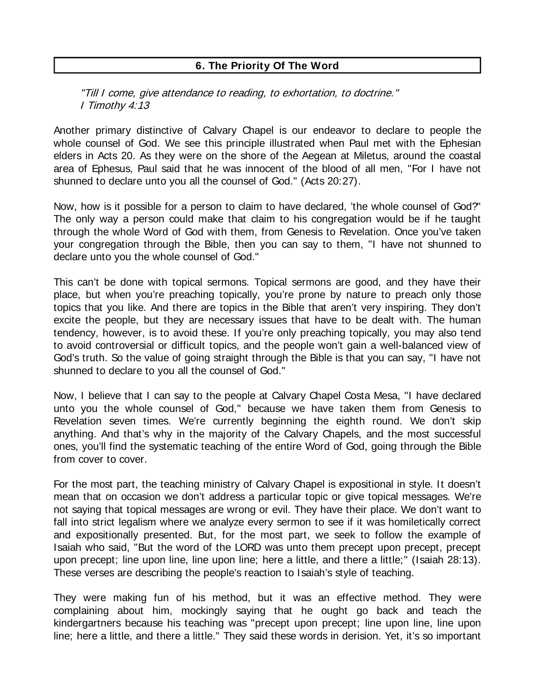## **6. The Priority Of The Word**

"Till I come, give attendance to reading, to exhortation, to doctrine." I Timothy 4:13

Another primary distinctive of Calvary Chapel is our endeavor to declare to people the whole counsel of God. We see this principle illustrated when Paul met with the Ephesian elders in Acts 20. As they were on the shore of the Aegean at Miletus, around the coastal area of Ephesus, Paul said that he was innocent of the blood of all men, "For I have not shunned to declare unto you all the counsel of God." (Acts 20:27).

Now, how is it possible for a person to claim to have declared, 'the whole counsel of God?" The only way a person could make that claim to his congregation would be if he taught through the whole Word of God with them, from Genesis to Revelation. Once you've taken your congregation through the Bible, then you can say to them, "I have not shunned to declare unto you the whole counsel of God."

This can't be done with topical sermons. Topical sermons are good, and they have their place, but when you're preaching topically, you're prone by nature to preach only those topics that you like. And there are topics in the Bible that aren't very inspiring. They don't excite the people, but they are necessary issues that have to be dealt with. The human tendency, however, is to avoid these. If you're only preaching topically, you may also tend to avoid controversial or difficult topics, and the people won't gain a well-balanced view of God's truth. So the value of going straight through the Bible is that you can say, "I have not shunned to declare to you all the counsel of God."

Now, I believe that I can say to the people at Calvary Chapel Costa Mesa, "I have declared unto you the whole counsel of God," because we have taken them from Genesis to Revelation seven times. We're currently beginning the eighth round. We don't skip anything. And that's why in the majority of the Calvary Chapels, and the most successful ones, you'll find the systematic teaching of the entire Word of God, going through the Bible from cover to cover.

For the most part, the teaching ministry of Calvary Chapel is expositional in style. It doesn't mean that on occasion we don't address a particular topic or give topical messages. We're not saying that topical messages are wrong or evil. They have their place. We don't want to fall into strict legalism where we analyze every sermon to see if it was homiletically correct and expositionally presented. But, for the most part, we seek to follow the example of Isaiah who said, "But the word of the LORD was unto them precept upon precept, precept upon precept; line upon line, line upon line; here a little, and there a little;" (Isaiah 28:13). These verses are describing the people's reaction to Isaiah's style of teaching.

They were making fun of his method, but it was an effective method. They were complaining about him, mockingly saying that he ought go back and teach the kindergartners because his teaching was "precept upon precept; line upon line, line upon line; here a little, and there a little." They said these words in derision. Yet, it's so important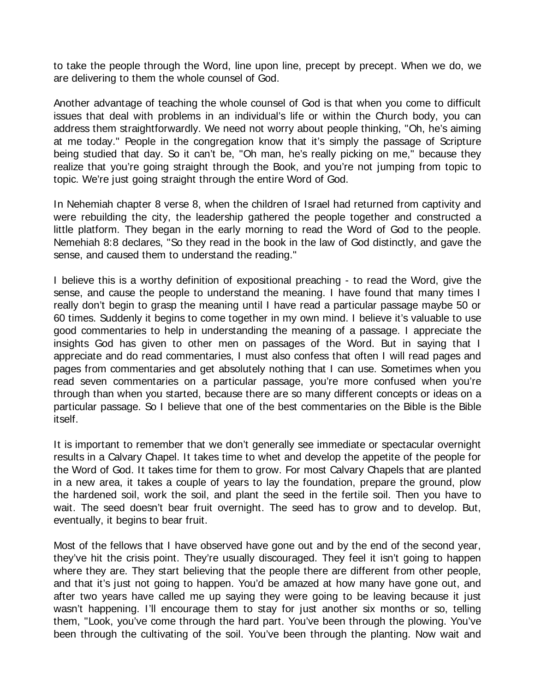to take the people through the Word, line upon line, precept by precept. When we do, we are delivering to them the whole counsel of God.

Another advantage of teaching the whole counsel of God is that when you come to difficult issues that deal with problems in an individual's life or within the Church body, you can address them straightforwardly. We need not worry about people thinking, "Oh, he's aiming at me today." People in the congregation know that it's simply the passage of Scripture being studied that day. So it can't be, "Oh man, he's really picking on me," because they realize that you're going straight through the Book, and you're not jumping from topic to topic. We're just going straight through the entire Word of God.

In Nehemiah chapter 8 verse 8, when the children of Israel had returned from captivity and were rebuilding the city, the leadership gathered the people together and constructed a little platform. They began in the early morning to read the Word of God to the people. Nemehiah 8:8 declares, "So they read in the book in the law of God distinctly, and gave the sense, and caused them to understand the reading."

I believe this is a worthy definition of expositional preaching - to read the Word, give the sense, and cause the people to understand the meaning. I have found that many times I really don't begin to grasp the meaning until I have read a particular passage maybe 50 or 60 times. Suddenly it begins to come together in my own mind. I believe it's valuable to use good commentaries to help in understanding the meaning of a passage. I appreciate the insights God has given to other men on passages of the Word. But in saying that I appreciate and do read commentaries, I must also confess that often I will read pages and pages from commentaries and get absolutely nothing that I can use. Sometimes when you read seven commentaries on a particular passage, you're more confused when you're through than when you started, because there are so many different concepts or ideas on a particular passage. So I believe that one of the best commentaries on the Bible is the Bible itself.

It is important to remember that we don't generally see immediate or spectacular overnight results in a Calvary Chapel. It takes time to whet and develop the appetite of the people for the Word of God. It takes time for them to grow. For most Calvary Chapels that are planted in a new area, it takes a couple of years to lay the foundation, prepare the ground, plow the hardened soil, work the soil, and plant the seed in the fertile soil. Then you have to wait. The seed doesn't bear fruit overnight. The seed has to grow and to develop. But, eventually, it begins to bear fruit.

Most of the fellows that I have observed have gone out and by the end of the second year, they've hit the crisis point. They're usually discouraged. They feel it isn't going to happen where they are. They start believing that the people there are different from other people, and that it's just not going to happen. You'd be amazed at how many have gone out, and after two years have called me up saying they were going to be leaving because it just wasn't happening. I'll encourage them to stay for just another six months or so, telling them, "Look, you've come through the hard part. You've been through the plowing. You've been through the cultivating of the soil. You've been through the planting. Now wait and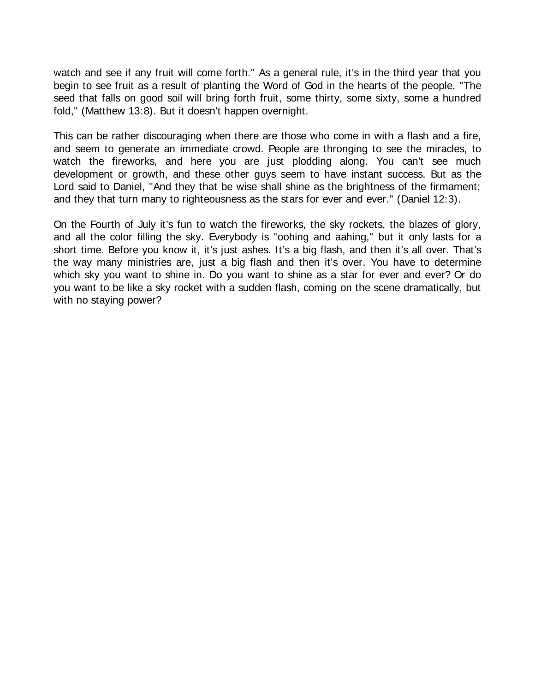watch and see if any fruit will come forth." As a general rule, it's in the third year that you begin to see fruit as a result of planting the Word of God in the hearts of the people. "The seed that falls on good soil will bring forth fruit, some thirty, some sixty, some a hundred fold," (Matthew 13:8). But it doesn't happen overnight.

This can be rather discouraging when there are those who come in with a flash and a fire, and seem to generate an immediate crowd. People are thronging to see the miracles, to watch the fireworks, and here you are just plodding along. You can't see much development or growth, and these other guys seem to have instant success. But as the Lord said to Daniel, "And they that be wise shall shine as the brightness of the firmament; and they that turn many to righteousness as the stars for ever and ever." (Daniel 12:3).

On the Fourth of July it's fun to watch the fireworks, the sky rockets, the blazes of glory, and all the color filling the sky. Everybody is "oohing and aahing," but it only lasts for a short time. Before you know it, it's just ashes. It's a big flash, and then it's all over. That's the way many ministries are, just a big flash and then it's over. You have to determine which sky you want to shine in. Do you want to shine as a star for ever and ever? Or do you want to be like a sky rocket with a sudden flash, coming on the scene dramatically, but with no staying power?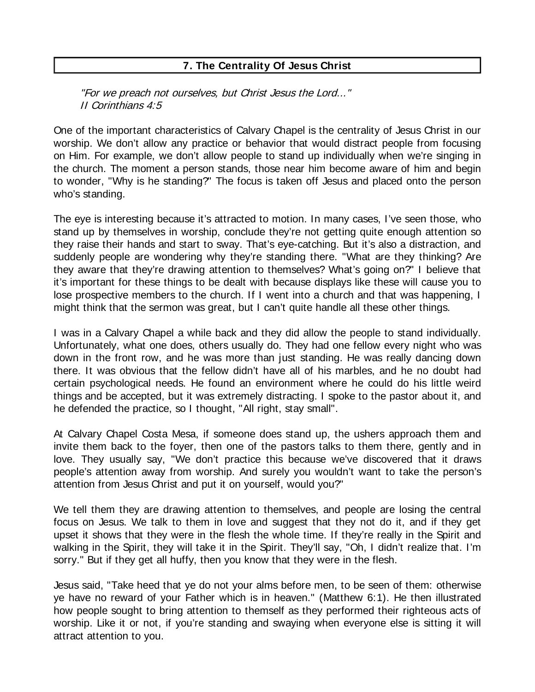## **7. The Centrality Of Jesus Christ**

"For we preach not ourselves, but Christ Jesus the Lord..." II Corinthians 4:5

One of the important characteristics of Calvary Chapel is the centrality of Jesus Christ in our worship. We don't allow any practice or behavior that would distract people from focusing on Him. For example, we don't allow people to stand up individually when we're singing in the church. The moment a person stands, those near him become aware of him and begin to wonder, "Why is he standing?" The focus is taken off Jesus and placed onto the person who's standing.

The eye is interesting because it's attracted to motion. In many cases, I've seen those, who stand up by themselves in worship, conclude they're not getting quite enough attention so they raise their hands and start to sway. That's eye-catching. But it's also a distraction, and suddenly people are wondering why they're standing there. "What are they thinking? Are they aware that they're drawing attention to themselves? What's going on?" I believe that it's important for these things to be dealt with because displays like these will cause you to lose prospective members to the church. If I went into a church and that was happening, I might think that the sermon was great, but I can't quite handle all these other things.

I was in a Calvary Chapel a while back and they did allow the people to stand individually. Unfortunately, what one does, others usually do. They had one fellow every night who was down in the front row, and he was more than just standing. He was really dancing down there. It was obvious that the fellow didn't have all of his marbles, and he no doubt had certain psychological needs. He found an environment where he could do his little weird things and be accepted, but it was extremely distracting. I spoke to the pastor about it, and he defended the practice, so I thought, "All right, stay small".

At Calvary Chapel Costa Mesa, if someone does stand up, the ushers approach them and invite them back to the foyer, then one of the pastors talks to them there, gently and in love. They usually say, "We don't practice this because we've discovered that it draws people's attention away from worship. And surely you wouldn't want to take the person's attention from Jesus Christ and put it on yourself, would you?"

We tell them they are drawing attention to themselves, and people are losing the central focus on Jesus. We talk to them in love and suggest that they not do it, and if they get upset it shows that they were in the flesh the whole time. If they're really in the Spirit and walking in the Spirit, they will take it in the Spirit. They'll say, "Oh, I didn't realize that. I'm sorry." But if they get all huffy, then you know that they were in the flesh.

Jesus said, "Take heed that ye do not your alms before men, to be seen of them: otherwise ye have no reward of your Father which is in heaven." (Matthew 6:1). He then illustrated how people sought to bring attention to themself as they performed their righteous acts of worship. Like it or not, if you're standing and swaying when everyone else is sitting it will attract attention to you.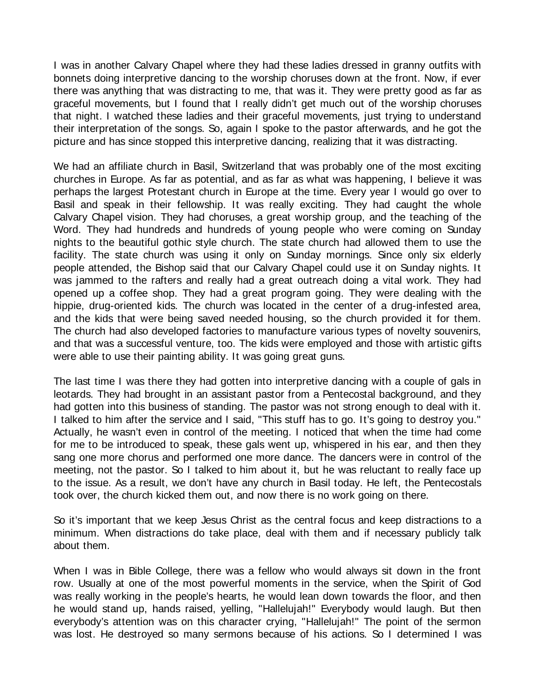I was in another Calvary Chapel where they had these ladies dressed in granny outfits with bonnets doing interpretive dancing to the worship choruses down at the front. Now, if ever there was anything that was distracting to me, that was it. They were pretty good as far as graceful movements, but I found that I really didn't get much out of the worship choruses that night. I watched these ladies and their graceful movements, just trying to understand their interpretation of the songs. So, again I spoke to the pastor afterwards, and he got the picture and has since stopped this interpretive dancing, realizing that it was distracting.

We had an affiliate church in Basil, Switzerland that was probably one of the most exciting churches in Europe. As far as potential, and as far as what was happening, I believe it was perhaps the largest Protestant church in Europe at the time. Every year I would go over to Basil and speak in their fellowship. It was really exciting. They had caught the whole Calvary Chapel vision. They had choruses, a great worship group, and the teaching of the Word. They had hundreds and hundreds of young people who were coming on Sunday nights to the beautiful gothic style church. The state church had allowed them to use the facility. The state church was using it only on Sunday mornings. Since only six elderly people attended, the Bishop said that our Calvary Chapel could use it on Sunday nights. It was jammed to the rafters and really had a great outreach doing a vital work. They had opened up a coffee shop. They had a great program going. They were dealing with the hippie, drug-oriented kids. The church was located in the center of a drug-infested area, and the kids that were being saved needed housing, so the church provided it for them. The church had also developed factories to manufacture various types of novelty souvenirs, and that was a successful venture, too. The kids were employed and those with artistic gifts were able to use their painting ability. It was going great guns.

The last time I was there they had gotten into interpretive dancing with a couple of gals in leotards. They had brought in an assistant pastor from a Pentecostal background, and they had gotten into this business of standing. The pastor was not strong enough to deal with it. I talked to him after the service and I said, "This stuff has to go. It's going to destroy you." Actually, he wasn't even in control of the meeting. I noticed that when the time had come for me to be introduced to speak, these gals went up, whispered in his ear, and then they sang one more chorus and performed one more dance. The dancers were in control of the meeting, not the pastor. So I talked to him about it, but he was reluctant to really face up to the issue. As a result, we don't have any church in Basil today. He left, the Pentecostals took over, the church kicked them out, and now there is no work going on there.

So it's important that we keep Jesus Christ as the central focus and keep distractions to a minimum. When distractions do take place, deal with them and if necessary publicly talk about them.

When I was in Bible College, there was a fellow who would always sit down in the front row. Usually at one of the most powerful moments in the service, when the Spirit of God was really working in the people's hearts, he would lean down towards the floor, and then he would stand up, hands raised, yelling, "Hallelujah!" Everybody would laugh. But then everybody's attention was on this character crying, "Hallelujah!" The point of the sermon was lost. He destroyed so many sermons because of his actions. So I determined I was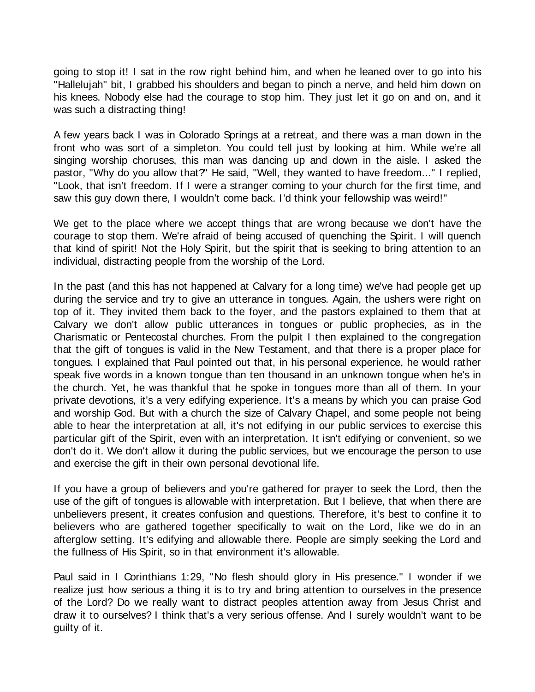going to stop it! I sat in the row right behind him, and when he leaned over to go into his "Hallelujah" bit, I grabbed his shoulders and began to pinch a nerve, and held him down on his knees. Nobody else had the courage to stop him. They just let it go on and on, and it was such a distracting thing!

A few years back I was in Colorado Springs at a retreat, and there was a man down in the front who was sort of a simpleton. You could tell just by looking at him. While we're all singing worship choruses, this man was dancing up and down in the aisle. I asked the pastor, "Why do you allow that?" He said, "Well, they wanted to have freedom..." I replied, "Look, that isn't freedom. If I were a stranger coming to your church for the first time, and saw this guy down there, I wouldn't come back. I'd think your fellowship was weird!"

We get to the place where we accept things that are wrong because we don't have the courage to stop them. We're afraid of being accused of quenching the Spirit. I will quench that kind of spirit! Not the Holy Spirit, but the spirit that is seeking to bring attention to an individual, distracting people from the worship of the Lord.

In the past (and this has not happened at Calvary for a long time) we've had people get up during the service and try to give an utterance in tongues. Again, the ushers were right on top of it. They invited them back to the foyer, and the pastors explained to them that at Calvary we don't allow public utterances in tongues or public prophecies, as in the Charismatic or Pentecostal churches. From the pulpit I then explained to the congregation that the gift of tongues is valid in the New Testament, and that there is a proper place for tongues. I explained that Paul pointed out that, in his personal experience, he would rather speak five words in a known tongue than ten thousand in an unknown tongue when he's in the church. Yet, he was thankful that he spoke in tongues more than all of them. In your private devotions, it's a very edifying experience. It's a means by which you can praise God and worship God. But with a church the size of Calvary Chapel, and some people not being able to hear the interpretation at all, it's not edifying in our public services to exercise this particular gift of the Spirit, even with an interpretation. It isn't edifying or convenient, so we don't do it. We don't allow it during the public services, but we encourage the person to use and exercise the gift in their own personal devotional life.

If you have a group of believers and you're gathered for prayer to seek the Lord, then the use of the gift of tongues is allowable with interpretation. But I believe, that when there are unbelievers present, it creates confusion and questions. Therefore, it's best to confine it to believers who are gathered together specifically to wait on the Lord, like we do in an afterglow setting. It's edifying and allowable there. People are simply seeking the Lord and the fullness of His Spirit, so in that environment it's allowable.

Paul said in I Corinthians 1:29, "No flesh should glory in His presence." I wonder if we realize just how serious a thing it is to try and bring attention to ourselves in the presence of the Lord? Do we really want to distract peoples attention away from Jesus Christ and draw it to ourselves? I think that's a very serious offense. And I surely wouldn't want to be guilty of it.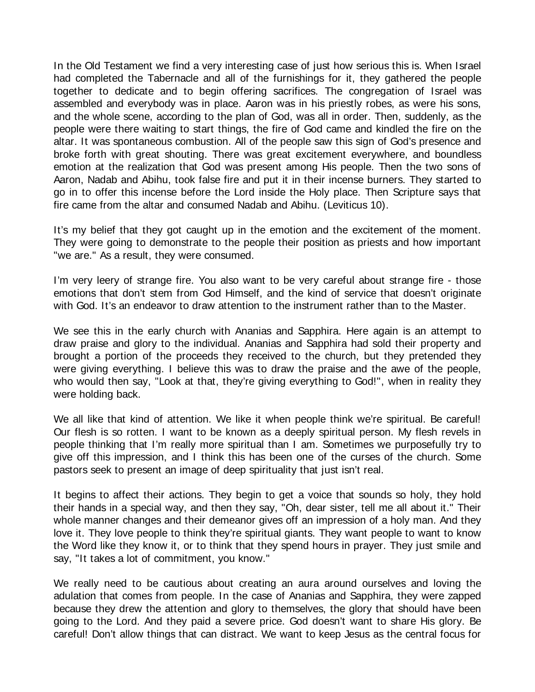In the Old Testament we find a very interesting case of just how serious this is. When Israel had completed the Tabernacle and all of the furnishings for it, they gathered the people together to dedicate and to begin offering sacrifices. The congregation of Israel was assembled and everybody was in place. Aaron was in his priestly robes, as were his sons, and the whole scene, according to the plan of God, was all in order. Then, suddenly, as the people were there waiting to start things, the fire of God came and kindled the fire on the altar. It was spontaneous combustion. All of the people saw this sign of God's presence and broke forth with great shouting. There was great excitement everywhere, and boundless emotion at the realization that God was present among His people. Then the two sons of Aaron, Nadab and Abihu, took false fire and put it in their incense burners. They started to go in to offer this incense before the Lord inside the Holy place. Then Scripture says that fire came from the altar and consumed Nadab and Abihu. (Leviticus 10).

It's my belief that they got caught up in the emotion and the excitement of the moment. They were going to demonstrate to the people their position as priests and how important "we are." As a result, they were consumed.

I'm very leery of strange fire. You also want to be very careful about strange fire - those emotions that don't stem from God Himself, and the kind of service that doesn't originate with God. It's an endeavor to draw attention to the instrument rather than to the Master.

We see this in the early church with Ananias and Sapphira. Here again is an attempt to draw praise and glory to the individual. Ananias and Sapphira had sold their property and brought a portion of the proceeds they received to the church, but they pretended they were giving everything. I believe this was to draw the praise and the awe of the people, who would then say, "Look at that, they're giving everything to God!", when in reality they were holding back.

We all like that kind of attention. We like it when people think we're spiritual. Be careful! Our flesh is so rotten. I want to be known as a deeply spiritual person. My flesh revels in people thinking that I'm really more spiritual than I am. Sometimes we purposefully try to give off this impression, and I think this has been one of the curses of the church. Some pastors seek to present an image of deep spirituality that just isn't real.

It begins to affect their actions. They begin to get a voice that sounds so holy, they hold their hands in a special way, and then they say, "Oh, dear sister, tell me all about it." Their whole manner changes and their demeanor gives off an impression of a holy man. And they love it. They love people to think they're spiritual giants. They want people to want to know the Word like they know it, or to think that they spend hours in prayer. They just smile and say, "It takes a lot of commitment, you know."

We really need to be cautious about creating an aura around ourselves and loving the adulation that comes from people. In the case of Ananias and Sapphira, they were zapped because they drew the attention and glory to themselves, the glory that should have been going to the Lord. And they paid a severe price. God doesn't want to share His glory. Be careful! Don't allow things that can distract. We want to keep Jesus as the central focus for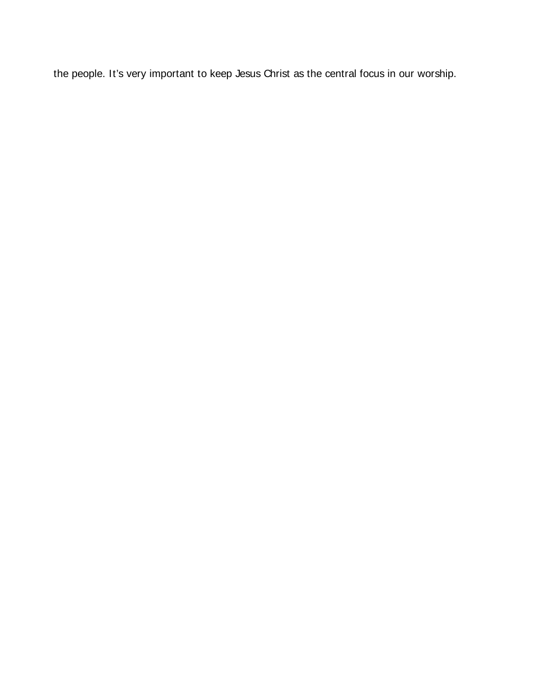the people. It's very important to keep Jesus Christ as the central focus in our worship.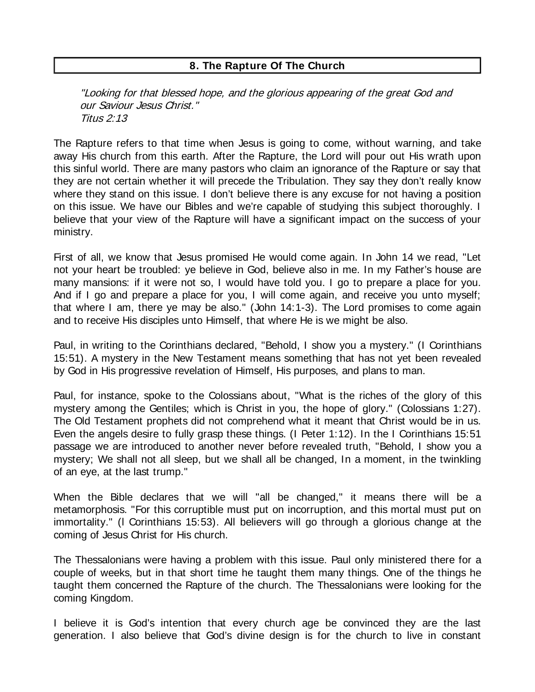# **8. The Rapture Of The Church**

"Looking for that blessed hope, and the glorious appearing of the great God and our Saviour Jesus Christ." Titus 2:13

The Rapture refers to that time when Jesus is going to come, without warning, and take away His church from this earth. After the Rapture, the Lord will pour out His wrath upon this sinful world. There are many pastors who claim an ignorance of the Rapture or say that they are not certain whether it will precede the Tribulation. They say they don't really know where they stand on this issue. I don't believe there is any excuse for not having a position on this issue. We have our Bibles and we're capable of studying this subject thoroughly. I believe that your view of the Rapture will have a significant impact on the success of your ministry.

First of all, we know that Jesus promised He would come again. In John 14 we read, "Let not your heart be troubled: ye believe in God, believe also in me. In my Father's house are many mansions: if it were not so, I would have told you. I go to prepare a place for you. And if I go and prepare a place for you, I will come again, and receive you unto myself; that where I am, there ye may be also." (John 14:1-3). The Lord promises to come again and to receive His disciples unto Himself, that where He is we might be also.

Paul, in writing to the Corinthians declared, "Behold, I show you a mystery." (I Corinthians 15:51). A mystery in the New Testament means something that has not yet been revealed by God in His progressive revelation of Himself, His purposes, and plans to man.

Paul, for instance, spoke to the Colossians about, "What is the riches of the glory of this mystery among the Gentiles; which is Christ in you, the hope of glory." (Colossians 1:27). The Old Testament prophets did not comprehend what it meant that Christ would be in us. Even the angels desire to fully grasp these things. (I Peter 1:12). In the I Corinthians 15:51 passage we are introduced to another never before revealed truth, "Behold, I show you a mystery; We shall not all sleep, but we shall all be changed, In a moment, in the twinkling of an eye, at the last trump."

When the Bible declares that we will "all be changed," it means there will be a metamorphosis. "For this corruptible must put on incorruption, and this mortal must put on immortality." (l Corinthians 15:53). All believers will go through a glorious change at the coming of Jesus Christ for His church.

The Thessalonians were having a problem with this issue. Paul only ministered there for a couple of weeks, but in that short time he taught them many things. One of the things he taught them concerned the Rapture of the church. The Thessalonians were looking for the coming Kingdom.

I believe it is God's intention that every church age be convinced they are the last generation. I also believe that God's divine design is for the church to live in constant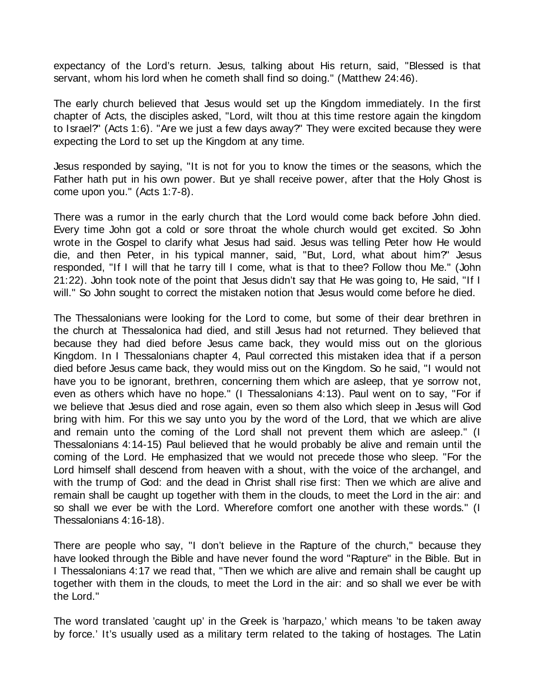expectancy of the Lord's return. Jesus, talking about His return, said, "Blessed is that servant, whom his lord when he cometh shall find so doing." (Matthew 24:46).

The early church believed that Jesus would set up the Kingdom immediately. In the first chapter of Acts, the disciples asked, "Lord, wilt thou at this time restore again the kingdom to Israel?" (Acts 1:6). "Are we just a few days away?" They were excited because they were expecting the Lord to set up the Kingdom at any time.

Jesus responded by saying, "It is not for you to know the times or the seasons, which the Father hath put in his own power. But ye shall receive power, after that the Holy Ghost is come upon you." (Acts 1:7-8).

There was a rumor in the early church that the Lord would come back before John died. Every time John got a cold or sore throat the whole church would get excited. So John wrote in the Gospel to clarify what Jesus had said. Jesus was telling Peter how He would die, and then Peter, in his typical manner, said, "But, Lord, what about him?" Jesus responded, "If I will that he tarry till I come, what is that to thee? Follow thou Me." (John 21:22). John took note of the point that Jesus didn't say that He was going to, He said, "If I will." So John sought to correct the mistaken notion that Jesus would come before he died.

The Thessalonians were looking for the Lord to come, but some of their dear brethren in the church at Thessalonica had died, and still Jesus had not returned. They believed that because they had died before Jesus came back, they would miss out on the glorious Kingdom. In I Thessalonians chapter 4, Paul corrected this mistaken idea that if a person died before Jesus came back, they would miss out on the Kingdom. So he said, "I would not have you to be ignorant, brethren, concerning them which are asleep, that ye sorrow not, even as others which have no hope." (I Thessalonians 4:13). Paul went on to say, "For if we believe that Jesus died and rose again, even so them also which sleep in Jesus will God bring with him. For this we say unto you by the word of the Lord, that we which are alive and remain unto the coming of the Lord shall not prevent them which are asleep." (I Thessalonians 4:14-15) Paul believed that he would probably be alive and remain until the coming of the Lord. He emphasized that we would not precede those who sleep. "For the Lord himself shall descend from heaven with a shout, with the voice of the archangel, and with the trump of God: and the dead in Christ shall rise first: Then we which are alive and remain shall be caught up together with them in the clouds, to meet the Lord in the air: and so shall we ever be with the Lord. Wherefore comfort one another with these words." (I Thessalonians 4:16-18).

There are people who say, "I don't believe in the Rapture of the church," because they have looked through the Bible and have never found the word "Rapture" in the Bible. But in I Thessalonians 4:17 we read that, "Then we which are alive and remain shall be caught up together with them in the clouds, to meet the Lord in the air: and so shall we ever be with the Lord."

The word translated 'caught up' in the Greek is 'harpazo,' which means 'to be taken away by force.' It's usually used as a military term related to the taking of hostages. The Latin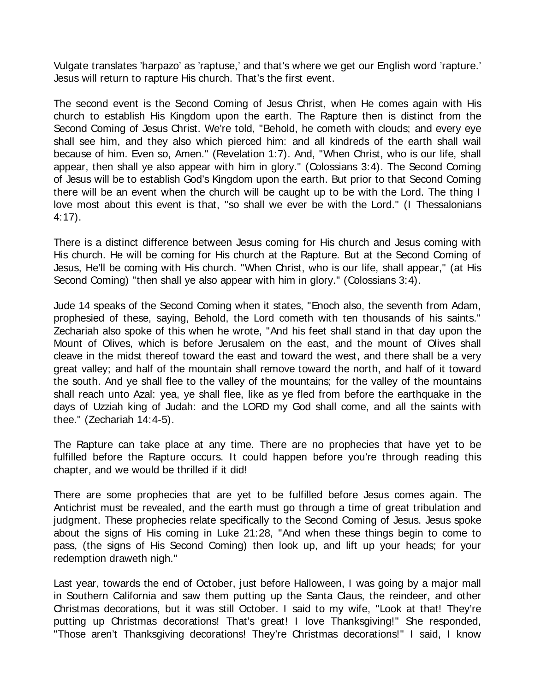Vulgate translates 'harpazo' as 'raptuse,' and that's where we get our English word 'rapture.' Jesus will return to rapture His church. That's the first event.

The second event is the Second Coming of Jesus Christ, when He comes again with His church to establish His Kingdom upon the earth. The Rapture then is distinct from the Second Coming of Jesus Christ. We're told, "Behold, he cometh with clouds; and every eye shall see him, and they also which pierced him: and all kindreds of the earth shall wail because of him. Even so, Amen." (Revelation 1:7). And, "When Christ, who is our life, shall appear, then shall ye also appear with him in glory." (Colossians 3:4). The Second Coming of Jesus will be to establish God's Kingdom upon the earth. But prior to that Second Coming there will be an event when the church will be caught up to be with the Lord. The thing I love most about this event is that, "so shall we ever be with the Lord." (I Thessalonians 4:17).

There is a distinct difference between Jesus coming for His church and Jesus coming with His church. He will be coming for His church at the Rapture. But at the Second Coming of Jesus, He'll be coming with His church. "When Christ, who is our life, shall appear," (at His Second Coming) "then shall ye also appear with him in glory." (Colossians 3:4).

Jude 14 speaks of the Second Coming when it states, "Enoch also, the seventh from Adam, prophesied of these, saying, Behold, the Lord cometh with ten thousands of his saints." Zechariah also spoke of this when he wrote, "And his feet shall stand in that day upon the Mount of Olives, which is before Jerusalem on the east, and the mount of Olives shall cleave in the midst thereof toward the east and toward the west, and there shall be a very great valley; and half of the mountain shall remove toward the north, and half of it toward the south. And ye shall flee to the valley of the mountains; for the valley of the mountains shall reach unto Azal: yea, ye shall flee, like as ye fled from before the earthquake in the days of Uzziah king of Judah: and the LORD my God shall come, and all the saints with thee." (Zechariah 14:4-5).

The Rapture can take place at any time. There are no prophecies that have yet to be fulfilled before the Rapture occurs. It could happen before you're through reading this chapter, and we would be thrilled if it did!

There are some prophecies that are yet to be fulfilled before Jesus comes again. The Antichrist must be revealed, and the earth must go through a time of great tribulation and judgment. These prophecies relate specifically to the Second Coming of Jesus. Jesus spoke about the signs of His coming in Luke 21:28, "And when these things begin to come to pass, (the signs of His Second Coming) then look up, and lift up your heads; for your redemption draweth nigh."

Last year, towards the end of October, just before Halloween, I was going by a major mall in Southern California and saw them putting up the Santa Claus, the reindeer, and other Christmas decorations, but it was still October. I said to my wife, "Look at that! They're putting up Christmas decorations! That's great! I love Thanksgiving!" She responded, "Those aren't Thanksgiving decorations! They're Christmas decorations!" I said, I know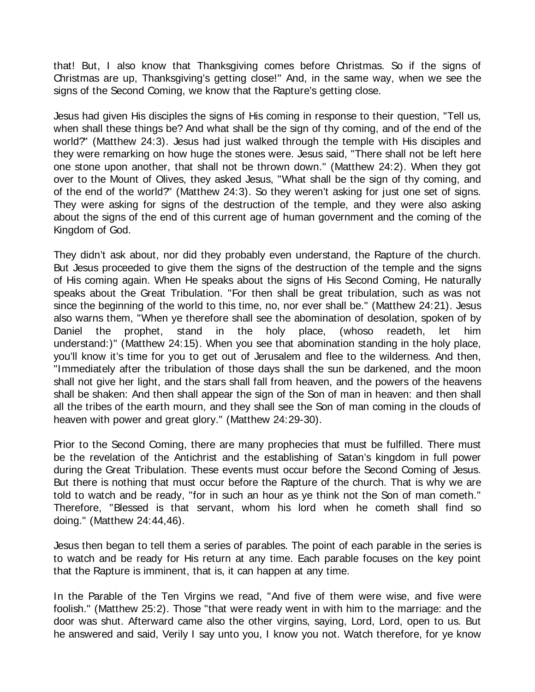that! But, I also know that Thanksgiving comes before Christmas. So if the signs of Christmas are up, Thanksgiving's getting close!" And, in the same way, when we see the signs of the Second Coming, we know that the Rapture's getting close.

Jesus had given His disciples the signs of His coming in response to their question, "Tell us, when shall these things be? And what shall be the sign of thy coming, and of the end of the world?" (Matthew 24:3). Jesus had just walked through the temple with His disciples and they were remarking on how huge the stones were. Jesus said, "There shall not be left here one stone upon another, that shall not be thrown down." (Matthew 24:2). When they got over to the Mount of Olives, they asked Jesus, "What shall be the sign of thy coming, and of the end of the world?" (Matthew 24:3). So they weren't asking for just one set of signs. They were asking for signs of the destruction of the temple, and they were also asking about the signs of the end of this current age of human government and the coming of the Kingdom of God.

They didn't ask about, nor did they probably even understand, the Rapture of the church. But Jesus proceeded to give them the signs of the destruction of the temple and the signs of His coming again. When He speaks about the signs of His Second Coming, He naturally speaks about the Great Tribulation. "For then shall be great tribulation, such as was not since the beginning of the world to this time, no, nor ever shall be." (Matthew 24:21). Jesus also warns them, "When ye therefore shall see the abomination of desolation, spoken of by Daniel the prophet, stand in the holy place, (whoso readeth, let him understand:)" (Matthew 24:15). When you see that abomination standing in the holy place, you'll know it's time for you to get out of Jerusalem and flee to the wilderness. And then, "Immediately after the tribulation of those days shall the sun be darkened, and the moon shall not give her light, and the stars shall fall from heaven, and the powers of the heavens shall be shaken: And then shall appear the sign of the Son of man in heaven: and then shall all the tribes of the earth mourn, and they shall see the Son of man coming in the clouds of heaven with power and great glory." (Matthew 24:29-30).

Prior to the Second Coming, there are many prophecies that must be fulfilled. There must be the revelation of the Antichrist and the establishing of Satan's kingdom in full power during the Great Tribulation. These events must occur before the Second Coming of Jesus. But there is nothing that must occur before the Rapture of the church. That is why we are told to watch and be ready, "for in such an hour as ye think not the Son of man cometh." Therefore, "Blessed is that servant, whom his lord when he cometh shall find so doing." (Matthew 24:44,46).

Jesus then began to tell them a series of parables. The point of each parable in the series is to watch and be ready for His return at any time. Each parable focuses on the key point that the Rapture is imminent, that is, it can happen at any time.

In the Parable of the Ten Virgins we read, "And five of them were wise, and five were foolish." (Matthew 25:2). Those "that were ready went in with him to the marriage: and the door was shut. Afterward came also the other virgins, saying, Lord, Lord, open to us. But he answered and said, Verily I say unto you, I know you not. Watch therefore, for ye know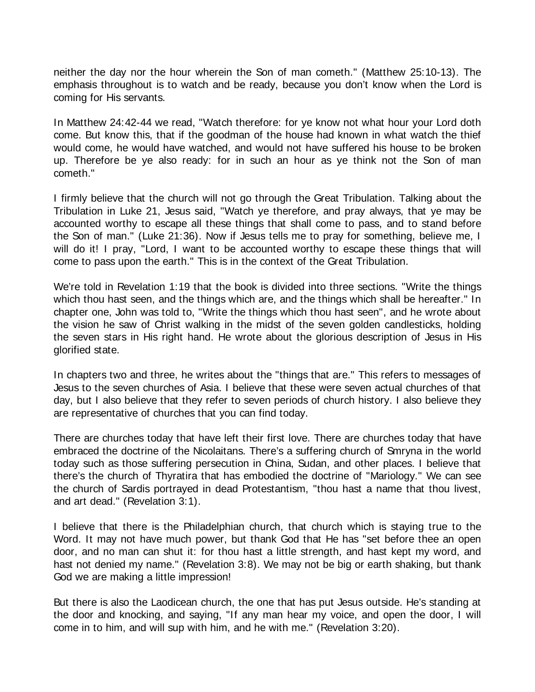neither the day nor the hour wherein the Son of man cometh." (Matthew 25:10-13). The emphasis throughout is to watch and be ready, because you don't know when the Lord is coming for His servants.

In Matthew 24:42-44 we read, "Watch therefore: for ye know not what hour your Lord doth come. But know this, that if the goodman of the house had known in what watch the thief would come, he would have watched, and would not have suffered his house to be broken up. Therefore be ye also ready: for in such an hour as ye think not the Son of man cometh."

I firmly believe that the church will not go through the Great Tribulation. Talking about the Tribulation in Luke 21, Jesus said, "Watch ye therefore, and pray always, that ye may be accounted worthy to escape all these things that shall come to pass, and to stand before the Son of man." (Luke 21:36). Now if Jesus tells me to pray for something, believe me, I will do it! I pray, "Lord, I want to be accounted worthy to escape these things that will come to pass upon the earth." This is in the context of the Great Tribulation.

We're told in Revelation 1:19 that the book is divided into three sections. "Write the things which thou hast seen, and the things which are, and the things which shall be hereafter." In chapter one, John was told to, "Write the things which thou hast seen", and he wrote about the vision he saw of Christ walking in the midst of the seven golden candlesticks, holding the seven stars in His right hand. He wrote about the glorious description of Jesus in His glorified state.

In chapters two and three, he writes about the "things that are." This refers to messages of Jesus to the seven churches of Asia. I believe that these were seven actual churches of that day, but I also believe that they refer to seven periods of church history. I also believe they are representative of churches that you can find today.

There are churches today that have left their first love. There are churches today that have embraced the doctrine of the Nicolaitans. There's a suffering church of Smryna in the world today such as those suffering persecution in China, Sudan, and other places. I believe that there's the church of Thyratira that has embodied the doctrine of "Mariology." We can see the church of Sardis portrayed in dead Protestantism, "thou hast a name that thou livest, and art dead." (Revelation 3:1).

I believe that there is the Philadelphian church, that church which is staying true to the Word. It may not have much power, but thank God that He has "set before thee an open door, and no man can shut it: for thou hast a little strength, and hast kept my word, and hast not denied my name." (Revelation 3:8). We may not be big or earth shaking, but thank God we are making a little impression!

But there is also the Laodicean church, the one that has put Jesus outside. He's standing at the door and knocking, and saying, "If any man hear my voice, and open the door, I will come in to him, and will sup with him, and he with me." (Revelation 3:20).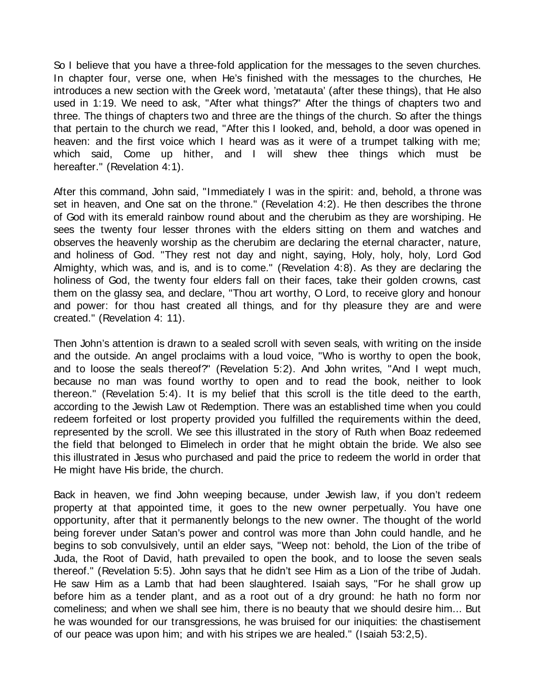So I believe that you have a three-fold application for the messages to the seven churches. In chapter four, verse one, when He's finished with the messages to the churches, He introduces a new section with the Greek word, 'metatauta' (after these things), that He also used in 1:19. We need to ask, "After what things?" After the things of chapters two and three. The things of chapters two and three are the things of the church. So after the things that pertain to the church we read, "After this I looked, and, behold, a door was opened in heaven: and the first voice which I heard was as it were of a trumpet talking with me; which said, Come up hither, and I will shew thee things which must be hereafter." (Revelation 4:1).

After this command, John said, "Immediately I was in the spirit: and, behold, a throne was set in heaven, and One sat on the throne." (Revelation 4:2). He then describes the throne of God with its emerald rainbow round about and the cherubim as they are worshiping. He sees the twenty four lesser thrones with the elders sitting on them and watches and observes the heavenly worship as the cherubim are declaring the eternal character, nature, and holiness of God. "They rest not day and night, saying, Holy, holy, holy, Lord God Almighty, which was, and is, and is to come." (Revelation 4:8). As they are declaring the holiness of God, the twenty four elders fall on their faces, take their golden crowns, cast them on the glassy sea, and declare, "Thou art worthy, O Lord, to receive glory and honour and power: for thou hast created all things, and for thy pleasure they are and were created." (Revelation 4: 11).

Then John's attention is drawn to a sealed scroll with seven seals, with writing on the inside and the outside. An angel proclaims with a loud voice, "Who is worthy to open the book, and to loose the seals thereof?" (Revelation 5:2). And John writes, "And I wept much, because no man was found worthy to open and to read the book, neither to look thereon." (Revelation 5:4). It is my belief that this scroll is the title deed to the earth, according to the Jewish Law ot Redemption. There was an established time when you could redeem forfeited or lost property provided you fulfilled the requirements within the deed, represented by the scroll. We see this illustrated in the story of Ruth when Boaz redeemed the field that belonged to Elimelech in order that he might obtain the bride. We also see this illustrated in Jesus who purchased and paid the price to redeem the world in order that He might have His bride, the church.

Back in heaven, we find John weeping because, under Jewish law, if you don't redeem property at that appointed time, it goes to the new owner perpetually. You have one opportunity, after that it permanently belongs to the new owner. The thought of the world being forever under Satan's power and control was more than John could handle, and he begins to sob convulsively, until an elder says, "Weep not: behold, the Lion of the tribe of Juda, the Root of David, hath prevailed to open the book, and to loose the seven seals thereof." (Revelation 5:5). John says that he didn't see Him as a Lion of the tribe of Judah. He saw Him as a Lamb that had been slaughtered. Isaiah says, "For he shall grow up before him as a tender plant, and as a root out of a dry ground: he hath no form nor comeliness; and when we shall see him, there is no beauty that we should desire him... But he was wounded for our transgressions, he was bruised for our iniquities: the chastisement of our peace was upon him; and with his stripes we are healed." (Isaiah 53:2,5).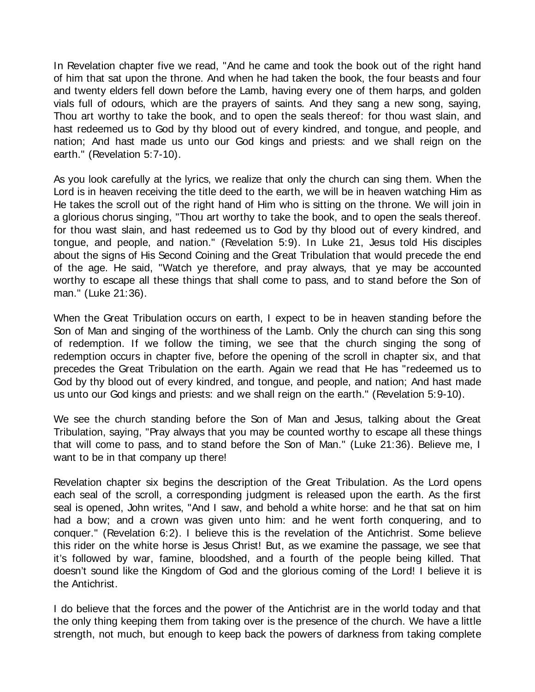In Revelation chapter five we read, "And he came and took the book out of the right hand of him that sat upon the throne. And when he had taken the book, the four beasts and four and twenty elders fell down before the Lamb, having every one of them harps, and golden vials full of odours, which are the prayers of saints. And they sang a new song, saying, Thou art worthy to take the book, and to open the seals thereof: for thou wast slain, and hast redeemed us to God by thy blood out of every kindred, and tongue, and people, and nation; And hast made us unto our God kings and priests: and we shall reign on the earth." (Revelation 5:7-10).

As you look carefully at the lyrics, we realize that only the church can sing them. When the Lord is in heaven receiving the title deed to the earth, we will be in heaven watching Him as He takes the scroll out of the right hand of Him who is sitting on the throne. We will join in a glorious chorus singing, "Thou art worthy to take the book, and to open the seals thereof. for thou wast slain, and hast redeemed us to God by thy blood out of every kindred, and tongue, and people, and nation." (Revelation 5:9). In Luke 21, Jesus told His disciples about the signs of His Second Coining and the Great Tribulation that would precede the end of the age. He said, "Watch ye therefore, and pray always, that ye may be accounted worthy to escape all these things that shall come to pass, and to stand before the Son of man." (Luke 21:36).

When the Great Tribulation occurs on earth, I expect to be in heaven standing before the Son of Man and singing of the worthiness of the Lamb. Only the church can sing this song of redemption. If we follow the timing, we see that the church singing the song of redemption occurs in chapter five, before the opening of the scroll in chapter six, and that precedes the Great Tribulation on the earth. Again we read that He has "redeemed us to God by thy blood out of every kindred, and tongue, and people, and nation; And hast made us unto our God kings and priests: and we shall reign on the earth." (Revelation 5:9-10).

We see the church standing before the Son of Man and Jesus, talking about the Great Tribulation, saying, "Pray always that you may be counted worthy to escape all these things that will come to pass, and to stand before the Son of Man." (Luke 21:36). Believe me, I want to be in that company up there!

Revelation chapter six begins the description of the Great Tribulation. As the Lord opens each seal of the scroll, a corresponding judgment is released upon the earth. As the first seal is opened, John writes, "And I saw, and behold a white horse: and he that sat on him had a bow; and a crown was given unto him: and he went forth conquering, and to conquer." (Revelation 6:2). I believe this is the revelation of the Antichrist. Some believe this rider on the white horse is Jesus Christ! But, as we examine the passage, we see that it's followed by war, famine, bloodshed, and a fourth of the people being killed. That doesn't sound like the Kingdom of God and the glorious coming of the Lord! I believe it is the Antichrist.

I do believe that the forces and the power of the Antichrist are in the world today and that the only thing keeping them from taking over is the presence of the church. We have a little strength, not much, but enough to keep back the powers of darkness from taking complete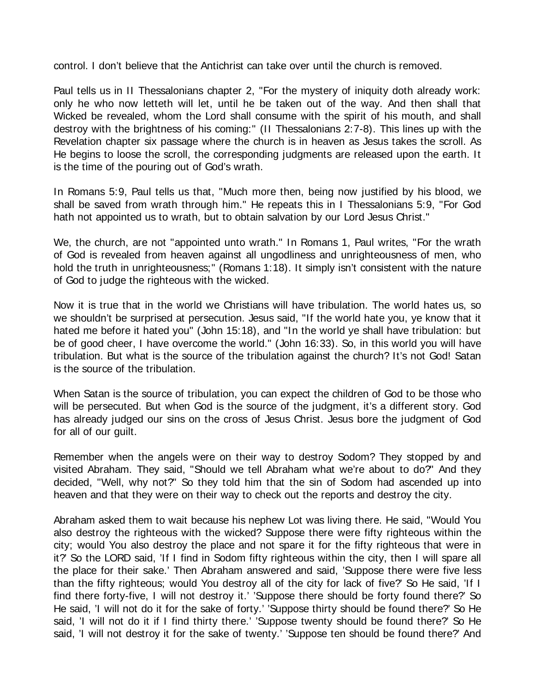control. I don't believe that the Antichrist can take over until the church is removed.

Paul tells us in II Thessalonians chapter 2, "For the mystery of iniquity doth already work: only he who now letteth will let, until he be taken out of the way. And then shall that Wicked be revealed, whom the Lord shall consume with the spirit of his mouth, and shall destroy with the brightness of his coming:" (II Thessalonians 2:7-8). This lines up with the Revelation chapter six passage where the church is in heaven as Jesus takes the scroll. As He begins to loose the scroll, the corresponding judgments are released upon the earth. It is the time of the pouring out of God's wrath.

In Romans 5:9, Paul tells us that, "Much more then, being now justified by his blood, we shall be saved from wrath through him." He repeats this in I Thessalonians 5:9, "For God hath not appointed us to wrath, but to obtain salvation by our Lord Jesus Christ."

We, the church, are not "appointed unto wrath." In Romans 1, Paul writes, "For the wrath of God is revealed from heaven against all ungodliness and unrighteousness of men, who hold the truth in unrighteousness;" (Romans 1:18). It simply isn't consistent with the nature of God to judge the righteous with the wicked.

Now it is true that in the world we Christians will have tribulation. The world hates us, so we shouldn't be surprised at persecution. Jesus said, "If the world hate you, ye know that it hated me before it hated you" (John 15:18), and "In the world ye shall have tribulation: but be of good cheer, I have overcome the world." (John 16:33). So, in this world you will have tribulation. But what is the source of the tribulation against the church? It's not God! Satan is the source of the tribulation.

When Satan is the source of tribulation, you can expect the children of God to be those who will be persecuted. But when God is the source of the judgment, it's a different story. God has already judged our sins on the cross of Jesus Christ. Jesus bore the judgment of God for all of our guilt.

Remember when the angels were on their way to destroy Sodom? They stopped by and visited Abraham. They said, "Should we tell Abraham what we're about to do?" And they decided, "Well, why not?" So they told him that the sin of Sodom had ascended up into heaven and that they were on their way to check out the reports and destroy the city.

Abraham asked them to wait because his nephew Lot was living there. He said, "Would You also destroy the righteous with the wicked? Suppose there were fifty righteous within the city; would You also destroy the place and not spare it for the fifty righteous that were in it?' So the LORD said, 'If I find in Sodom fifty righteous within the city, then I will spare all the place for their sake.' Then Abraham answered and said, 'Suppose there were five less than the fifty righteous; would You destroy all of the city for lack of five?' So He said, 'If I find there forty-five, I will not destroy it.' 'Suppose there should be forty found there?' So He said, 'I will not do it for the sake of forty.' 'Suppose thirty should be found there?' So He said, 'I will not do it if I find thirty there.' 'Suppose twenty should be found there?' So He said, 'I will not destroy it for the sake of twenty.' 'Suppose ten should be found there?' And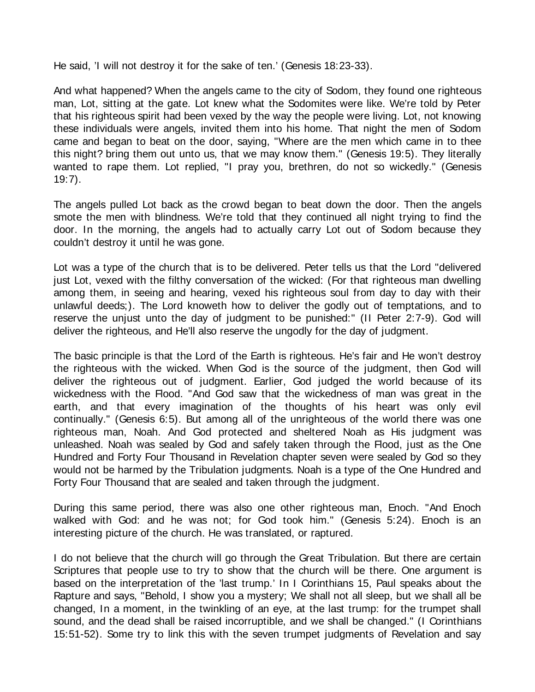He said, 'I will not destroy it for the sake of ten.' (Genesis 18:23-33).

And what happened? When the angels came to the city of Sodom, they found one righteous man, Lot, sitting at the gate. Lot knew what the Sodomites were like. We're told by Peter that his righteous spirit had been vexed by the way the people were living. Lot, not knowing these individuals were angels, invited them into his home. That night the men of Sodom came and began to beat on the door, saying, "Where are the men which came in to thee this night? bring them out unto us, that we may know them." (Genesis 19:5). They literally wanted to rape them. Lot replied, "I pray you, brethren, do not so wickedly." (Genesis 19:7).

The angels pulled Lot back as the crowd began to beat down the door. Then the angels smote the men with blindness. We're told that they continued all night trying to find the door. In the morning, the angels had to actually carry Lot out of Sodom because they couldn't destroy it until he was gone.

Lot was a type of the church that is to be delivered. Peter tells us that the Lord "delivered just Lot, vexed with the filthy conversation of the wicked: (For that righteous man dwelling among them, in seeing and hearing, vexed his righteous soul from day to day with their unlawful deeds;). The Lord knoweth how to deliver the godly out of temptations, and to reserve the unjust unto the day of judgment to be punished:" (II Peter 2:7-9). God will deliver the righteous, and He'll also reserve the ungodly for the day of judgment.

The basic principle is that the Lord of the Earth is righteous. He's fair and He won't destroy the righteous with the wicked. When God is the source of the judgment, then God will deliver the righteous out of judgment. Earlier, God judged the world because of its wickedness with the Flood. "And God saw that the wickedness of man was great in the earth, and that every imagination of the thoughts of his heart was only evil continually." (Genesis 6:5). But among all of the unrighteous of the world there was one righteous man, Noah. And God protected and sheltered Noah as His judgment was unleashed. Noah was sealed by God and safely taken through the Flood, just as the One Hundred and Forty Four Thousand in Revelation chapter seven were sealed by God so they would not be harmed by the Tribulation judgments. Noah is a type of the One Hundred and Forty Four Thousand that are sealed and taken through the judgment.

During this same period, there was also one other righteous man, Enoch. "And Enoch walked with God: and he was not; for God took him." (Genesis 5:24). Enoch is an interesting picture of the church. He was translated, or raptured.

I do not believe that the church will go through the Great Tribulation. But there are certain Scriptures that people use to try to show that the church will be there. One argument is based on the interpretation of the 'last trump.' In I Corinthians 15, Paul speaks about the Rapture and says, "Behold, I show you a mystery; We shall not all sleep, but we shall all be changed, In a moment, in the twinkling of an eye, at the last trump: for the trumpet shall sound, and the dead shall be raised incorruptible, and we shall be changed." (I Corinthians 15:51-52). Some try to link this with the seven trumpet judgments of Revelation and say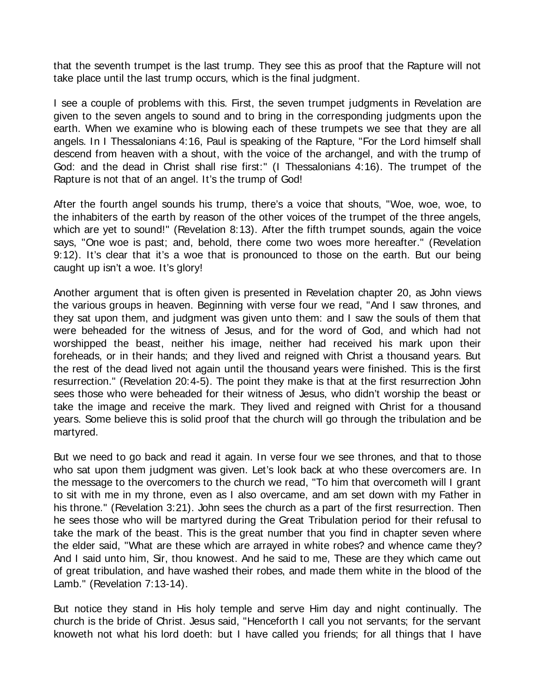that the seventh trumpet is the last trump. They see this as proof that the Rapture will not take place until the last trump occurs, which is the final judgment.

I see a couple of problems with this. First, the seven trumpet judgments in Revelation are given to the seven angels to sound and to bring in the corresponding judgments upon the earth. When we examine who is blowing each of these trumpets we see that they are all angels. In I Thessalonians 4:16, Paul is speaking of the Rapture, "For the Lord himself shall descend from heaven with a shout, with the voice of the archangel, and with the trump of God: and the dead in Christ shall rise first:" (I Thessalonians 4:16). The trumpet of the Rapture is not that of an angel. It's the trump of God!

After the fourth angel sounds his trump, there's a voice that shouts, "Woe, woe, woe, to the inhabiters of the earth by reason of the other voices of the trumpet of the three angels, which are yet to sound!" (Revelation 8:13). After the fifth trumpet sounds, again the voice says, "One woe is past; and, behold, there come two woes more hereafter." (Revelation 9:12). It's clear that it's a woe that is pronounced to those on the earth. But our being caught up isn't a woe. It's glory!

Another argument that is often given is presented in Revelation chapter 20, as John views the various groups in heaven. Beginning with verse four we read, "And I saw thrones, and they sat upon them, and judgment was given unto them: and I saw the souls of them that were beheaded for the witness of Jesus, and for the word of God, and which had not worshipped the beast, neither his image, neither had received his mark upon their foreheads, or in their hands; and they lived and reigned with Christ a thousand years. But the rest of the dead lived not again until the thousand years were finished. This is the first resurrection." (Revelation 20:4-5). The point they make is that at the first resurrection John sees those who were beheaded for their witness of Jesus, who didn't worship the beast or take the image and receive the mark. They lived and reigned with Christ for a thousand years. Some believe this is solid proof that the church will go through the tribulation and be martyred.

But we need to go back and read it again. In verse four we see thrones, and that to those who sat upon them judgment was given. Let's look back at who these overcomers are. In the message to the overcomers to the church we read, "To him that overcometh will I grant to sit with me in my throne, even as I also overcame, and am set down with my Father in his throne." (Revelation 3:21). John sees the church as a part of the first resurrection. Then he sees those who will be martyred during the Great Tribulation period for their refusal to take the mark of the beast. This is the great number that you find in chapter seven where the elder said, "What are these which are arrayed in white robes? and whence came they? And I said unto him, Sir, thou knowest. And he said to me, These are they which came out of great tribulation, and have washed their robes, and made them white in the blood of the Lamb." (Revelation 7:13-14).

But notice they stand in His holy temple and serve Him day and night continually. The church is the bride of Christ. Jesus said, "Henceforth I call you not servants; for the servant knoweth not what his lord doeth: but I have called you friends; for all things that I have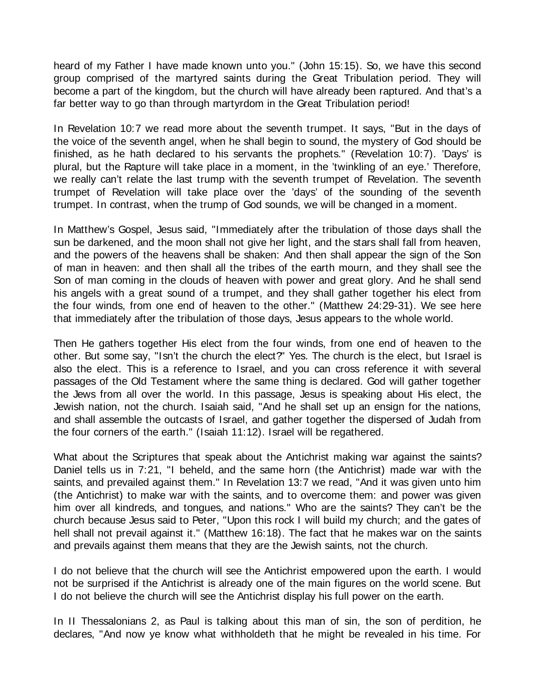heard of my Father I have made known unto you." (John 15:15). So, we have this second group comprised of the martyred saints during the Great Tribulation period. They will become a part of the kingdom, but the church will have already been raptured. And that's a far better way to go than through martyrdom in the Great Tribulation period!

In Revelation 10:7 we read more about the seventh trumpet. It says, "But in the days of the voice of the seventh angel, when he shall begin to sound, the mystery of God should be finished, as he hath declared to his servants the prophets." (Revelation 10:7). 'Days' is plural, but the Rapture will take place in a moment, in the 'twinkling of an eye.' Therefore, we really can't relate the last trump with the seventh trumpet of Revelation. The seventh trumpet of Revelation will take place over the 'days' of the sounding of the seventh trumpet. In contrast, when the trump of God sounds, we will be changed in a moment.

In Matthew's Gospel, Jesus said, "Immediately after the tribulation of those days shall the sun be darkened, and the moon shall not give her light, and the stars shall fall from heaven, and the powers of the heavens shall be shaken: And then shall appear the sign of the Son of man in heaven: and then shall all the tribes of the earth mourn, and they shall see the Son of man coming in the clouds of heaven with power and great glory. And he shall send his angels with a great sound of a trumpet, and they shall gather together his elect from the four winds, from one end of heaven to the other." (Matthew 24:29-31). We see here that immediately after the tribulation of those days, Jesus appears to the whole world.

Then He gathers together His elect from the four winds, from one end of heaven to the other. But some say, "Isn't the church the elect?" Yes. The church is the elect, but Israel is also the elect. This is a reference to Israel, and you can cross reference it with several passages of the Old Testament where the same thing is declared. God will gather together the Jews from all over the world. In this passage, Jesus is speaking about His elect, the Jewish nation, not the church. Isaiah said, "And he shall set up an ensign for the nations, and shall assemble the outcasts of Israel, and gather together the dispersed of Judah from the four corners of the earth." (Isaiah 11:12). Israel will be regathered.

What about the Scriptures that speak about the Antichrist making war against the saints? Daniel tells us in 7:21, "I beheld, and the same horn (the Antichrist) made war with the saints, and prevailed against them." In Revelation 13:7 we read, "And it was given unto him (the Antichrist) to make war with the saints, and to overcome them: and power was given him over all kindreds, and tongues, and nations." Who are the saints? They can't be the church because Jesus said to Peter, "Upon this rock I will build my church; and the gates of hell shall not prevail against it." (Matthew 16:18). The fact that he makes war on the saints and prevails against them means that they are the Jewish saints, not the church.

I do not believe that the church will see the Antichrist empowered upon the earth. I would not be surprised if the Antichrist is already one of the main figures on the world scene. But I do not believe the church will see the Antichrist display his full power on the earth.

In II Thessalonians 2, as Paul is talking about this man of sin, the son of perdition, he declares, "And now ye know what withholdeth that he might be revealed in his time. For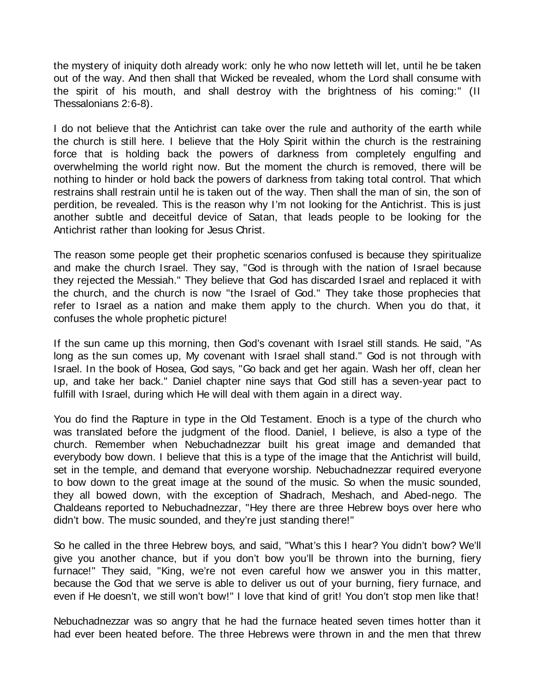the mystery of iniquity doth already work: only he who now letteth will let, until he be taken out of the way. And then shall that Wicked be revealed, whom the Lord shall consume with the spirit of his mouth, and shall destroy with the brightness of his coming:" (II Thessalonians 2:6-8).

I do not believe that the Antichrist can take over the rule and authority of the earth while the church is still here. I believe that the Holy Spirit within the church is the restraining force that is holding back the powers of darkness from completely engulfing and overwhelming the world right now. But the moment the church is removed, there will be nothing to hinder or hold back the powers of darkness from taking total control. That which restrains shall restrain until he is taken out of the way. Then shall the man of sin, the son of perdition, be revealed. This is the reason why I'm not looking for the Antichrist. This is just another subtle and deceitful device of Satan, that leads people to be looking for the Antichrist rather than looking for Jesus Christ.

The reason some people get their prophetic scenarios confused is because they spiritualize and make the church Israel. They say, "God is through with the nation of Israel because they rejected the Messiah." They believe that God has discarded Israel and replaced it with the church, and the church is now "the Israel of God." They take those prophecies that refer to Israel as a nation and make them apply to the church. When you do that, it confuses the whole prophetic picture!

If the sun came up this morning, then God's covenant with Israel still stands. He said, "As long as the sun comes up, My covenant with Israel shall stand." God is not through with Israel. In the book of Hosea, God says, "Go back and get her again. Wash her off, clean her up, and take her back." Daniel chapter nine says that God still has a seven-year pact to fulfill with Israel, during which He will deal with them again in a direct way.

You do find the Rapture in type in the Old Testament. Enoch is a type of the church who was translated before the judgment of the flood. Daniel, I believe, is also a type of the church. Remember when Nebuchadnezzar built his great image and demanded that everybody bow down. I believe that this is a type of the image that the Antichrist will build, set in the temple, and demand that everyone worship. Nebuchadnezzar required everyone to bow down to the great image at the sound of the music. So when the music sounded, they all bowed down, with the exception of Shadrach, Meshach, and Abed-nego. The Chaldeans reported to Nebuchadnezzar, "Hey there are three Hebrew boys over here who didn't bow. The music sounded, and they're just standing there!"

So he called in the three Hebrew boys, and said, "What's this I hear? You didn't bow? We'll give you another chance, but if you don't bow you'll be thrown into the burning, fiery furnace!" They said, "King, we're not even careful how we answer you in this matter, because the God that we serve is able to deliver us out of your burning, fiery furnace, and even if He doesn't, we still won't bow!" I love that kind of grit! You don't stop men like that!

Nebuchadnezzar was so angry that he had the furnace heated seven times hotter than it had ever been heated before. The three Hebrews were thrown in and the men that threw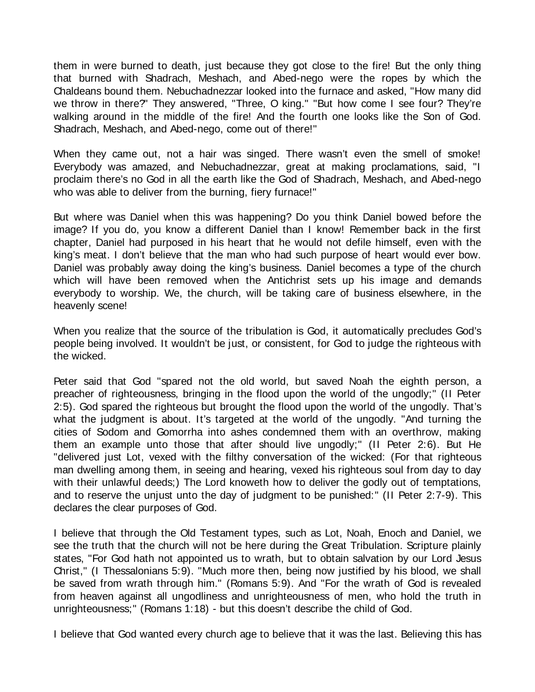them in were burned to death, just because they got close to the fire! But the only thing that burned with Shadrach, Meshach, and Abed-nego were the ropes by which the Chaldeans bound them. Nebuchadnezzar looked into the furnace and asked, "How many did we throw in there?" They answered, "Three, O king." "But how come I see four? They're walking around in the middle of the fire! And the fourth one looks like the Son of God. Shadrach, Meshach, and Abed-nego, come out of there!"

When they came out, not a hair was singed. There wasn't even the smell of smoke! Everybody was amazed, and Nebuchadnezzar, great at making proclamations, said, "I proclaim there's no God in all the earth like the God of Shadrach, Meshach, and Abed-nego who was able to deliver from the burning, fiery furnace!"

But where was Daniel when this was happening? Do you think Daniel bowed before the image? If you do, you know a different Daniel than I know! Remember back in the first chapter, Daniel had purposed in his heart that he would not defile himself, even with the king's meat. I don't believe that the man who had such purpose of heart would ever bow. Daniel was probably away doing the king's business. Daniel becomes a type of the church which will have been removed when the Antichrist sets up his image and demands everybody to worship. We, the church, will be taking care of business elsewhere, in the heavenly scene!

When you realize that the source of the tribulation is God, it automatically precludes God's people being involved. It wouldn't be just, or consistent, for God to judge the righteous with the wicked.

Peter said that God "spared not the old world, but saved Noah the eighth person, a preacher of righteousness, bringing in the flood upon the world of the ungodly;" (II Peter 2:5). God spared the righteous but brought the flood upon the world of the ungodly. That's what the judgment is about. It's targeted at the world of the ungodly. "And turning the cities of Sodom and Gomorrha into ashes condemned them with an overthrow, making them an example unto those that after should live ungodly;" (II Peter 2:6). But He "delivered just Lot, vexed with the filthy conversation of the wicked: (For that righteous man dwelling among them, in seeing and hearing, vexed his righteous soul from day to day with their unlawful deeds;) The Lord knoweth how to deliver the godly out of temptations, and to reserve the unjust unto the day of judgment to be punished:" (II Peter 2:7-9). This declares the clear purposes of God.

I believe that through the Old Testament types, such as Lot, Noah, Enoch and Daniel, we see the truth that the church will not be here during the Great Tribulation. Scripture plainly states, "For God hath not appointed us to wrath, but to obtain salvation by our Lord Jesus Christ," (I Thessalonians 5:9). "Much more then, being now justified by his blood, we shall be saved from wrath through him." (Romans 5:9). And "For the wrath of God is revealed from heaven against all ungodliness and unrighteousness of men, who hold the truth in unrighteousness;" (Romans 1:18) - but this doesn't describe the child of God.

I believe that God wanted every church age to believe that it was the last. Believing this has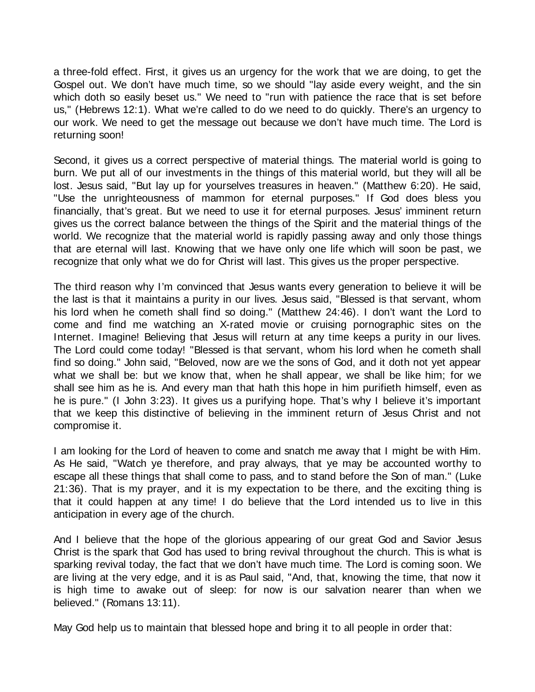a three-fold effect. First, it gives us an urgency for the work that we are doing, to get the Gospel out. We don't have much time, so we should "lay aside every weight, and the sin which doth so easily beset us." We need to "run with patience the race that is set before us," (Hebrews 12:1). What we're called to do we need to do quickly. There's an urgency to our work. We need to get the message out because we don't have much time. The Lord is returning soon!

Second, it gives us a correct perspective of material things. The material world is going to burn. We put all of our investments in the things of this material world, but they will all be lost. Jesus said, "But lay up for yourselves treasures in heaven." (Matthew 6:20). He said, "Use the unrighteousness of mammon for eternal purposes." If God does bless you financially, that's great. But we need to use it for eternal purposes. Jesus' imminent return gives us the correct balance between the things of the Spirit and the material things of the world. We recognize that the material world is rapidly passing away and only those things that are eternal will last. Knowing that we have only one life which will soon be past, we recognize that only what we do for Christ will last. This gives us the proper perspective.

The third reason why I'm convinced that Jesus wants every generation to believe it will be the last is that it maintains a purity in our lives. Jesus said, "Blessed is that servant, whom his lord when he cometh shall find so doing." (Matthew 24:46). I don't want the Lord to come and find me watching an X-rated movie or cruising pornographic sites on the Internet. Imagine! Believing that Jesus will return at any time keeps a purity in our lives. The Lord could come today! "Blessed is that servant, whom his lord when he cometh shall find so doing." John said, "Beloved, now are we the sons of God, and it doth not yet appear what we shall be: but we know that, when he shall appear, we shall be like him; for we shall see him as he is. And every man that hath this hope in him purifieth himself, even as he is pure." (I John 3:23). It gives us a purifying hope. That's why I believe it's important that we keep this distinctive of believing in the imminent return of Jesus Christ and not compromise it.

I am looking for the Lord of heaven to come and snatch me away that I might be with Him. As He said, "Watch ye therefore, and pray always, that ye may be accounted worthy to escape all these things that shall come to pass, and to stand before the Son of man." (Luke 21:36). That is my prayer, and it is my expectation to be there, and the exciting thing is that it could happen at any time! I do believe that the Lord intended us to live in this anticipation in every age of the church.

And I believe that the hope of the glorious appearing of our great God and Savior Jesus Christ is the spark that God has used to bring revival throughout the church. This is what is sparking revival today, the fact that we don't have much time. The Lord is coming soon. We are living at the very edge, and it is as Paul said, "And, that, knowing the time, that now it is high time to awake out of sleep: for now is our salvation nearer than when we believed." (Romans 13:11).

May God help us to maintain that blessed hope and bring it to all people in order that: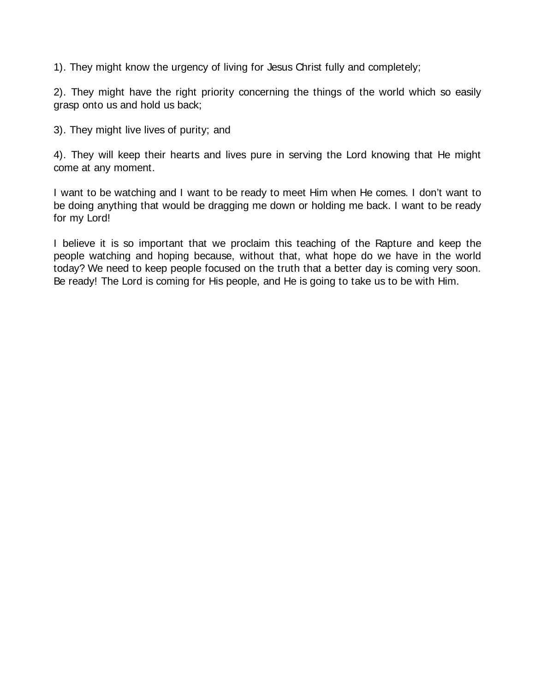1). They might know the urgency of living for Jesus Christ fully and completely;

2). They might have the right priority concerning the things of the world which so easily grasp onto us and hold us back;

3). They might live lives of purity; and

4). They will keep their hearts and lives pure in serving the Lord knowing that He might come at any moment.

I want to be watching and I want to be ready to meet Him when He comes. I don't want to be doing anything that would be dragging me down or holding me back. I want to be ready for my Lord!

I believe it is so important that we proclaim this teaching of the Rapture and keep the people watching and hoping because, without that, what hope do we have in the world today? We need to keep people focused on the truth that a better day is coming very soon. Be ready! The Lord is coming for His people, and He is going to take us to be with Him.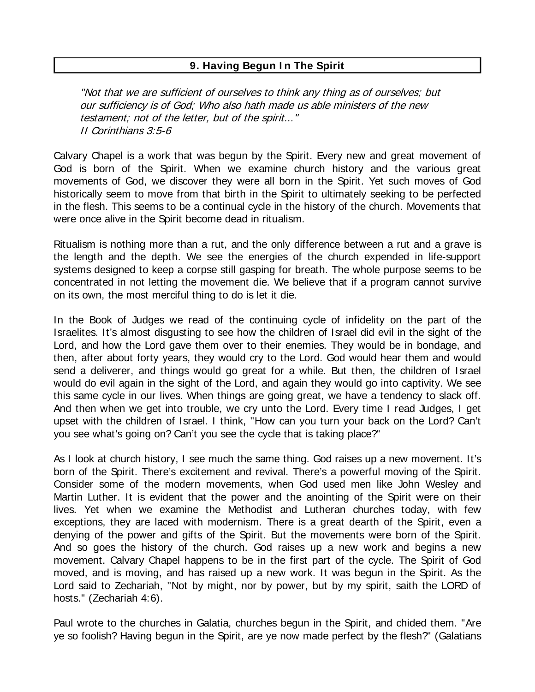## **9. Having Begun I n The Spirit**

"Not that we are sufficient of ourselves to think any thing as of ourselves; but our sufficiency is of God; Who also hath made us able ministers of the new testament; not of the letter, but of the spirit..." II Corinthians 3:5-6

Calvary Chapel is a work that was begun by the Spirit. Every new and great movement of God is born of the Spirit. When we examine church history and the various great movements of God, we discover they were all born in the Spirit. Yet such moves of God historically seem to move from that birth in the Spirit to ultimately seeking to be perfected in the flesh. This seems to be a continual cycle in the history of the church. Movements that were once alive in the Spirit become dead in ritualism.

Ritualism is nothing more than a rut, and the only difference between a rut and a grave is the length and the depth. We see the energies of the church expended in life-support systems designed to keep a corpse still gasping for breath. The whole purpose seems to be concentrated in not letting the movement die. We believe that if a program cannot survive on its own, the most merciful thing to do is let it die.

In the Book of Judges we read of the continuing cycle of infidelity on the part of the Israelites. It's almost disgusting to see how the children of Israel did evil in the sight of the Lord, and how the Lord gave them over to their enemies. They would be in bondage, and then, after about forty years, they would cry to the Lord. God would hear them and would send a deliverer, and things would go great for a while. But then, the children of Israel would do evil again in the sight of the Lord, and again they would go into captivity. We see this same cycle in our lives. When things are going great, we have a tendency to slack off. And then when we get into trouble, we cry unto the Lord. Every time I read Judges, I get upset with the children of Israel. I think, "How can you turn your back on the Lord? Can't you see what's going on? Can't you see the cycle that is taking place?"

As I look at church history, I see much the same thing. God raises up a new movement. It's born of the Spirit. There's excitement and revival. There's a powerful moving of the Spirit. Consider some of the modern movements, when God used men like John Wesley and Martin Luther. It is evident that the power and the anointing of the Spirit were on their lives. Yet when we examine the Methodist and Lutheran churches today, with few exceptions, they are laced with modernism. There is a great dearth of the Spirit, even a denying of the power and gifts of the Spirit. But the movements were born of the Spirit. And so goes the history of the church. God raises up a new work and begins a new movement. Calvary Chapel happens to be in the first part of the cycle. The Spirit of God moved, and is moving, and has raised up a new work. It was begun in the Spirit. As the Lord said to Zechariah, "Not by might, nor by power, but by my spirit, saith the LORD of hosts." (Zechariah 4:6).

Paul wrote to the churches in Galatia, churches begun in the Spirit, and chided them. "Are ye so foolish? Having begun in the Spirit, are ye now made perfect by the flesh?" (Galatians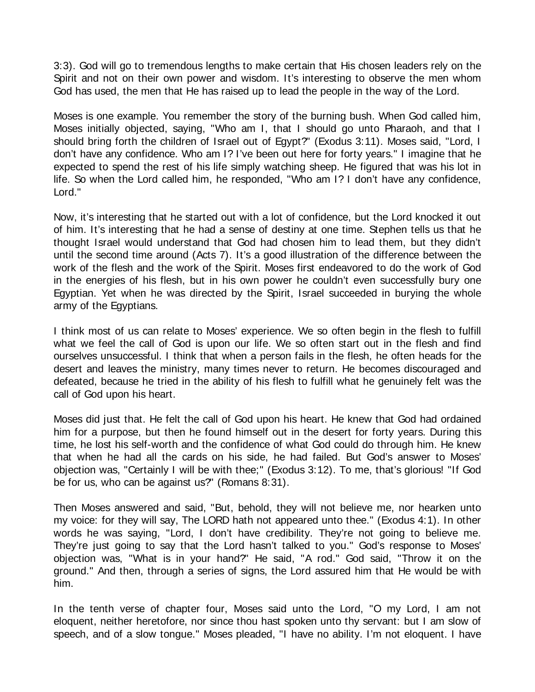3:3). God will go to tremendous lengths to make certain that His chosen leaders rely on the Spirit and not on their own power and wisdom. It's interesting to observe the men whom God has used, the men that He has raised up to lead the people in the way of the Lord.

Moses is one example. You remember the story of the burning bush. When God called him, Moses initially objected, saying, "Who am I, that I should go unto Pharaoh, and that I should bring forth the children of Israel out of Egypt?" (Exodus 3:11). Moses said, "Lord, I don't have any confidence. Who am I? I've been out here for forty years." I imagine that he expected to spend the rest of his life simply watching sheep. He figured that was his lot in life. So when the Lord called him, he responded, "Who am I? I don't have any confidence, Lord."

Now, it's interesting that he started out with a lot of confidence, but the Lord knocked it out of him. It's interesting that he had a sense of destiny at one time. Stephen tells us that he thought Israel would understand that God had chosen him to lead them, but they didn't until the second time around (Acts 7). It's a good illustration of the difference between the work of the flesh and the work of the Spirit. Moses first endeavored to do the work of God in the energies of his flesh, but in his own power he couldn't even successfully bury one Egyptian. Yet when he was directed by the Spirit, Israel succeeded in burying the whole army of the Egyptians.

I think most of us can relate to Moses' experience. We so often begin in the flesh to fulfill what we feel the call of God is upon our life. We so often start out in the flesh and find ourselves unsuccessful. I think that when a person fails in the flesh, he often heads for the desert and leaves the ministry, many times never to return. He becomes discouraged and defeated, because he tried in the ability of his flesh to fulfill what he genuinely felt was the call of God upon his heart.

Moses did just that. He felt the call of God upon his heart. He knew that God had ordained him for a purpose, but then he found himself out in the desert for forty years. During this time, he lost his self-worth and the confidence of what God could do through him. He knew that when he had all the cards on his side, he had failed. But God's answer to Moses' objection was, "Certainly I will be with thee;" (Exodus 3:12). To me, that's glorious! "If God be for us, who can be against us?" (Romans 8:31).

Then Moses answered and said, "But, behold, they will not believe me, nor hearken unto my voice: for they will say, The LORD hath not appeared unto thee." (Exodus 4:1). In other words he was saying, "Lord, I don't have credibility. They're not going to believe me. They're just going to say that the Lord hasn't talked to you." God's response to Moses' objection was, "What is in your hand?" He said, "A rod." God said, "Throw it on the ground." And then, through a series of signs, the Lord assured him that He would be with him.

In the tenth verse of chapter four, Moses said unto the Lord, "O my Lord, I am not eloquent, neither heretofore, nor since thou hast spoken unto thy servant: but I am slow of speech, and of a slow tongue." Moses pleaded, "I have no ability. I'm not eloquent. I have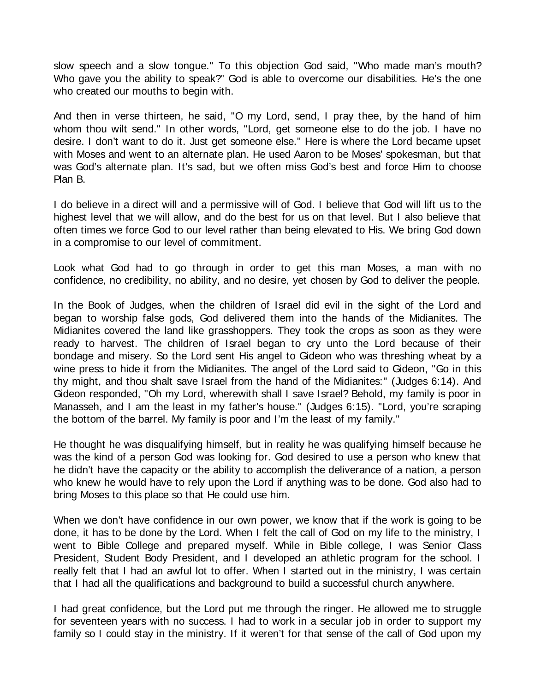slow speech and a slow tongue." To this objection God said, "Who made man's mouth? Who gave you the ability to speak?" God is able to overcome our disabilities. He's the one who created our mouths to begin with.

And then in verse thirteen, he said, "O my Lord, send, I pray thee, by the hand of him whom thou wilt send." In other words, "Lord, get someone else to do the job. I have no desire. I don't want to do it. Just get someone else." Here is where the Lord became upset with Moses and went to an alternate plan. He used Aaron to be Moses' spokesman, but that was God's alternate plan. It's sad, but we often miss God's best and force Him to choose Plan B.

I do believe in a direct will and a permissive will of God. I believe that God will lift us to the highest level that we will allow, and do the best for us on that level. But I also believe that often times we force God to our level rather than being elevated to His. We bring God down in a compromise to our level of commitment.

Look what God had to go through in order to get this man Moses, a man with no confidence, no credibility, no ability, and no desire, yet chosen by God to deliver the people.

In the Book of Judges, when the children of Israel did evil in the sight of the Lord and began to worship false gods, God delivered them into the hands of the Midianites. The Midianites covered the land like grasshoppers. They took the crops as soon as they were ready to harvest. The children of Israel began to cry unto the Lord because of their bondage and misery. So the Lord sent His angel to Gideon who was threshing wheat by a wine press to hide it from the Midianites. The angel of the Lord said to Gideon, "Go in this thy might, and thou shalt save Israel from the hand of the Midianites:" (Judges 6:14). And Gideon responded, "Oh my Lord, wherewith shall I save Israel? Behold, my family is poor in Manasseh, and I am the least in my father's house." (Judges 6:15). "Lord, you're scraping the bottom of the barrel. My family is poor and I'm the least of my family."

He thought he was disqualifying himself, but in reality he was qualifying himself because he was the kind of a person God was looking for. God desired to use a person who knew that he didn't have the capacity or the ability to accomplish the deliverance of a nation, a person who knew he would have to rely upon the Lord if anything was to be done. God also had to bring Moses to this place so that He could use him.

When we don't have confidence in our own power, we know that if the work is going to be done, it has to be done by the Lord. When I felt the call of God on my life to the ministry, I went to Bible College and prepared myself. While in Bible college, I was Senior Class President, Student Body President, and I developed an athletic program for the school. I really felt that I had an awful lot to offer. When I started out in the ministry, I was certain that I had all the qualifications and background to build a successful church anywhere.

I had great confidence, but the Lord put me through the ringer. He allowed me to struggle for seventeen years with no success. I had to work in a secular job in order to support my family so I could stay in the ministry. If it weren't for that sense of the call of God upon my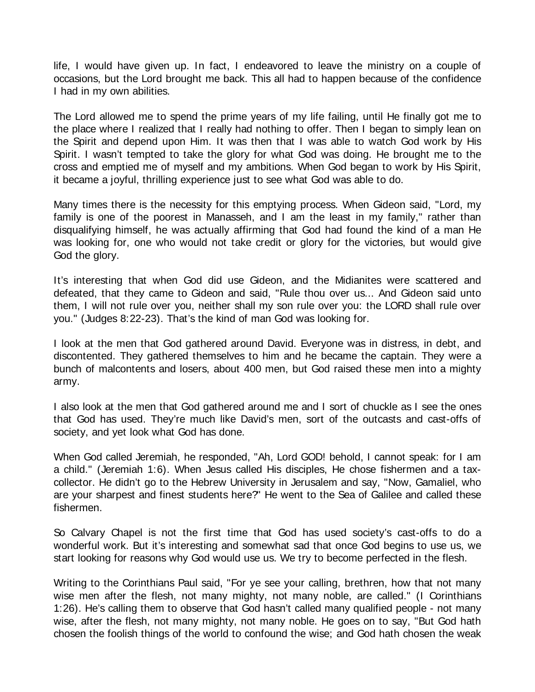life, I would have given up. In fact, I endeavored to leave the ministry on a couple of occasions, but the Lord brought me back. This all had to happen because of the confidence I had in my own abilities.

The Lord allowed me to spend the prime years of my life failing, until He finally got me to the place where I realized that I really had nothing to offer. Then I began to simply lean on the Spirit and depend upon Him. It was then that I was able to watch God work by His Spirit. I wasn't tempted to take the glory for what God was doing. He brought me to the cross and emptied me of myself and my ambitions. When God began to work by His Spirit, it became a joyful, thrilling experience just to see what God was able to do.

Many times there is the necessity for this emptying process. When Gideon said, "Lord, my family is one of the poorest in Manasseh, and I am the least in my family," rather than disqualifying himself, he was actually affirming that God had found the kind of a man He was looking for, one who would not take credit or glory for the victories, but would give God the glory.

It's interesting that when God did use Gideon, and the Midianites were scattered and defeated, that they came to Gideon and said, "Rule thou over us... And Gideon said unto them, I will not rule over you, neither shall my son rule over you: the LORD shall rule over you." (Judges 8:22-23). That's the kind of man God was looking for.

I look at the men that God gathered around David. Everyone was in distress, in debt, and discontented. They gathered themselves to him and he became the captain. They were a bunch of malcontents and losers, about 400 men, but God raised these men into a mighty army.

I also look at the men that God gathered around me and I sort of chuckle as I see the ones that God has used. They're much like David's men, sort of the outcasts and cast-offs of society, and yet look what God has done.

When God called Jeremiah, he responded, "Ah, Lord GOD! behold, I cannot speak: for I am a child." (Jeremiah 1:6). When Jesus called His disciples, He chose fishermen and a taxcollector. He didn't go to the Hebrew University in Jerusalem and say, "Now, Gamaliel, who are your sharpest and finest students here?" He went to the Sea of Galilee and called these fishermen.

So Calvary Chapel is not the first time that God has used society's cast-offs to do a wonderful work. But it's interesting and somewhat sad that once God begins to use us, we start looking for reasons why God would use us. We try to become perfected in the flesh.

Writing to the Corinthians Paul said, "For ye see your calling, brethren, how that not many wise men after the flesh, not many mighty, not many noble, are called." (I Corinthians 1:26). He's calling them to observe that God hasn't called many qualified people - not many wise, after the flesh, not many mighty, not many noble. He goes on to say, "But God hath chosen the foolish things of the world to confound the wise; and God hath chosen the weak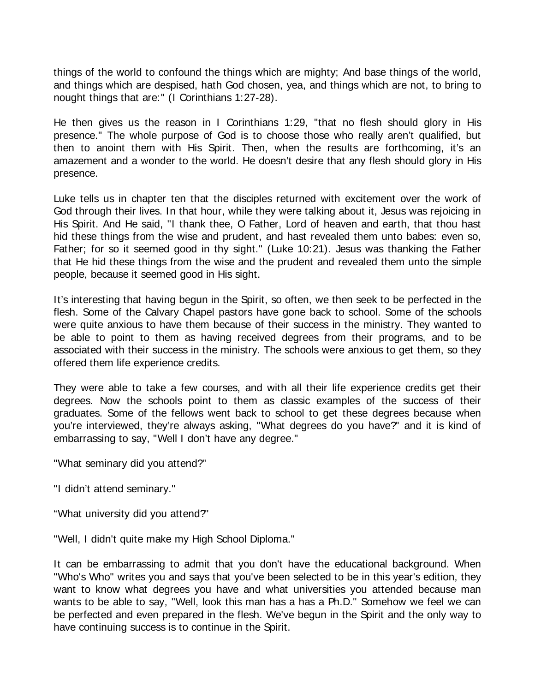things of the world to confound the things which are mighty; And base things of the world, and things which are despised, hath God chosen, yea, and things which are not, to bring to nought things that are:" (I Corinthians 1:27-28).

He then gives us the reason in I Corinthians 1:29, "that no flesh should glory in His presence." The whole purpose of God is to choose those who really aren't qualified, but then to anoint them with His Spirit. Then, when the results are forthcoming, it's an amazement and a wonder to the world. He doesn't desire that any flesh should glory in His presence.

Luke tells us in chapter ten that the disciples returned with excitement over the work of God through their lives. In that hour, while they were talking about it, Jesus was rejoicing in His Spirit. And He said, "I thank thee, O Father, Lord of heaven and earth, that thou hast hid these things from the wise and prudent, and hast revealed them unto babes: even so, Father; for so it seemed good in thy sight." (Luke 10:21). Jesus was thanking the Father that He hid these things from the wise and the prudent and revealed them unto the simple people, because it seemed good in His sight.

It's interesting that having begun in the Spirit, so often, we then seek to be perfected in the flesh. Some of the Calvary Chapel pastors have gone back to school. Some of the schools were quite anxious to have them because of their success in the ministry. They wanted to be able to point to them as having received degrees from their programs, and to be associated with their success in the ministry. The schools were anxious to get them, so they offered them life experience credits.

They were able to take a few courses, and with all their life experience credits get their degrees. Now the schools point to them as classic examples of the success of their graduates. Some of the fellows went back to school to get these degrees because when you're interviewed, they're always asking, "What degrees do you have?" and it is kind of embarrassing to say, "Well I don't have any degree."

"What seminary did you attend?"

"I didn't attend seminary."

"What university did you attend?"

"Well, I didn't quite make my High School Diploma."

It can be embarrassing to admit that you don't have the educational background. When "Who's Who" writes you and says that you've been selected to be in this year's edition, they want to know what degrees you have and what universities you attended because man wants to be able to say, "Well, look this man has a has a Ph.D." Somehow we feel we can be perfected and even prepared in the flesh. We've begun in the Spirit and the only way to have continuing success is to continue in the Spirit.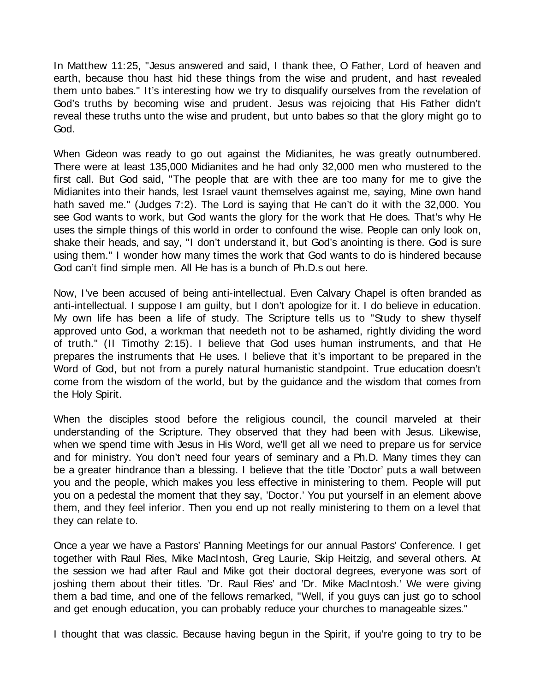In Matthew 11:25, "Jesus answered and said, I thank thee, O Father, Lord of heaven and earth, because thou hast hid these things from the wise and prudent, and hast revealed them unto babes." It's interesting how we try to disqualify ourselves from the revelation of God's truths by becoming wise and prudent. Jesus was rejoicing that His Father didn't reveal these truths unto the wise and prudent, but unto babes so that the glory might go to God.

When Gideon was ready to go out against the Midianites, he was greatly outnumbered. There were at least 135,000 Midianites and he had only 32,000 men who mustered to the first call. But God said, "The people that are with thee are too many for me to give the Midianites into their hands, lest Israel vaunt themselves against me, saying, Mine own hand hath saved me." (Judges 7:2). The Lord is saying that He can't do it with the 32,000. You see God wants to work, but God wants the glory for the work that He does. That's why He uses the simple things of this world in order to confound the wise. People can only look on, shake their heads, and say, "I don't understand it, but God's anointing is there. God is sure using them." I wonder how many times the work that God wants to do is hindered because God can't find simple men. All He has is a bunch of Ph.D.s out here.

Now, I've been accused of being anti-intellectual. Even Calvary Chapel is often branded as anti-intellectual. I suppose I am guilty, but I don't apologize for it. I do believe in education. My own life has been a life of study. The Scripture tells us to "Study to shew thyself approved unto God, a workman that needeth not to be ashamed, rightly dividing the word of truth." (II Timothy 2:15). I believe that God uses human instruments, and that He prepares the instruments that He uses. I believe that it's important to be prepared in the Word of God, but not from a purely natural humanistic standpoint. True education doesn't come from the wisdom of the world, but by the guidance and the wisdom that comes from the Holy Spirit.

When the disciples stood before the religious council, the council marveled at their understanding of the Scripture. They observed that they had been with Jesus. Likewise, when we spend time with Jesus in His Word, we'll get all we need to prepare us for service and for ministry. You don't need four years of seminary and a Ph.D. Many times they can be a greater hindrance than a blessing. I believe that the title 'Doctor' puts a wall between you and the people, which makes you less effective in ministering to them. People will put you on a pedestal the moment that they say, 'Doctor.' You put yourself in an element above them, and they feel inferior. Then you end up not really ministering to them on a level that they can relate to.

Once a year we have a Pastors' Planning Meetings for our annual Pastors' Conference. I get together with Raul Ries, Mike MacIntosh, Greg Laurie, Skip Heitzig, and several others. At the session we had after Raul and Mike got their doctoral degrees, everyone was sort of joshing them about their titles. 'Dr. Raul Ries' and 'Dr. Mike MacIntosh.' We were giving them a bad time, and one of the fellows remarked, "Well, if you guys can just go to school and get enough education, you can probably reduce your churches to manageable sizes."

I thought that was classic. Because having begun in the Spirit, if you're going to try to be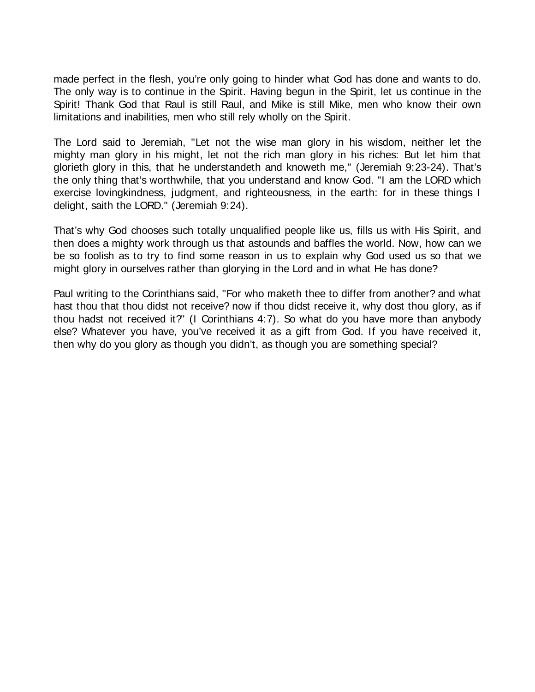made perfect in the flesh, you're only going to hinder what God has done and wants to do. The only way is to continue in the Spirit. Having begun in the Spirit, let us continue in the Spirit! Thank God that Raul is still Raul, and Mike is still Mike, men who know their own limitations and inabilities, men who still rely wholly on the Spirit.

The Lord said to Jeremiah, "Let not the wise man glory in his wisdom, neither let the mighty man glory in his might, let not the rich man glory in his riches: But let him that glorieth glory in this, that he understandeth and knoweth me," (Jeremiah 9:23-24). That's the only thing that's worthwhile, that you understand and know God. "I am the LORD which exercise lovingkindness, judgment, and righteousness, in the earth: for in these things I delight, saith the LORD." (Jeremiah 9:24).

That's why God chooses such totally unqualified people like us, fills us with His Spirit, and then does a mighty work through us that astounds and baffles the world. Now, how can we be so foolish as to try to find some reason in us to explain why God used us so that we might glory in ourselves rather than glorying in the Lord and in what He has done?

Paul writing to the Corinthians said, "For who maketh thee to differ from another? and what hast thou that thou didst not receive? now if thou didst receive it, why dost thou glory, as if thou hadst not received it?" (I Corinthians 4:7). So what do you have more than anybody else? Whatever you have, you've received it as a gift from God. If you have received it, then why do you glory as though you didn't, as though you are something special?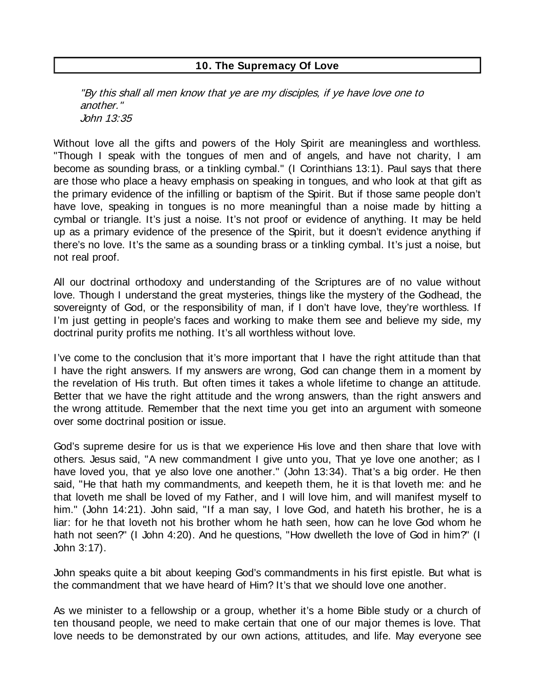# **10. The Supremacy Of Love**

"By this shall all men know that ye are my disciples, if ye have love one to another." John 13:35

Without love all the gifts and powers of the Holy Spirit are meaningless and worthless. "Though I speak with the tongues of men and of angels, and have not charity, I am become as sounding brass, or a tinkling cymbal." (I Corinthians 13:1). Paul says that there are those who place a heavy emphasis on speaking in tongues, and who look at that gift as the primary evidence of the infilling or baptism of the Spirit. But if those same people don't have love, speaking in tongues is no more meaningful than a noise made by hitting a cymbal or triangle. It's just a noise. It's not proof or evidence of anything. It may be held up as a primary evidence of the presence of the Spirit, but it doesn't evidence anything if there's no love. It's the same as a sounding brass or a tinkling cymbal. It's just a noise, but not real proof.

All our doctrinal orthodoxy and understanding of the Scriptures are of no value without love. Though I understand the great mysteries, things like the mystery of the Godhead, the sovereignty of God, or the responsibility of man, if I don't have love, they're worthless. If I'm just getting in people's faces and working to make them see and believe my side, my doctrinal purity profits me nothing. It's all worthless without love.

I've come to the conclusion that it's more important that I have the right attitude than that I have the right answers. If my answers are wrong, God can change them in a moment by the revelation of His truth. But often times it takes a whole lifetime to change an attitude. Better that we have the right attitude and the wrong answers, than the right answers and the wrong attitude. Remember that the next time you get into an argument with someone over some doctrinal position or issue.

God's supreme desire for us is that we experience His love and then share that love with others. Jesus said, "A new commandment I give unto you, That ye love one another; as I have loved you, that ye also love one another." (John 13:34). That's a big order. He then said, "He that hath my commandments, and keepeth them, he it is that loveth me: and he that loveth me shall be loved of my Father, and I will love him, and will manifest myself to him." (John 14:21). John said, "If a man say, I love God, and hateth his brother, he is a liar: for he that loveth not his brother whom he hath seen, how can he love God whom he hath not seen?" (I John 4:20). And he questions, "How dwelleth the love of God in him?" (I John 3:17).

John speaks quite a bit about keeping God's commandments in his first epistle. But what is the commandment that we have heard of Him? It's that we should love one another.

As we minister to a fellowship or a group, whether it's a home Bible study or a church of ten thousand people, we need to make certain that one of our major themes is love. That love needs to be demonstrated by our own actions, attitudes, and life. May everyone see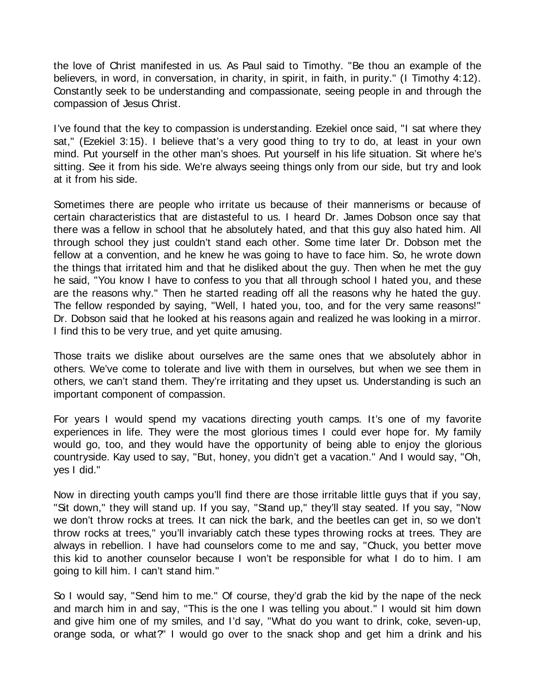the love of Christ manifested in us. As Paul said to Timothy. "Be thou an example of the believers, in word, in conversation, in charity, in spirit, in faith, in purity." (I Timothy 4:12). Constantly seek to be understanding and compassionate, seeing people in and through the compassion of Jesus Christ.

I've found that the key to compassion is understanding. Ezekiel once said, "I sat where they sat," (Ezekiel 3:15). I believe that's a very good thing to try to do, at least in your own mind. Put yourself in the other man's shoes. Put yourself in his life situation. Sit where he's sitting. See it from his side. We're always seeing things only from our side, but try and look at it from his side.

Sometimes there are people who irritate us because of their mannerisms or because of certain characteristics that are distasteful to us. I heard Dr. James Dobson once say that there was a fellow in school that he absolutely hated, and that this guy also hated him. All through school they just couldn't stand each other. Some time later Dr. Dobson met the fellow at a convention, and he knew he was going to have to face him. So, he wrote down the things that irritated him and that he disliked about the guy. Then when he met the guy he said, "You know I have to confess to you that all through school I hated you, and these are the reasons why." Then he started reading off all the reasons why he hated the guy. The fellow responded by saying, "Well, I hated you, too, and for the very same reasons!" Dr. Dobson said that he looked at his reasons again and realized he was looking in a mirror. I find this to be very true, and yet quite amusing.

Those traits we dislike about ourselves are the same ones that we absolutely abhor in others. We've come to tolerate and live with them in ourselves, but when we see them in others, we can't stand them. They're irritating and they upset us. Understanding is such an important component of compassion.

For years I would spend my vacations directing youth camps. It's one of my favorite experiences in life. They were the most glorious times I could ever hope for. My family would go, too, and they would have the opportunity of being able to enjoy the glorious countryside. Kay used to say, "But, honey, you didn't get a vacation." And I would say, "Oh, yes I did."

Now in directing youth camps you'll find there are those irritable little guys that if you say, "Sit down," they will stand up. If you say, "Stand up," they'll stay seated. If you say, "Now we don't throw rocks at trees. It can nick the bark, and the beetles can get in, so we don't throw rocks at trees," you'll invariably catch these types throwing rocks at trees. They are always in rebellion. I have had counselors come to me and say, "Chuck, you better move this kid to another counselor because I won't be responsible for what I do to him. I am going to kill him. I can't stand him."

So I would say, "Send him to me." Of course, they'd grab the kid by the nape of the neck and march him in and say, "This is the one I was telling you about." I would sit him down and give him one of my smiles, and I'd say, "What do you want to drink, coke, seven-up, orange soda, or what?" I would go over to the snack shop and get him a drink and his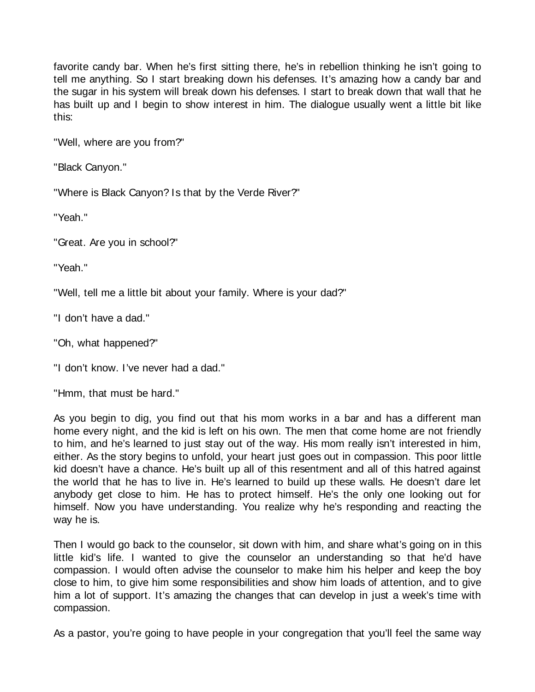favorite candy bar. When he's first sitting there, he's in rebellion thinking he isn't going to tell me anything. So I start breaking down his defenses. It's amazing how a candy bar and the sugar in his system will break down his defenses. I start to break down that wall that he has built up and I begin to show interest in him. The dialogue usually went a little bit like this:

"Well, where are you from?"

"Black Canyon."

"Where is Black Canyon? Is that by the Verde River?"

"Yeah."

"Great. Are you in school?"

"Yeah."

"Well, tell me a little bit about your family. Where is your dad?"

"I don't have a dad."

"Oh, what happened?"

"I don't know. I've never had a dad."

"Hmm, that must be hard."

As you begin to dig, you find out that his mom works in a bar and has a different man home every night, and the kid is left on his own. The men that come home are not friendly to him, and he's learned to just stay out of the way. His mom really isn't interested in him, either. As the story begins to unfold, your heart just goes out in compassion. This poor little kid doesn't have a chance. He's built up all of this resentment and all of this hatred against the world that he has to live in. He's learned to build up these walls. He doesn't dare let anybody get close to him. He has to protect himself. He's the only one looking out for himself. Now you have understanding. You realize why he's responding and reacting the way he is.

Then I would go back to the counselor, sit down with him, and share what's going on in this little kid's life. I wanted to give the counselor an understanding so that he'd have compassion. I would often advise the counselor to make him his helper and keep the boy close to him, to give him some responsibilities and show him loads of attention, and to give him a lot of support. It's amazing the changes that can develop in just a week's time with compassion.

As a pastor, you're going to have people in your congregation that you'll feel the same way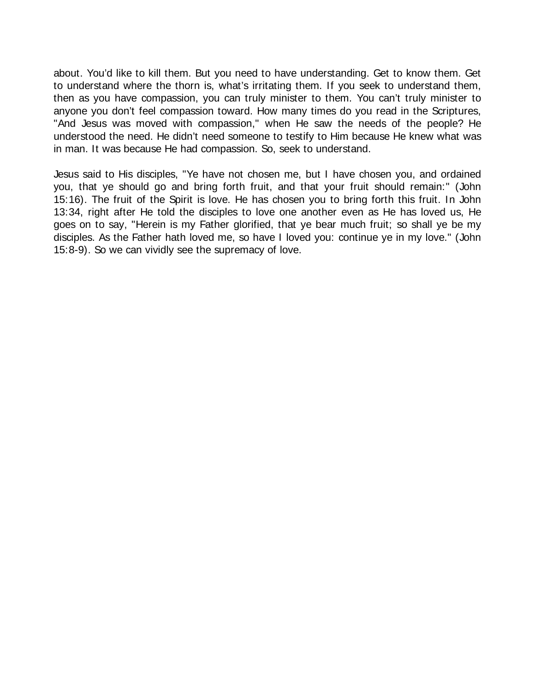about. You'd like to kill them. But you need to have understanding. Get to know them. Get to understand where the thorn is, what's irritating them. If you seek to understand them, then as you have compassion, you can truly minister to them. You can't truly minister to anyone you don't feel compassion toward. How many times do you read in the Scriptures, "And Jesus was moved with compassion," when He saw the needs of the people? He understood the need. He didn't need someone to testify to Him because He knew what was in man. It was because He had compassion. So, seek to understand.

Jesus said to His disciples, "Ye have not chosen me, but I have chosen you, and ordained you, that ye should go and bring forth fruit, and that your fruit should remain:" (John 15:16). The fruit of the Spirit is love. He has chosen you to bring forth this fruit. In John 13:34, right after He told the disciples to love one another even as He has loved us, He goes on to say, "Herein is my Father glorified, that ye bear much fruit; so shall ye be my disciples. As the Father hath loved me, so have I loved you: continue ye in my love." (John 15:8-9). So we can vividly see the supremacy of love.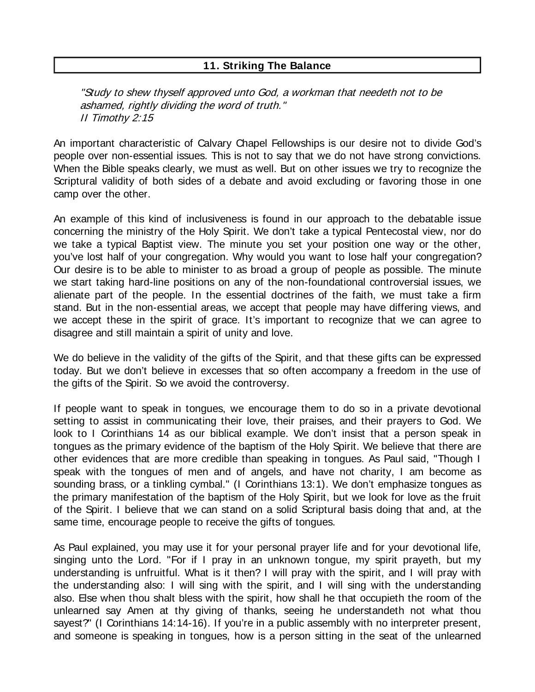# **11. Striking The Balance**

"Study to shew thyself approved unto God, <sup>a</sup> workman that needeth not to be ashamed, rightly dividing the word of truth." II Timothy 2:15

An important characteristic of Calvary Chapel Fellowships is our desire not to divide God's people over non-essential issues. This is not to say that we do not have strong convictions. When the Bible speaks clearly, we must as well. But on other issues we try to recognize the Scriptural validity of both sides of a debate and avoid excluding or favoring those in one camp over the other.

An example of this kind of inclusiveness is found in our approach to the debatable issue concerning the ministry of the Holy Spirit. We don't take a typical Pentecostal view, nor do we take a typical Baptist view. The minute you set your position one way or the other, you've lost half of your congregation. Why would you want to lose half your congregation? Our desire is to be able to minister to as broad a group of people as possible. The minute we start taking hard-line positions on any of the non-foundational controversial issues, we alienate part of the people. In the essential doctrines of the faith, we must take a firm stand. But in the non-essential areas, we accept that people may have differing views, and we accept these in the spirit of grace. It's important to recognize that we can agree to disagree and still maintain a spirit of unity and love.

We do believe in the validity of the gifts of the Spirit, and that these gifts can be expressed today. But we don't believe in excesses that so often accompany a freedom in the use of the gifts of the Spirit. So we avoid the controversy.

If people want to speak in tongues, we encourage them to do so in a private devotional setting to assist in communicating their love, their praises, and their prayers to God. We look to I Corinthians 14 as our biblical example. We don't insist that a person speak in tongues as the primary evidence of the baptism of the Holy Spirit. We believe that there are other evidences that are more credible than speaking in tongues. As Paul said, "Though I speak with the tongues of men and of angels, and have not charity, I am become as sounding brass, or a tinkling cymbal." (I Corinthians 13:1). We don't emphasize tongues as the primary manifestation of the baptism of the Holy Spirit, but we look for love as the fruit of the Spirit. I believe that we can stand on a solid Scriptural basis doing that and, at the same time, encourage people to receive the gifts of tongues.

As Paul explained, you may use it for your personal prayer life and for your devotional life, singing unto the Lord. "For if I pray in an unknown tongue, my spirit prayeth, but my understanding is unfruitful. What is it then? I will pray with the spirit, and I will pray with the understanding also: I will sing with the spirit, and I will sing with the understanding also. Else when thou shalt bless with the spirit, how shall he that occupieth the room of the unlearned say Amen at thy giving of thanks, seeing he understandeth not what thou sayest?" (I Corinthians 14:14-16). If you're in a public assembly with no interpreter present, and someone is speaking in tongues, how is a person sitting in the seat of the unlearned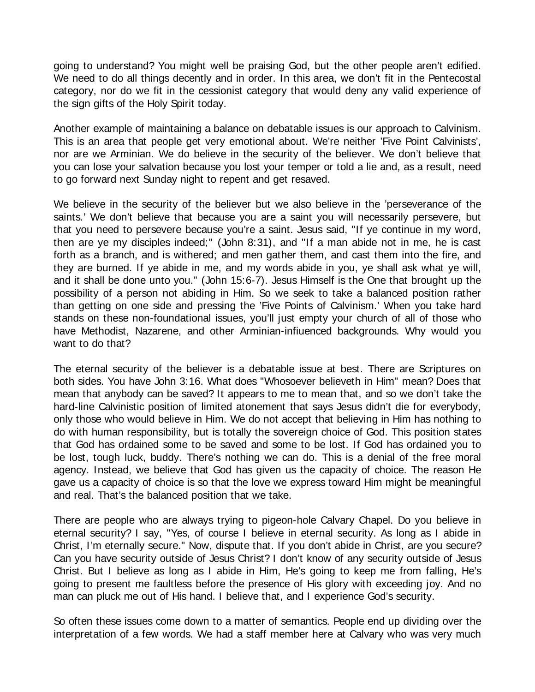going to understand? You might well be praising God, but the other people aren't edified. We need to do all things decently and in order. In this area, we don't fit in the Pentecostal category, nor do we fit in the cessionist category that would deny any valid experience of the sign gifts of the Holy Spirit today.

Another example of maintaining a balance on debatable issues is our approach to Calvinism. This is an area that people get very emotional about. We're neither 'Five Point Calvinists', nor are we Arminian. We do believe in the security of the believer. We don't believe that you can lose your salvation because you lost your temper or told a lie and, as a result, need to go forward next Sunday night to repent and get resaved.

We believe in the security of the believer but we also believe in the 'perseverance of the saints.' We don't believe that because you are a saint you will necessarily persevere, but that you need to persevere because you're a saint. Jesus said, "If ye continue in my word, then are ye my disciples indeed;" (John 8:31), and "If a man abide not in me, he is cast forth as a branch, and is withered; and men gather them, and cast them into the fire, and they are burned. If ye abide in me, and my words abide in you, ye shall ask what ye will, and it shall be done unto you." (John 15:6-7). Jesus Himself is the One that brought up the possibility of a person not abiding in Him. So we seek to take a balanced position rather than getting on one side and pressing the 'Five Points of Calvinism.' When you take hard stands on these non-foundational issues, you'll just empty your church of all of those who have Methodist, Nazarene, and other Arminian-infiuenced backgrounds. Why would you want to do that?

The eternal security of the believer is a debatable issue at best. There are Scriptures on both sides. You have John 3:16. What does "Whosoever believeth in Him" mean? Does that mean that anybody can be saved? It appears to me to mean that, and so we don't take the hard-line Calvinistic position of limited atonement that says Jesus didn't die for everybody, only those who would believe in Him. We do not accept that believing in Him has nothing to do with human responsibility, but is totally the sovereign choice of God. This position states that God has ordained some to be saved and some to be lost. If God has ordained you to be lost, tough luck, buddy. There's nothing we can do. This is a denial of the free moral agency. Instead, we believe that God has given us the capacity of choice. The reason He gave us a capacity of choice is so that the love we express toward Him might be meaningful and real. That's the balanced position that we take.

There are people who are always trying to pigeon-hole Calvary Chapel. Do you believe in eternal security? I say, "Yes, of course I believe in eternal security. As long as I abide in Christ, I'm eternally secure." Now, dispute that. If you don't abide in Christ, are you secure? Can you have security outside of Jesus Christ? I don't know of any security outside of Jesus Christ. But I believe as long as I abide in Him, He's going to keep me from falling, He's going to present me faultless before the presence of His glory with exceeding joy. And no man can pluck me out of His hand. I believe that, and I experience God's security.

So often these issues come down to a matter of semantics. People end up dividing over the interpretation of a few words. We had a staff member here at Calvary who was very much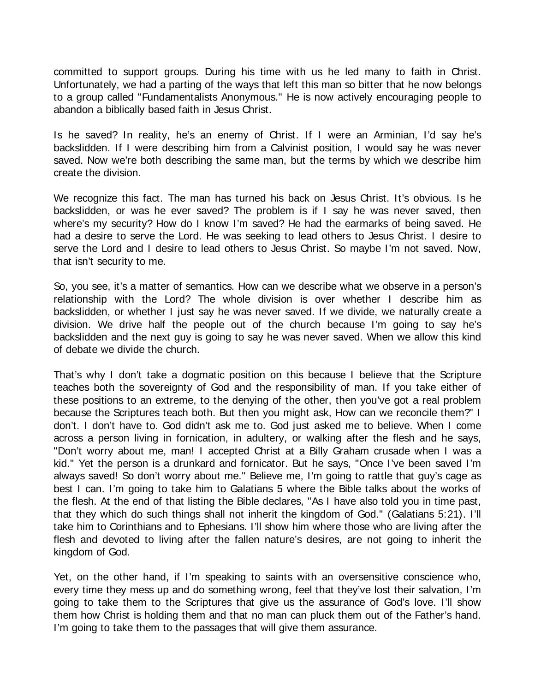committed to support groups. During his time with us he led many to faith in Christ. Unfortunately, we had a parting of the ways that left this man so bitter that he now belongs to a group called "Fundamentalists Anonymous." He is now actively encouraging people to abandon a biblically based faith in Jesus Christ.

Is he saved? In reality, he's an enemy of Christ. If I were an Arminian, I'd say he's backslidden. If I were describing him from a Calvinist position, I would say he was never saved. Now we're both describing the same man, but the terms by which we describe him create the division.

We recognize this fact. The man has turned his back on Jesus Christ. It's obvious. Is he backslidden, or was he ever saved? The problem is if I say he was never saved, then where's my security? How do I know I'm saved? He had the earmarks of being saved. He had a desire to serve the Lord. He was seeking to lead others to Jesus Christ. I desire to serve the Lord and I desire to lead others to Jesus Christ. So maybe I'm not saved. Now, that isn't security to me.

So, you see, it's a matter of semantics. How can we describe what we observe in a person's relationship with the Lord? The whole division is over whether I describe him as backslidden, or whether I just say he was never saved. If we divide, we naturally create a division. We drive half the people out of the church because I'm going to say he's backslidden and the next guy is going to say he was never saved. When we allow this kind of debate we divide the church.

That's why I don't take a dogmatic position on this because I believe that the Scripture teaches both the sovereignty of God and the responsibility of man. If you take either of these positions to an extreme, to the denying of the other, then you've got a real problem because the Scriptures teach both. But then you might ask, How can we reconcile them?" I don't. I don't have to. God didn't ask me to. God just asked me to believe. When I come across a person living in fornication, in adultery, or walking after the flesh and he says, "Don't worry about me, man! I accepted Christ at a Billy Graham crusade when I was a kid." Yet the person is a drunkard and fornicator. But he says, "Once I've been saved I'm always saved! So don't worry about me." Believe me, I'm going to rattle that guy's cage as best I can. I'm going to take him to Galatians 5 where the Bible talks about the works of the flesh. At the end of that listing the Bible declares, "As I have also told you in time past, that they which do such things shall not inherit the kingdom of God." (Galatians 5:21). I'll take him to Corinthians and to Ephesians. I'll show him where those who are living after the flesh and devoted to living after the fallen nature's desires, are not going to inherit the kingdom of God.

Yet, on the other hand, if I'm speaking to saints with an oversensitive conscience who, every time they mess up and do something wrong, feel that they've lost their salvation, I'm going to take them to the Scriptures that give us the assurance of God's love. I'll show them how Christ is holding them and that no man can pluck them out of the Father's hand. I'm going to take them to the passages that will give them assurance.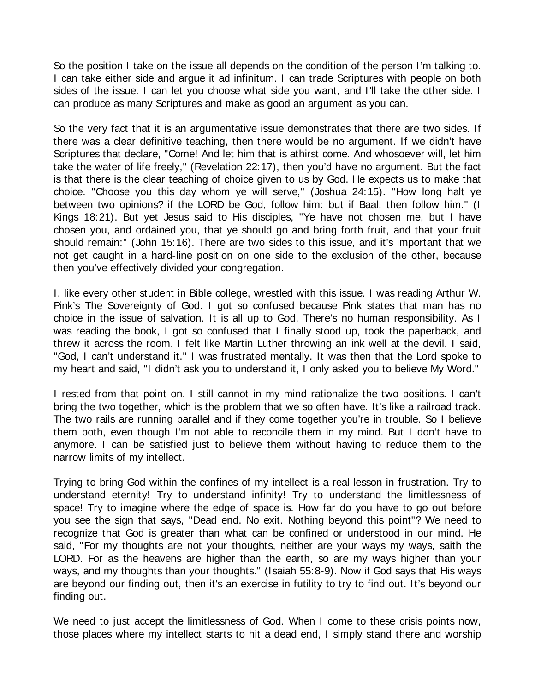So the position I take on the issue all depends on the condition of the person I'm talking to. I can take either side and argue it ad infinitum. I can trade Scriptures with people on both sides of the issue. I can let you choose what side you want, and I'll take the other side. I can produce as many Scriptures and make as good an argument as you can.

So the very fact that it is an argumentative issue demonstrates that there are two sides. If there was a clear definitive teaching, then there would be no argument. If we didn't have Scriptures that declare, "Come! And let him that is athirst come. And whosoever will, let him take the water of life freely," (Revelation 22:17), then you'd have no argument. But the fact is that there is the clear teaching of choice given to us by God. He expects us to make that choice. "Choose you this day whom ye will serve," (Joshua 24:15). "How long halt ye between two opinions? if the LORD be God, follow him: but if Baal, then follow him." (I Kings 18:21). But yet Jesus said to His disciples, "Ye have not chosen me, but I have chosen you, and ordained you, that ye should go and bring forth fruit, and that your fruit should remain:" (John 15:16). There are two sides to this issue, and it's important that we not get caught in a hard-line position on one side to the exclusion of the other, because then you've effectively divided your congregation.

I, like every other student in Bible college, wrestled with this issue. I was reading Arthur W. Pink's The Sovereignty of God. I got so confused because Pink states that man has no choice in the issue of salvation. It is all up to God. There's no human responsibility. As I was reading the book, I got so confused that I finally stood up, took the paperback, and threw it across the room. I felt like Martin Luther throwing an ink well at the devil. I said, "God, I can't understand it." I was frustrated mentally. It was then that the Lord spoke to my heart and said, "I didn't ask you to understand it, I only asked you to believe My Word."

I rested from that point on. I still cannot in my mind rationalize the two positions. I can't bring the two together, which is the problem that we so often have. It's like a railroad track. The two rails are running parallel and if they come together you're in trouble. So I believe them both, even though I'm not able to reconcile them in my mind. But I don't have to anymore. I can be satisfied just to believe them without having to reduce them to the narrow limits of my intellect.

Trying to bring God within the confines of my intellect is a real lesson in frustration. Try to understand eternity! Try to understand infinity! Try to understand the limitlessness of space! Try to imagine where the edge of space is. How far do you have to go out before you see the sign that says, "Dead end. No exit. Nothing beyond this point"? We need to recognize that God is greater than what can be confined or understood in our mind. He said, "For my thoughts are not your thoughts, neither are your ways my ways, saith the LORD. For as the heavens are higher than the earth, so are my ways higher than your ways, and my thoughts than your thoughts." (Isaiah 55:8-9). Now if God says that His ways are beyond our finding out, then it's an exercise in futility to try to find out. It's beyond our finding out.

We need to just accept the limitlessness of God. When I come to these crisis points now, those places where my intellect starts to hit a dead end, I simply stand there and worship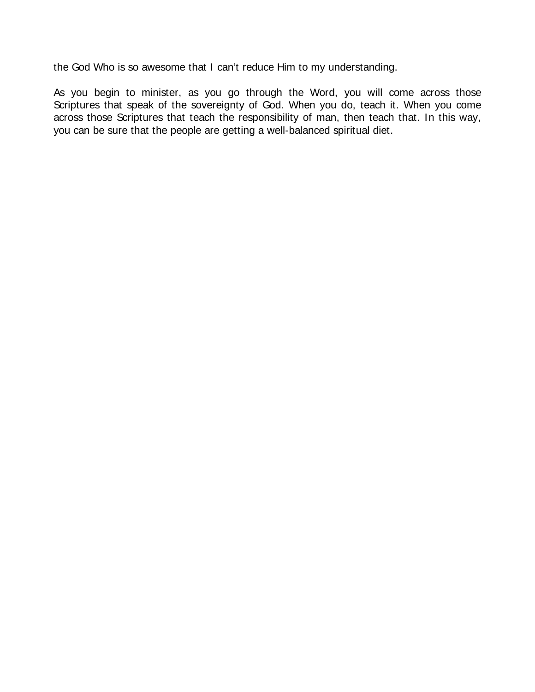the God Who is so awesome that I can't reduce Him to my understanding.

As you begin to minister, as you go through the Word, you will come across those Scriptures that speak of the sovereignty of God. When you do, teach it. When you come across those Scriptures that teach the responsibility of man, then teach that. In this way, you can be sure that the people are getting a well-balanced spiritual diet.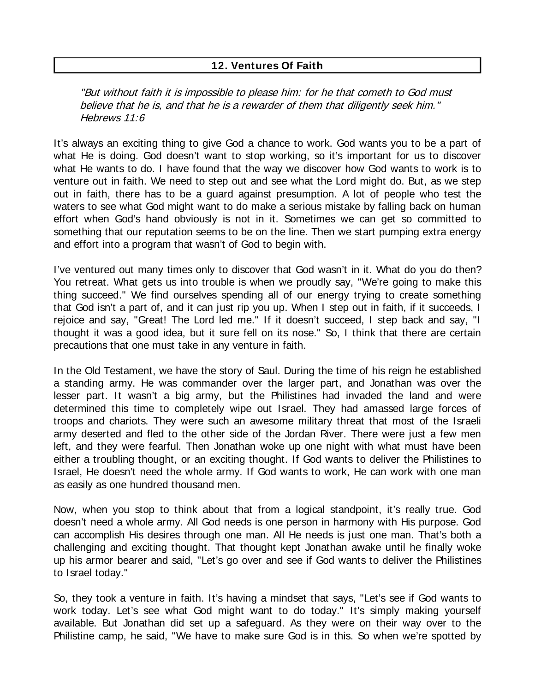#### **12. Ventures Of Faith**

"But without faith it is impossible to please him: for he that cometh to God must believe that he is, and that he is <sup>a</sup> rewarder of them that diligently seek him." Hebrews 11:6

It's always an exciting thing to give God a chance to work. God wants you to be a part of what He is doing. God doesn't want to stop working, so it's important for us to discover what He wants to do. I have found that the way we discover how God wants to work is to venture out in faith. We need to step out and see what the Lord might do. But, as we step out in faith, there has to be a guard against presumption. A lot of people who test the waters to see what God might want to do make a serious mistake by falling back on human effort when God's hand obviously is not in it. Sometimes we can get so committed to something that our reputation seems to be on the line. Then we start pumping extra energy and effort into a program that wasn't of God to begin with.

I've ventured out many times only to discover that God wasn't in it. What do you do then? You retreat. What gets us into trouble is when we proudly say, "We're going to make this thing succeed." We find ourselves spending all of our energy trying to create something that God isn't a part of, and it can just rip you up. When I step out in faith, if it succeeds, I rejoice and say, "Great! The Lord led me." If it doesn't succeed, I step back and say, "I thought it was a good idea, but it sure fell on its nose." So, I think that there are certain precautions that one must take in any venture in faith.

In the Old Testament, we have the story of Saul. During the time of his reign he established a standing army. He was commander over the larger part, and Jonathan was over the lesser part. It wasn't a big army, but the Philistines had invaded the land and were determined this time to completely wipe out Israel. They had amassed large forces of troops and chariots. They were such an awesome military threat that most of the Israeli army deserted and fled to the other side of the Jordan River. There were just a few men left, and they were fearful. Then Jonathan woke up one night with what must have been either a troubling thought, or an exciting thought. If God wants to deliver the Philistines to Israel, He doesn't need the whole army. If God wants to work, He can work with one man as easily as one hundred thousand men.

Now, when you stop to think about that from a logical standpoint, it's really true. God doesn't need a whole army. All God needs is one person in harmony with His purpose. God can accomplish His desires through one man. All He needs is just one man. That's both a challenging and exciting thought. That thought kept Jonathan awake until he finally woke up his armor bearer and said, "Let's go over and see if God wants to deliver the Philistines to Israel today."

So, they took a venture in faith. It's having a mindset that says, "Let's see if God wants to work today. Let's see what God might want to do today." It's simply making yourself available. But Jonathan did set up a safeguard. As they were on their way over to the Philistine camp, he said, "We have to make sure God is in this. So when we're spotted by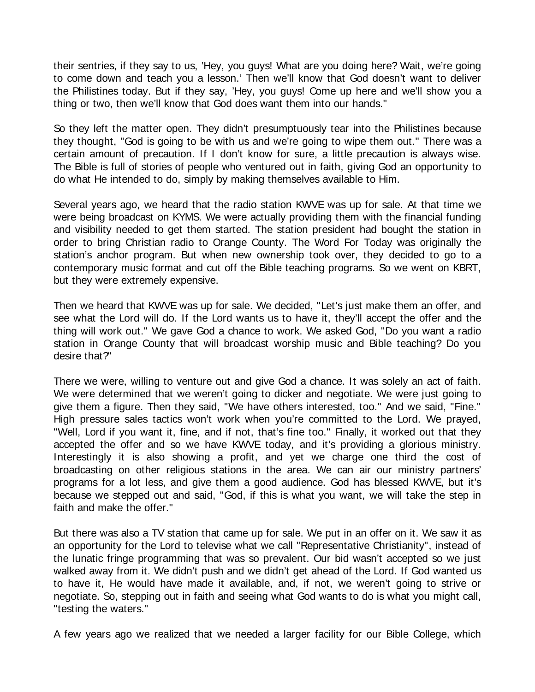their sentries, if they say to us, 'Hey, you guys! What are you doing here? Wait, we're going to come down and teach you a lesson.' Then we'll know that God doesn't want to deliver the Philistines today. But if they say, 'Hey, you guys! Come up here and we'll show you a thing or two, then we'll know that God does want them into our hands."

So they left the matter open. They didn't presumptuously tear into the Philistines because they thought, "God is going to be with us and we're going to wipe them out." There was a certain amount of precaution. If I don't know for sure, a little precaution is always wise. The Bible is full of stories of people who ventured out in faith, giving God an opportunity to do what He intended to do, simply by making themselves available to Him.

Several years ago, we heard that the radio station KWVE was up for sale. At that time we were being broadcast on KYMS. We were actually providing them with the financial funding and visibility needed to get them started. The station president had bought the station in order to bring Christian radio to Orange County. The Word For Today was originally the station's anchor program. But when new ownership took over, they decided to go to a contemporary music format and cut off the Bible teaching programs. So we went on KBRT, but they were extremely expensive.

Then we heard that KWVE was up for sale. We decided, "Let's just make them an offer, and see what the Lord will do. If the Lord wants us to have it, they'll accept the offer and the thing will work out." We gave God a chance to work. We asked God, "Do you want a radio station in Orange County that will broadcast worship music and Bible teaching? Do you desire that?"

There we were, willing to venture out and give God a chance. It was solely an act of faith. We were determined that we weren't going to dicker and negotiate. We were just going to give them a figure. Then they said, "We have others interested, too." And we said, "Fine." High pressure sales tactics won't work when you're committed to the Lord. We prayed, "Well, Lord if you want it, fine, and if not, that's fine too." Finally, it worked out that they accepted the offer and so we have KWVE today, and it's providing a glorious ministry. Interestingly it is also showing a profit, and yet we charge one third the cost of broadcasting on other religious stations in the area. We can air our ministry partners' programs for a lot less, and give them a good audience. God has blessed KWVE, but it's because we stepped out and said, "God, if this is what you want, we will take the step in faith and make the offer."

But there was also a TV station that came up for sale. We put in an offer on it. We saw it as an opportunity for the Lord to televise what we call "Representative Christianity", instead of the lunatic fringe programming that was so prevalent. Our bid wasn't accepted so we just walked away from it. We didn't push and we didn't get ahead of the Lord. If God wanted us to have it, He would have made it available, and, if not, we weren't going to strive or negotiate. So, stepping out in faith and seeing what God wants to do is what you might call, "testing the waters."

A few years ago we realized that we needed a larger facility for our Bible College, which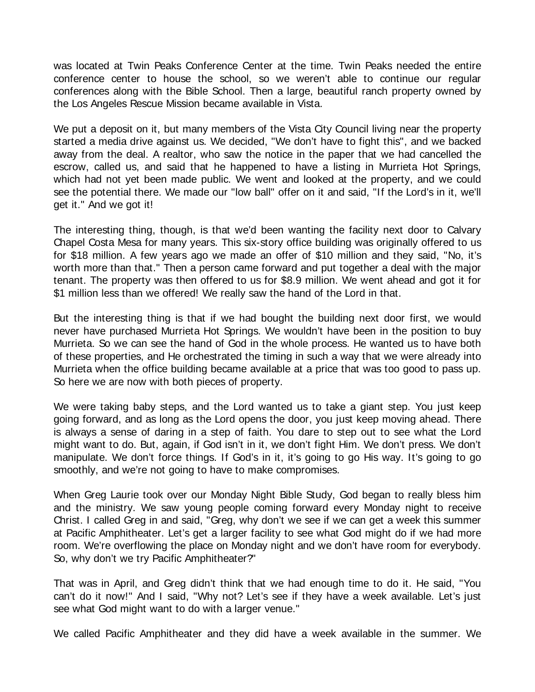was located at Twin Peaks Conference Center at the time. Twin Peaks needed the entire conference center to house the school, so we weren't able to continue our regular conferences along with the Bible School. Then a large, beautiful ranch property owned by the Los Angeles Rescue Mission became available in Vista.

We put a deposit on it, but many members of the Vista City Council living near the property started a media drive against us. We decided, "We don't have to fight this", and we backed away from the deal. A realtor, who saw the notice in the paper that we had cancelled the escrow, called us, and said that he happened to have a listing in Murrieta Hot Springs, which had not yet been made public. We went and looked at the property, and we could see the potential there. We made our "low ball" offer on it and said, "If the Lord's in it, we'll get it." And we got it!

The interesting thing, though, is that we'd been wanting the facility next door to Calvary Chapel Costa Mesa for many years. This six-story office building was originally offered to us for \$18 million. A few years ago we made an offer of \$10 million and they said, "No, it's worth more than that." Then a person came forward and put together a deal with the major tenant. The property was then offered to us for \$8.9 million. We went ahead and got it for \$1 million less than we offered! We really saw the hand of the Lord in that.

But the interesting thing is that if we had bought the building next door first, we would never have purchased Murrieta Hot Springs. We wouldn't have been in the position to buy Murrieta. So we can see the hand of God in the whole process. He wanted us to have both of these properties, and He orchestrated the timing in such a way that we were already into Murrieta when the office building became available at a price that was too good to pass up. So here we are now with both pieces of property.

We were taking baby steps, and the Lord wanted us to take a giant step. You just keep going forward, and as long as the Lord opens the door, you just keep moving ahead. There is always a sense of daring in a step of faith. You dare to step out to see what the Lord might want to do. But, again, if God isn't in it, we don't fight Him. We don't press. We don't manipulate. We don't force things. If God's in it, it's going to go His way. It's going to go smoothly, and we're not going to have to make compromises.

When Greg Laurie took over our Monday Night Bible Study, God began to really bless him and the ministry. We saw young people coming forward every Monday night to receive Christ. I called Greg in and said, "Greg, why don't we see if we can get a week this summer at Pacific Amphitheater. Let's get a larger facility to see what God might do if we had more room. We're overflowing the place on Monday night and we don't have room for everybody. So, why don't we try Pacific Amphitheater?"

That was in April, and Greg didn't think that we had enough time to do it. He said, "You can't do it now!" And I said, "Why not? Let's see if they have a week available. Let's just see what God might want to do with a larger venue."

We called Pacific Amphitheater and they did have a week available in the summer. We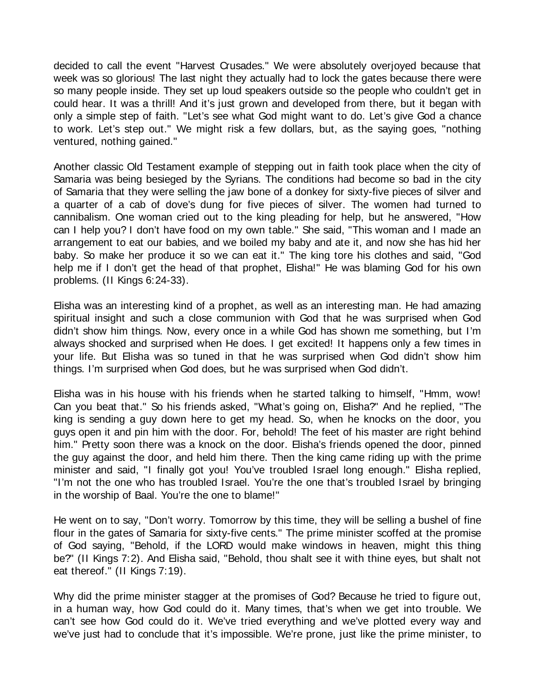decided to call the event "Harvest Crusades." We were absolutely overjoyed because that week was so glorious! The last night they actually had to lock the gates because there were so many people inside. They set up loud speakers outside so the people who couldn't get in could hear. It was a thrill! And it's just grown and developed from there, but it began with only a simple step of faith. "Let's see what God might want to do. Let's give God a chance to work. Let's step out." We might risk a few dollars, but, as the saying goes, "nothing ventured, nothing gained."

Another classic Old Testament example of stepping out in faith took place when the city of Samaria was being besieged by the Syrians. The conditions had become so bad in the city of Samaria that they were selling the jaw bone of a donkey for sixty-five pieces of silver and a quarter of a cab of dove's dung for five pieces of silver. The women had turned to cannibalism. One woman cried out to the king pleading for help, but he answered, "How can I help you? I don't have food on my own table." She said, "This woman and I made an arrangement to eat our babies, and we boiled my baby and ate it, and now she has hid her baby. So make her produce it so we can eat it." The king tore his clothes and said, "God help me if I don't get the head of that prophet, Elisha!" He was blaming God for his own problems. (II Kings 6:24-33).

Elisha was an interesting kind of a prophet, as well as an interesting man. He had amazing spiritual insight and such a close communion with God that he was surprised when God didn't show him things. Now, every once in a while God has shown me something, but I'm always shocked and surprised when He does. I get excited! It happens only a few times in your life. But Elisha was so tuned in that he was surprised when God didn't show him things. I'm surprised when God does, but he was surprised when God didn't.

Elisha was in his house with his friends when he started talking to himself, "Hmm, wow! Can you beat that." So his friends asked, "What's going on, Elisha?" And he replied, "The king is sending a guy down here to get my head. So, when he knocks on the door, you guys open it and pin him with the door. For, behold! The feet of his master are right behind him." Pretty soon there was a knock on the door. Elisha's friends opened the door, pinned the guy against the door, and held him there. Then the king came riding up with the prime minister and said, "I finally got you! You've troubled Israel long enough." Elisha replied, "I'm not the one who has troubled Israel. You're the one that's troubled Israel by bringing in the worship of Baal. You're the one to blame!"

He went on to say, "Don't worry. Tomorrow by this time, they will be selling a bushel of fine flour in the gates of Samaria for sixty-five cents." The prime minister scoffed at the promise of God saying, "Behold, if the LORD would make windows in heaven, might this thing be?" (II Kings 7:2). And Elisha said, "Behold, thou shalt see it with thine eyes, but shalt not eat thereof." (II Kings 7:19).

Why did the prime minister stagger at the promises of God? Because he tried to figure out, in a human way, how God could do it. Many times, that's when we get into trouble. We can't see how God could do it. We've tried everything and we've plotted every way and we've just had to conclude that it's impossible. We're prone, just like the prime minister, to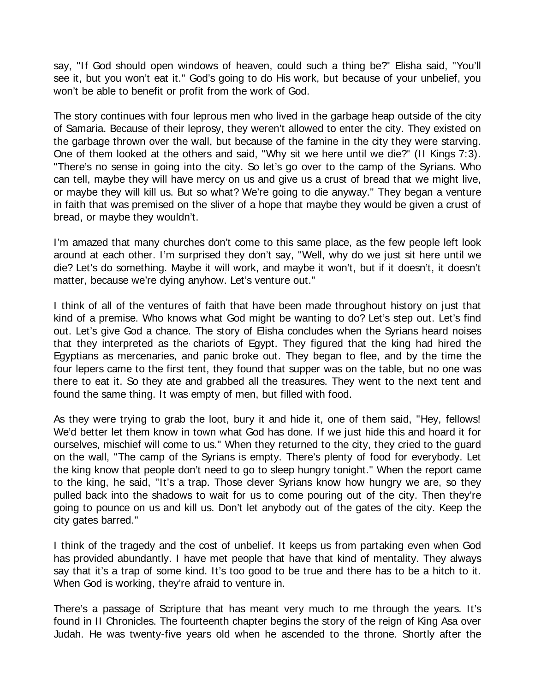say, "If God should open windows of heaven, could such a thing be?" Elisha said, "You'll see it, but you won't eat it." God's going to do His work, but because of your unbelief, you won't be able to benefit or profit from the work of God.

The story continues with four leprous men who lived in the garbage heap outside of the city of Samaria. Because of their leprosy, they weren't allowed to enter the city. They existed on the garbage thrown over the wall, but because of the famine in the city they were starving. One of them looked at the others and said, "Why sit we here until we die?" (II Kings 7:3). "There's no sense in going into the city. So let's go over to the camp of the Syrians. Who can tell, maybe they will have mercy on us and give us a crust of bread that we might live, or maybe they will kill us. But so what? We're going to die anyway." They began a venture in faith that was premised on the sliver of a hope that maybe they would be given a crust of bread, or maybe they wouldn't.

I'm amazed that many churches don't come to this same place, as the few people left look around at each other. I'm surprised they don't say, "Well, why do we just sit here until we die? Let's do something. Maybe it will work, and maybe it won't, but if it doesn't, it doesn't matter, because we're dying anyhow. Let's venture out."

I think of all of the ventures of faith that have been made throughout history on just that kind of a premise. Who knows what God might be wanting to do? Let's step out. Let's find out. Let's give God a chance. The story of Elisha concludes when the Syrians heard noises that they interpreted as the chariots of Egypt. They figured that the king had hired the Egyptians as mercenaries, and panic broke out. They began to flee, and by the time the four lepers came to the first tent, they found that supper was on the table, but no one was there to eat it. So they ate and grabbed all the treasures. They went to the next tent and found the same thing. It was empty of men, but filled with food.

As they were trying to grab the loot, bury it and hide it, one of them said, "Hey, fellows! We'd better let them know in town what God has done. If we just hide this and hoard it for ourselves, mischief will come to us." When they returned to the city, they cried to the guard on the wall, "The camp of the Syrians is empty. There's plenty of food for everybody. Let the king know that people don't need to go to sleep hungry tonight." When the report came to the king, he said, "It's a trap. Those clever Syrians know how hungry we are, so they pulled back into the shadows to wait for us to come pouring out of the city. Then they're going to pounce on us and kill us. Don't let anybody out of the gates of the city. Keep the city gates barred."

I think of the tragedy and the cost of unbelief. It keeps us from partaking even when God has provided abundantly. I have met people that have that kind of mentality. They always say that it's a trap of some kind. It's too good to be true and there has to be a hitch to it. When God is working, they're afraid to venture in.

There's a passage of Scripture that has meant very much to me through the years. It's found in II Chronicles. The fourteenth chapter begins the story of the reign of King Asa over Judah. He was twenty-five years old when he ascended to the throne. Shortly after the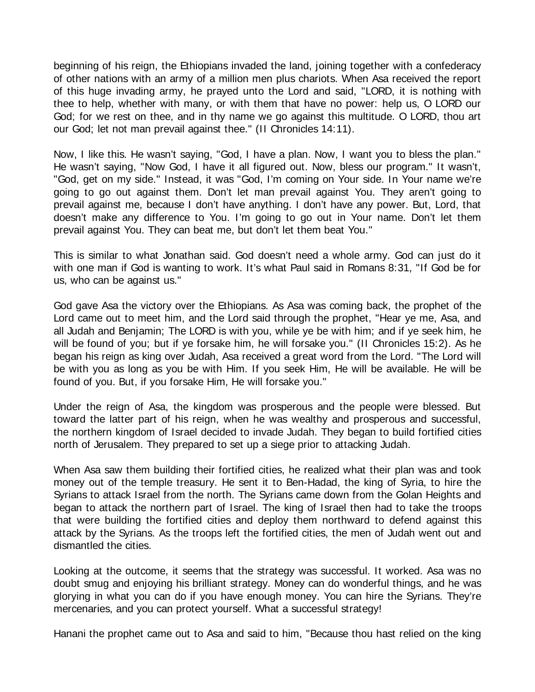beginning of his reign, the Ethiopians invaded the land, joining together with a confederacy of other nations with an army of a million men plus chariots. When Asa received the report of this huge invading army, he prayed unto the Lord and said, "LORD, it is nothing with thee to help, whether with many, or with them that have no power: help us, O LORD our God; for we rest on thee, and in thy name we go against this multitude. O LORD, thou art our God; let not man prevail against thee." (II Chronicles 14:11).

Now, I like this. He wasn't saying, "God, I have a plan. Now, I want you to bless the plan." He wasn't saying, "Now God, I have it all figured out. Now, bless our program." It wasn't, "God, get on my side." Instead, it was "God, I'm coming on Your side. In Your name we're going to go out against them. Don't let man prevail against You. They aren't going to prevail against me, because I don't have anything. I don't have any power. But, Lord, that doesn't make any difference to You. I'm going to go out in Your name. Don't let them prevail against You. They can beat me, but don't let them beat You."

This is similar to what Jonathan said. God doesn't need a whole army. God can just do it with one man if God is wanting to work. It's what Paul said in Romans 8:31, "If God be for us, who can be against us."

God gave Asa the victory over the Ethiopians. As Asa was coming back, the prophet of the Lord came out to meet him, and the Lord said through the prophet, "Hear ye me, Asa, and all Judah and Benjamin; The LORD is with you, while ye be with him; and if ye seek him, he will be found of you; but if ye forsake him, he will forsake you." (II Chronicles 15:2). As he began his reign as king over Judah, Asa received a great word from the Lord. "The Lord will be with you as long as you be with Him. If you seek Him, He will be available. He will be found of you. But, if you forsake Him, He will forsake you."

Under the reign of Asa, the kingdom was prosperous and the people were blessed. But toward the latter part of his reign, when he was wealthy and prosperous and successful, the northern kingdom of Israel decided to invade Judah. They began to build fortified cities north of Jerusalem. They prepared to set up a siege prior to attacking Judah.

When Asa saw them building their fortified cities, he realized what their plan was and took money out of the temple treasury. He sent it to Ben-Hadad, the king of Syria, to hire the Syrians to attack Israel from the north. The Syrians came down from the Golan Heights and began to attack the northern part of Israel. The king of Israel then had to take the troops that were building the fortified cities and deploy them northward to defend against this attack by the Syrians. As the troops left the fortified cities, the men of Judah went out and dismantled the cities.

Looking at the outcome, it seems that the strategy was successful. It worked. Asa was no doubt smug and enjoying his brilliant strategy. Money can do wonderful things, and he was glorying in what you can do if you have enough money. You can hire the Syrians. They're mercenaries, and you can protect yourself. What a successful strategy!

Hanani the prophet came out to Asa and said to him, "Because thou hast relied on the king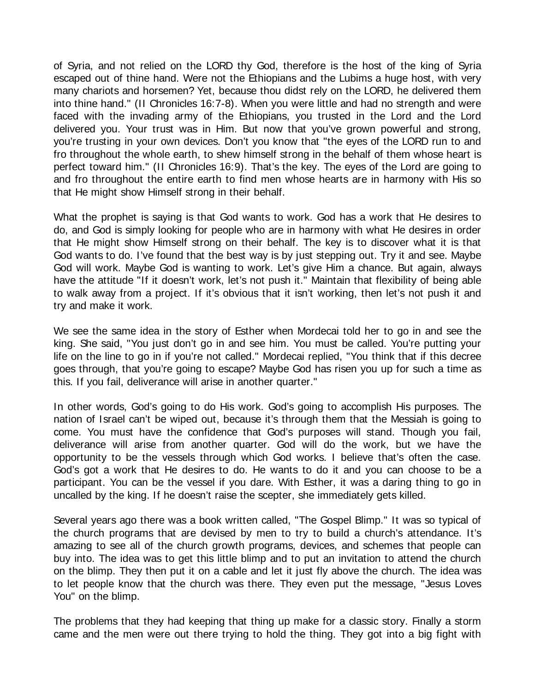of Syria, and not relied on the LORD thy God, therefore is the host of the king of Syria escaped out of thine hand. Were not the Ethiopians and the Lubims a huge host, with very many chariots and horsemen? Yet, because thou didst rely on the LORD, he delivered them into thine hand." (II Chronicles 16:7-8). When you were little and had no strength and were faced with the invading army of the Ethiopians, you trusted in the Lord and the Lord delivered you. Your trust was in Him. But now that you've grown powerful and strong, you're trusting in your own devices. Don't you know that "the eyes of the LORD run to and fro throughout the whole earth, to shew himself strong in the behalf of them whose heart is perfect toward him." (II Chronicles 16:9). That's the key. The eyes of the Lord are going to and fro throughout the entire earth to find men whose hearts are in harmony with His so that He might show Himself strong in their behalf.

What the prophet is saying is that God wants to work. God has a work that He desires to do, and God is simply looking for people who are in harmony with what He desires in order that He might show Himself strong on their behalf. The key is to discover what it is that God wants to do. I've found that the best way is by just stepping out. Try it and see. Maybe God will work. Maybe God is wanting to work. Let's give Him a chance. But again, always have the attitude "If it doesn't work, let's not push it." Maintain that flexibility of being able to walk away from a project. If it's obvious that it isn't working, then let's not push it and try and make it work.

We see the same idea in the story of Esther when Mordecai told her to go in and see the king. She said, "You just don't go in and see him. You must be called. You're putting your life on the line to go in if you're not called." Mordecai replied, "You think that if this decree goes through, that you're going to escape? Maybe God has risen you up for such a time as this. If you fail, deliverance will arise in another quarter."

In other words, God's going to do His work. God's going to accomplish His purposes. The nation of Israel can't be wiped out, because it's through them that the Messiah is going to come. You must have the confidence that God's purposes will stand. Though you fail, deliverance will arise from another quarter. God will do the work, but we have the opportunity to be the vessels through which God works. I believe that's often the case. God's got a work that He desires to do. He wants to do it and you can choose to be a participant. You can be the vessel if you dare. With Esther, it was a daring thing to go in uncalled by the king. If he doesn't raise the scepter, she immediately gets killed.

Several years ago there was a book written called, "The Gospel Blimp." It was so typical of the church programs that are devised by men to try to build a church's attendance. It's amazing to see all of the church growth programs, devices, and schemes that people can buy into. The idea was to get this little blimp and to put an invitation to attend the church on the blimp. They then put it on a cable and let it just fly above the church. The idea was to let people know that the church was there. They even put the message, "Jesus Loves You" on the blimp.

The problems that they had keeping that thing up make for a classic story. Finally a storm came and the men were out there trying to hold the thing. They got into a big fight with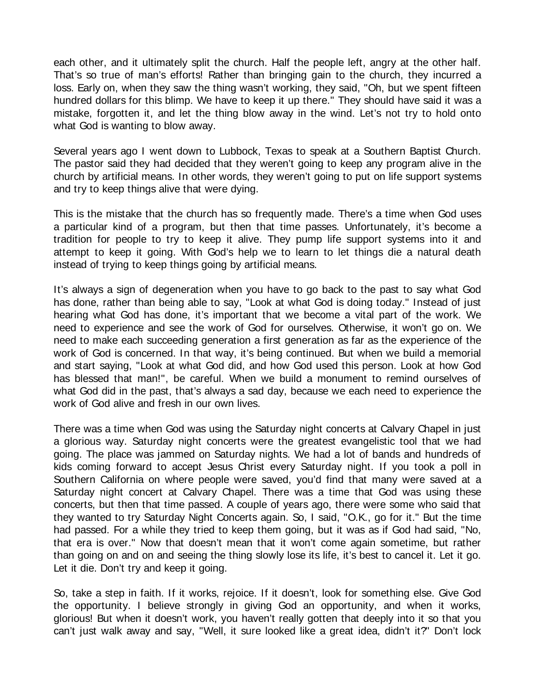each other, and it ultimately split the church. Half the people left, angry at the other half. That's so true of man's efforts! Rather than bringing gain to the church, they incurred a loss. Early on, when they saw the thing wasn't working, they said, "Oh, but we spent fifteen hundred dollars for this blimp. We have to keep it up there." They should have said it was a mistake, forgotten it, and let the thing blow away in the wind. Let's not try to hold onto what God is wanting to blow away.

Several years ago I went down to Lubbock, Texas to speak at a Southern Baptist Church. The pastor said they had decided that they weren't going to keep any program alive in the church by artificial means. In other words, they weren't going to put on life support systems and try to keep things alive that were dying.

This is the mistake that the church has so frequently made. There's a time when God uses a particular kind of a program, but then that time passes. Unfortunately, it's become a tradition for people to try to keep it alive. They pump life support systems into it and attempt to keep it going. With God's help we to learn to let things die a natural death instead of trying to keep things going by artificial means.

It's always a sign of degeneration when you have to go back to the past to say what God has done, rather than being able to say, "Look at what God is doing today." Instead of just hearing what God has done, it's important that we become a vital part of the work. We need to experience and see the work of God for ourselves. Otherwise, it won't go on. We need to make each succeeding generation a first generation as far as the experience of the work of God is concerned. In that way, it's being continued. But when we build a memorial and start saying, "Look at what God did, and how God used this person. Look at how God has blessed that man!", be careful. When we build a monument to remind ourselves of what God did in the past, that's always a sad day, because we each need to experience the work of God alive and fresh in our own lives.

There was a time when God was using the Saturday night concerts at Calvary Chapel in just a glorious way. Saturday night concerts were the greatest evangelistic tool that we had going. The place was jammed on Saturday nights. We had a lot of bands and hundreds of kids coming forward to accept Jesus Christ every Saturday night. If you took a poll in Southern California on where people were saved, you'd find that many were saved at a Saturday night concert at Calvary Chapel. There was a time that God was using these concerts, but then that time passed. A couple of years ago, there were some who said that they wanted to try Saturday Night Concerts again. So, I said, "O.K., go for it." But the time had passed. For a while they tried to keep them going, but it was as if God had said, "No, that era is over." Now that doesn't mean that it won't come again sometime, but rather than going on and on and seeing the thing slowly lose its life, it's best to cancel it. Let it go. Let it die. Don't try and keep it going.

So, take a step in faith. If it works, rejoice. If it doesn't, look for something else. Give God the opportunity. I believe strongly in giving God an opportunity, and when it works, glorious! But when it doesn't work, you haven't really gotten that deeply into it so that you can't just walk away and say, "Well, it sure looked like a great idea, didn't it?" Don't lock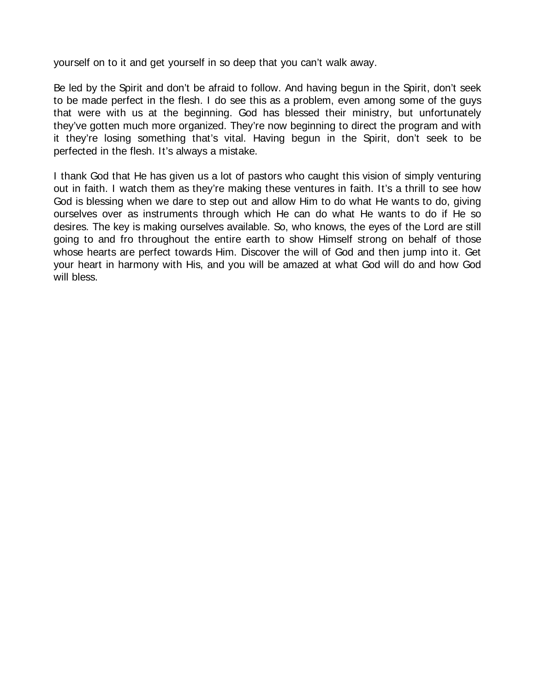yourself on to it and get yourself in so deep that you can't walk away.

Be led by the Spirit and don't be afraid to follow. And having begun in the Spirit, don't seek to be made perfect in the flesh. I do see this as a problem, even among some of the guys that were with us at the beginning. God has blessed their ministry, but unfortunately they've gotten much more organized. They're now beginning to direct the program and with it they're losing something that's vital. Having begun in the Spirit, don't seek to be perfected in the flesh. It's always a mistake.

I thank God that He has given us a lot of pastors who caught this vision of simply venturing out in faith. I watch them as they're making these ventures in faith. It's a thrill to see how God is blessing when we dare to step out and allow Him to do what He wants to do, giving ourselves over as instruments through which He can do what He wants to do if He so desires. The key is making ourselves available. So, who knows, the eyes of the Lord are still going to and fro throughout the entire earth to show Himself strong on behalf of those whose hearts are perfect towards Him. Discover the will of God and then jump into it. Get your heart in harmony with His, and you will be amazed at what God will do and how God will bless.